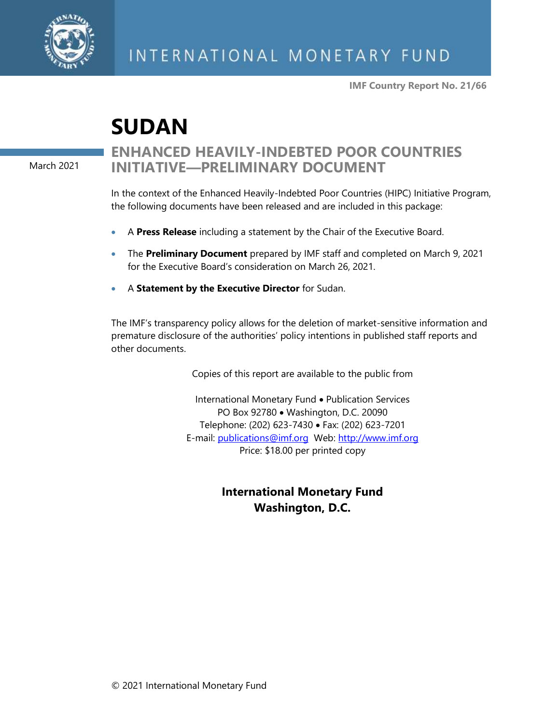

**IMF Country Report No. 21/66**

# **SUDAN**

March 2021

## **ENHANCED HEAVILY-INDEBTED POOR COUNTRIES INITIATIVE—PRELIMINARY DOCUMENT**

In the context of the Enhanced Heavily-Indebted Poor Countries (HIPC) Initiative Program, the following documents have been released and are included in this package:

- A **Press Release** including a statement by the Chair of the Executive Board.
- The **Preliminary Document** prepared by IMF staff and completed on March 9, 2021 for the Executive Board's consideration on March 26, 2021.
- A **Statement by the Executive Director** for Sudan.

The IMF's transparency policy allows for the deletion of market-sensitive information and premature disclosure of the authorities' policy intentions in published staff reports and other documents.

Copies of this report are available to the public from

International Monetary Fund • Publication Services PO Box 92780 • Washington, D.C. 20090 Telephone: (202) 623-7430 • Fax: (202) 623-7201 E-mail: [publications@imf.org](mailto:publications@imf.org) Web: [http://www.imf.org](http://www.imf.org/) Price: \$18.00 per printed copy

## **International Monetary Fund Washington, D.C.**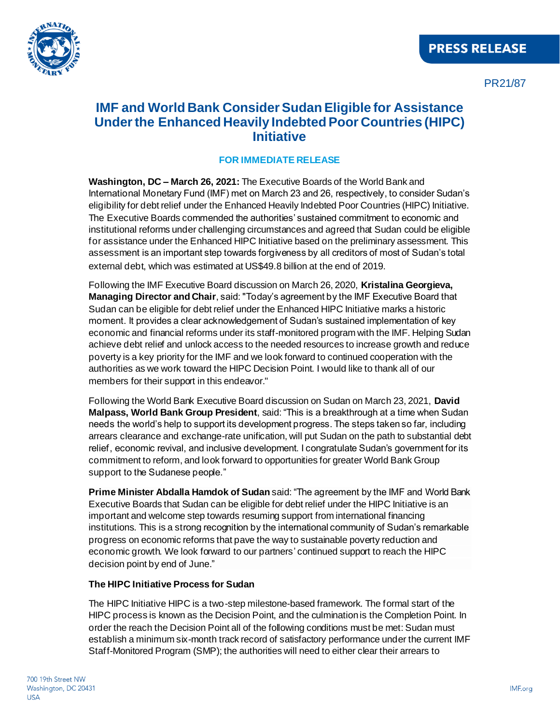

PR21/87

## **IMF and World Bank Consider Sudan Eligible for Assistance Under the Enhanced Heavily Indebted Poor Countries (HIPC) Initiative**

#### **FOR IMMEDIATE RELEASE**

**Washington, DC – March 26, 2021:** The Executive Boards of the World Bank and International Monetary Fund (IMF) met on March 23 and 26, respectively, to consider Sudan's eligibility for debt relief under the Enhanced Heavily Indebted Poor Countries (HIPC) Initiative. The Executive Boards commended the authorities' sustained commitment to economic and institutional reforms under challenging circumstances and agreed that Sudan could be eligible for assistance under the Enhanced HIPC Initiative based on the preliminary assessment. This assessment is an important step towards forgiveness by all creditors of most of Sudan's total external debt, which was estimated at US\$49.8 billion at the end of 2019.

Following the IMF Executive Board discussion on March 26, 2020, **Kristalina Georgieva, Managing Director and Chair**, said: "Today's agreement by the IMF Executive Board that Sudan can be eligible for debt relief under the Enhanced HIPC Initiative marks a historic moment. It provides a clear acknowledgement of Sudan's sustained implementation of key economic and financial reforms under its staff-monitored program with the IMF. Helping Sudan achieve debt relief and unlock access to the needed resources to increase growth and reduce poverty is a key priority for the IMF and we look forward to continued cooperation with the authorities as we work toward the HIPC Decision Point. I would like to thank all of our members for their support in this endeavor."

Following the World Bank Executive Board discussion on Sudan on March 23, 2021, **David Malpass, World Bank Group President**, said: "This is a breakthrough at a time when Sudan needs the world's help to support its development progress. The steps taken so far, including arrears clearance and exchange-rate unification, will put Sudan on the path to substantial debt relief, economic revival, and inclusive development. I congratulate Sudan's government for its commitment to reform, and look forward to opportunities for greater World Bank Group support to the Sudanese people."

**Prime Minister Abdalla Hamdok of Sudan** said: "The agreement by the IMF and World Bank Executive Boards that Sudan can be eligible for debt relief under the HIPC Initiative is an important and welcome step towards resuming support from international financing institutions. This is a strong recognition by the international community of Sudan's remarkable progress on economic reforms that pave the way to sustainable poverty reduction and economic growth. We look forward to our partners' continued support to reach the HIPC decision point by end of June."

#### **The HIPC Initiative Process for Sudan**

The HIPC Initiative HIPC is a two-step milestone-based framework. The formal start of the HIPC process is known as the Decision Point, and the culmination is the Completion Point. In order the reach the Decision Point all of the following conditions must be met: Sudan must establish a minimum six-month track record of satisfactory performance under the current IMF Staff-Monitored Program (SMP); the authorities will need to either clear their arrears to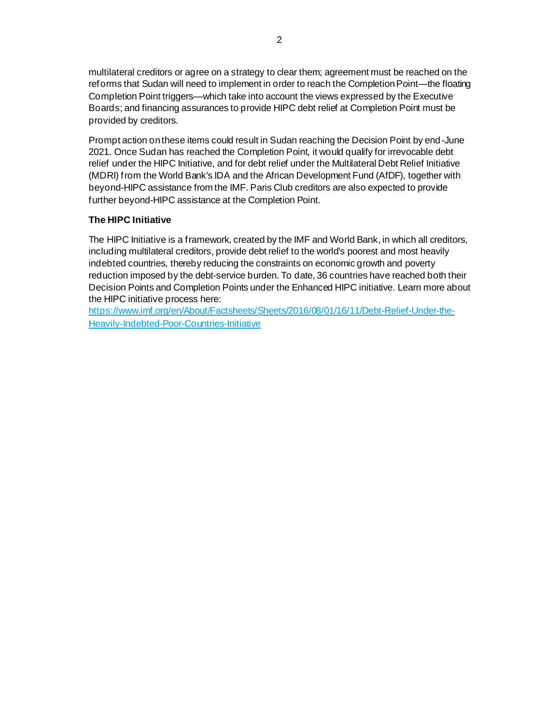multilateral creditors or agree on a strategy to clear them; agreement must be reached on the reforms that Sudan will need to implement in order to reach the Completion Point—the floating Completion Point triggers—which take into account the views expressed by the Executive Boards; and financing assurances to provide HIPC debt relief at Completion Point must be provided by creditors.

Prompt action on these items could result in Sudan reaching the Decision Point by end -June 2021. Once Sudan has reached the Completion Point, it would qualify for irrevocable debt relief under the HIPC Initiative, and for debt relief under the Multilateral Debt Relief Initiative (MDRI) from the World Bank's IDA and the African Development Fund (AfDF), together with beyond-HIPC assistance from the IMF. Paris Club creditors are also expected to provide further beyond-HIPC assistance at the Completion Point.

#### **The HIPC Initiative**

The HIPC Initiative is a framework, created by the IMF and World Bank, in which all creditors, including multilateral creditors, provide debt relief to the world's poorest and most heavily indebted countries, thereby reducing the constraints on economic growth and poverty reduction imposed by the debt-service burden. To date, 36 countries have reached both their Decision Points and Completion Points under the Enhanced HIPC initiative. Learn more about the HIPC initiative process here:

[https://www.imf.org/en/About/Factsheets/Sheets/2016/08/01/16/11/Debt-Relief-Under-the-](https://www.imf.org/en/About/Factsheets/Sheets/2016/08/01/16/11/Debt-Relief-Under-the-Heavily-Indebted-Poor-Countries-Initiative)[Heavily-Indebted-Poor-Countries-Initiative](https://www.imf.org/en/About/Factsheets/Sheets/2016/08/01/16/11/Debt-Relief-Under-the-Heavily-Indebted-Poor-Countries-Initiative)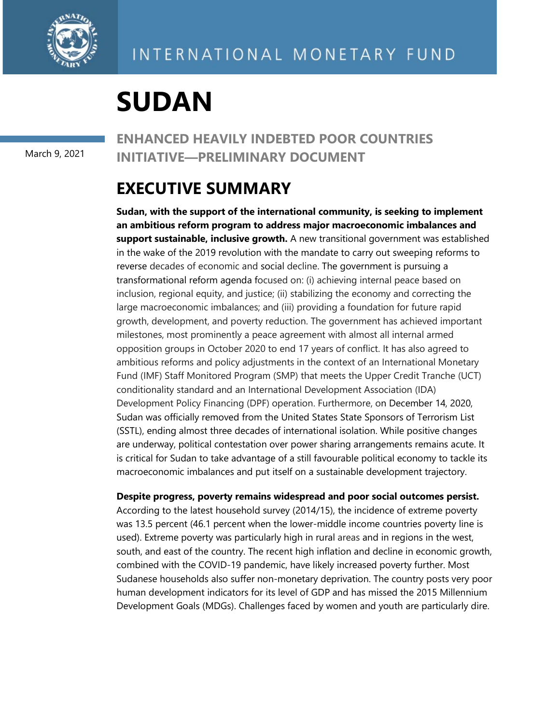

# **SUDAN**

March 9, 2021

## **ENHANCED HEAVILY INDEBTED POOR COUNTRIES INITIATIVE—PRELIMINARY DOCUMENT**

## **EXECUTIVE SUMMARY**

**Sudan, with the support of the international community, is seeking to implement an ambitious reform program to address major macroeconomic imbalances and support sustainable, inclusive growth.** A new transitional government was established in the wake of the 2019 revolution with the mandate to carry out sweeping reforms to reverse decades of economic and social decline. The government is pursuing a transformational reform agenda focused on: (i) achieving internal peace based on inclusion, regional equity, and justice; (ii) stabilizing the economy and correcting the large macroeconomic imbalances; and (iii) providing a foundation for future rapid growth, development, and poverty reduction. The government has achieved important milestones, most prominently a peace agreement with almost all internal armed opposition groups in October 2020 to end 17 years of conflict. It has also agreed to ambitious reforms and policy adjustments in the context of an International Monetary Fund (IMF) Staff Monitored Program (SMP) that meets the Upper Credit Tranche (UCT) conditionality standard and an International Development Association (IDA) Development Policy Financing (DPF) operation. Furthermore, on December 14, 2020, Sudan was officially removed from the United States State Sponsors of Terrorism List (SSTL), ending almost three decades of international isolation. While positive changes are underway, political contestation over power sharing arrangements remains acute. It is critical for Sudan to take advantage of a still favourable political economy to tackle its macroeconomic imbalances and put itself on a sustainable development trajectory.

**Despite progress, poverty remains widespread and poor social outcomes persist.** 

According to the latest household survey (2014/15), the incidence of extreme poverty was 13.5 percent (46.1 percent when the lower-middle income countries poverty line is used). Extreme poverty was particularly high in rural areas and in regions in the west, south, and east of the country. The recent high inflation and decline in economic growth, combined with the COVID-19 pandemic, have likely increased poverty further. Most Sudanese households also suffer non-monetary deprivation. The country posts very poor human development indicators for its level of GDP and has missed the 2015 Millennium Development Goals (MDGs). Challenges faced by women and youth are particularly dire.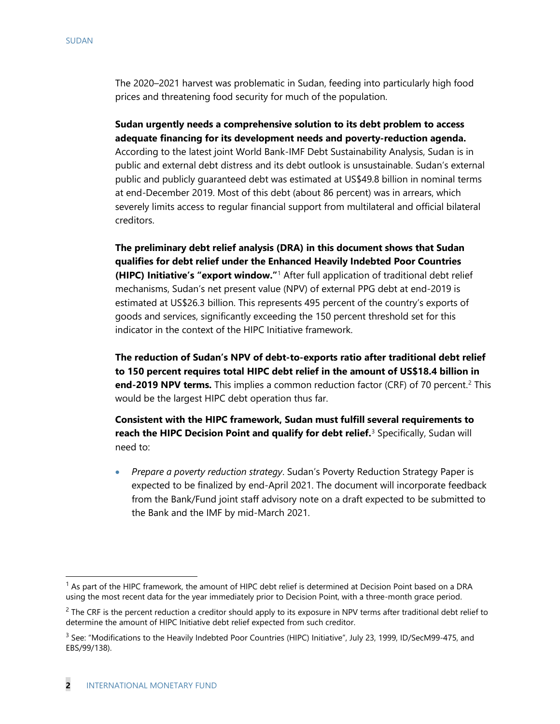The 2020–2021 harvest was problematic in Sudan, feeding into particularly high food prices and threatening food security for much of the population.

**Sudan urgently needs a comprehensive solution to its debt problem to access adequate financing for its development needs and poverty-reduction agenda.**  According to the latest joint World Bank-IMF Debt Sustainability Analysis, Sudan is in public and external debt distress and its debt outlook is unsustainable. Sudan's external public and publicly guaranteed debt was estimated at US\$49.8 billion in nominal terms at end-December 2019. Most of this debt (about 86 percent) was in arrears, which severely limits access to regular financial support from multilateral and official bilateral creditors.

**The preliminary debt relief analysis (DRA) in this document shows that Sudan qualifies for debt relief under the Enhanced Heavily Indebted Poor Countries (HIPC) Initiative's "export window."**[1](#page-4-0) After full application of traditional debt relief mechanisms, Sudan's net present value (NPV) of external PPG debt at end-2019 is estimated at US\$26.3 billion. This represents 495 percent of the country's exports of goods and services, significantly exceeding the 150 percent threshold set for this indicator in the context of the HIPC Initiative framework.

**The reduction of Sudan's NPV of debt-to-exports ratio after traditional debt relief to 150 percent requires total HIPC debt relief in the amount of US\$18.4 billion in end-[2](#page-4-1)019 NPV terms.** This implies a common reduction factor (CRF) of 70 percent.<sup>2</sup> This would be the largest HIPC debt operation thus far.

**Consistent with the HIPC framework, Sudan must fulfill several requirements to reach the HIPC Decision Point and qualify for debt relief.** [3](#page-4-2) Specifically, Sudan will need to:

• *Prepare a poverty reduction strategy*. Sudan's Poverty Reduction Strategy Paper is expected to be finalized by end-April 2021. The document will incorporate feedback from the Bank/Fund joint staff advisory note on a draft expected to be submitted to the Bank and the IMF by mid-March 2021.

<span id="page-4-0"></span> $<sup>1</sup>$  As part of the HIPC framework, the amount of HIPC debt relief is determined at Decision Point based on a DRA</sup> using the most recent data for the year immediately prior to Decision Point, with a three-month grace period.

<span id="page-4-1"></span> $2$  The CRF is the percent reduction a creditor should apply to its exposure in NPV terms after traditional debt relief to determine the amount of HIPC Initiative debt relief expected from such creditor.

<span id="page-4-2"></span><sup>&</sup>lt;sup>3</sup> See: "Modifications to the Heavily Indebted Poor Countries (HIPC) Initiative", July 23, 1999, ID/SecM99-475, and EBS/99/138).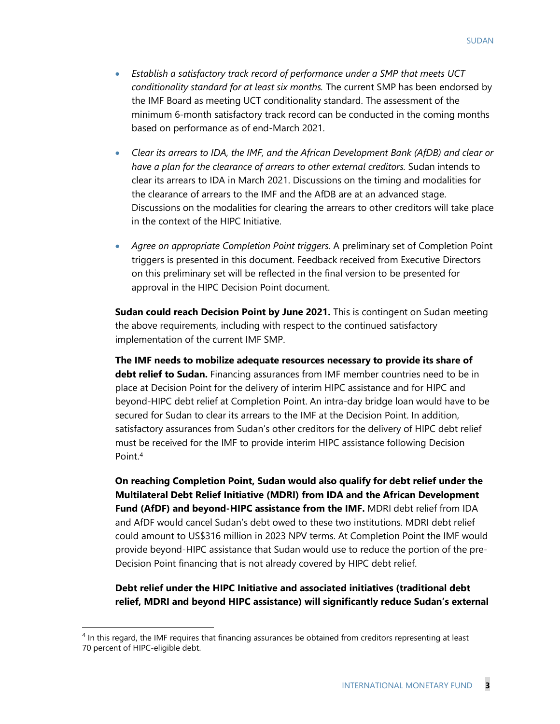- *Establish a satisfactory track record of performance under a SMP that meets UCT conditionality standard for at least six months.* The current SMP has been endorsed by the IMF Board as meeting UCT conditionality standard. The assessment of the minimum 6-month satisfactory track record can be conducted in the coming months based on performance as of end-March 2021.
- *Clear its arrears to IDA, the IMF, and the African Development Bank (AfDB) and clear or have a plan for the clearance of arrears to other external creditors.* Sudan intends to clear its arrears to IDA in March 2021. Discussions on the timing and modalities for the clearance of arrears to the IMF and the AfDB are at an advanced stage. Discussions on the modalities for clearing the arrears to other creditors will take place in the context of the HIPC Initiative.
- *Agree on appropriate Completion Point triggers*. A preliminary set of Completion Point triggers is presented in this document. Feedback received from Executive Directors on this preliminary set will be reflected in the final version to be presented for approval in the HIPC Decision Point document.

**Sudan could reach Decision Point by June 2021.** This is contingent on Sudan meeting the above requirements, including with respect to the continued satisfactory implementation of the current IMF SMP.

**The IMF needs to mobilize adequate resources necessary to provide its share of debt relief to Sudan.** Financing assurances from IMF member countries need to be in place at Decision Point for the delivery of interim HIPC assistance and for HIPC and beyond-HIPC debt relief at Completion Point. An intra-day bridge loan would have to be secured for Sudan to clear its arrears to the IMF at the Decision Point. In addition, satisfactory assurances from Sudan's other creditors for the delivery of HIPC debt relief must be received for the IMF to provide interim HIPC assistance following Decision Point.[4](#page-5-0)

**On reaching Completion Point, Sudan would also qualify for debt relief under the Multilateral Debt Relief Initiative (MDRI) from IDA and the African Development Fund (AfDF) and beyond-HIPC assistance from the IMF.** MDRI debt relief from IDA and AfDF would cancel Sudan's debt owed to these two institutions. MDRI debt relief could amount to US\$316 million in 2023 NPV terms. At Completion Point the IMF would provide beyond-HIPC assistance that Sudan would use to reduce the portion of the pre-Decision Point financing that is not already covered by HIPC debt relief.

**Debt relief under the HIPC Initiative and associated initiatives (traditional debt relief, MDRI and beyond HIPC assistance) will significantly reduce Sudan's external** 

<span id="page-5-0"></span><sup>&</sup>lt;sup>4</sup> In this regard, the IMF requires that financing assurances be obtained from creditors representing at least 70 percent of HIPC-eligible debt.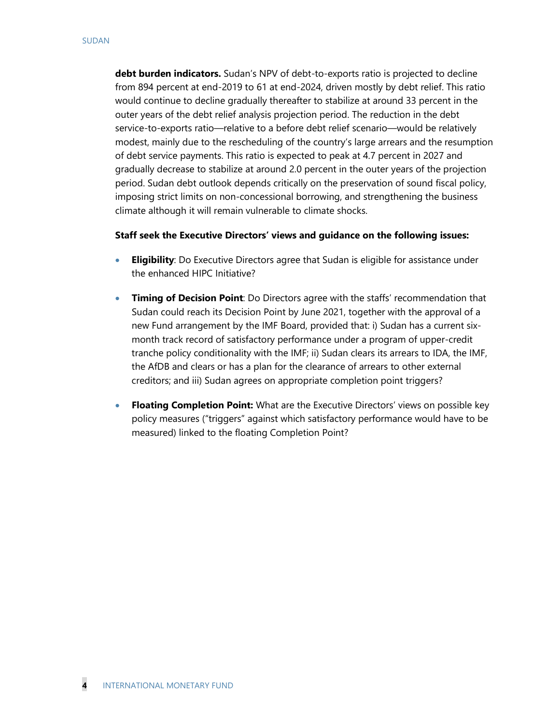**debt burden indicators.** Sudan's NPV of debt-to-exports ratio is projected to decline from 894 percent at end-2019 to 61 at end-2024, driven mostly by debt relief. This ratio would continue to decline gradually thereafter to stabilize at around 33 percent in the outer years of the debt relief analysis projection period. The reduction in the debt service-to-exports ratio—relative to a before debt relief scenario—would be relatively modest, mainly due to the rescheduling of the country's large arrears and the resumption of debt service payments. This ratio is expected to peak at 4.7 percent in 2027 and gradually decrease to stabilize at around 2.0 percent in the outer years of the projection period. Sudan debt outlook depends critically on the preservation of sound fiscal policy, imposing strict limits on non-concessional borrowing, and strengthening the business climate although it will remain vulnerable to climate shocks.

#### **Staff seek the Executive Directors' views and guidance on the following issues:**

- **Eligibility**: Do Executive Directors agree that Sudan is eligible for assistance under the enhanced HIPC Initiative?
- **Timing of Decision Point**: Do Directors agree with the staffs' recommendation that Sudan could reach its Decision Point by June 2021, together with the approval of a new Fund arrangement by the IMF Board, provided that: i) Sudan has a current sixmonth track record of satisfactory performance under a program of upper-credit tranche policy conditionality with the IMF; ii) Sudan clears its arrears to IDA, the IMF, the AfDB and clears or has a plan for the clearance of arrears to other external creditors; and iii) Sudan agrees on appropriate completion point triggers?
- **Floating Completion Point:** What are the Executive Directors' views on possible key policy measures ("triggers" against which satisfactory performance would have to be measured) linked to the floating Completion Point?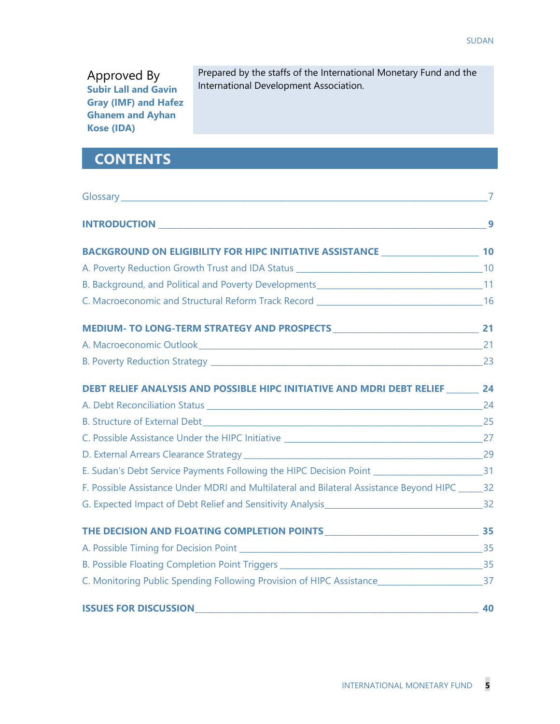Approved By **Subir Lall and Gavin Gray (IMF) and Hafez Ghanem and Ayhan Kose (IDA)**

Prepared by the staffs of the International Monetary Fund and the International Development Association.

## **CONTENTS**

|                                                                                                        | 9  |
|--------------------------------------------------------------------------------------------------------|----|
| BACKGROUND ON ELIGIBILITY FOR HIPC INITIATIVE ASSISTANCE ________________________ 10                   |    |
|                                                                                                        |    |
|                                                                                                        |    |
|                                                                                                        |    |
|                                                                                                        |    |
| A. Macroeconomic Outlook 2000 Communication and 21 AM across 21                                        |    |
|                                                                                                        |    |
| <b>DEBT RELIEF ANALYSIS AND POSSIBLE HIPC INITIATIVE AND MDRI DEBT RELIEF 24</b>                       |    |
|                                                                                                        |    |
|                                                                                                        |    |
|                                                                                                        |    |
|                                                                                                        |    |
| E. Sudan's Debt Service Payments Following the HIPC Decision Point _____________________________31     |    |
| F. Possible Assistance Under MDRI and Multilateral and Bilateral Assistance Beyond HIPC ______ 32      |    |
|                                                                                                        |    |
|                                                                                                        |    |
|                                                                                                        |    |
|                                                                                                        |    |
| C. Monitoring Public Spending Following Provision of HIPC Assistance________________________________37 |    |
| <b>ISSUES FOR DISCUSSION</b>                                                                           | 40 |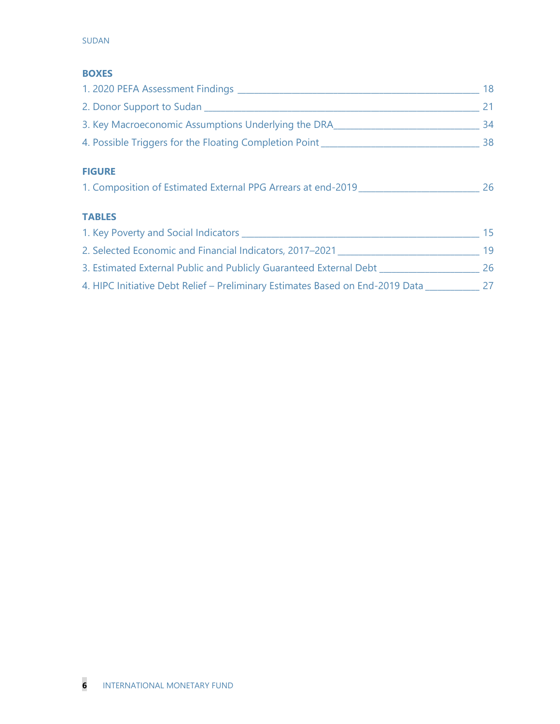#### SUDAN

#### **BOXES**

|                                                                                  | 18 |
|----------------------------------------------------------------------------------|----|
|                                                                                  | 21 |
| 3. Key Macroeconomic Assumptions Underlying the DRA ____________________________ | 34 |
| 4. Possible Triggers for the Floating Completion Point _________________________ | 38 |
| <b>FIGURE</b>                                                                    |    |
| 1. Composition of Estimated External PPG Arrears at end-2019                     | 26 |
| <b>TABLES</b>                                                                    |    |
|                                                                                  | 15 |
| 2. Selected Economic and Financial Indicators, 2017–2021                         | 19 |
| 3. Estimated External Public and Publicly Guaranteed External Debt _____________ | 26 |
| 4. HIPC Initiative Debt Relief – Preliminary Estimates Based on End-2019 Data 27 |    |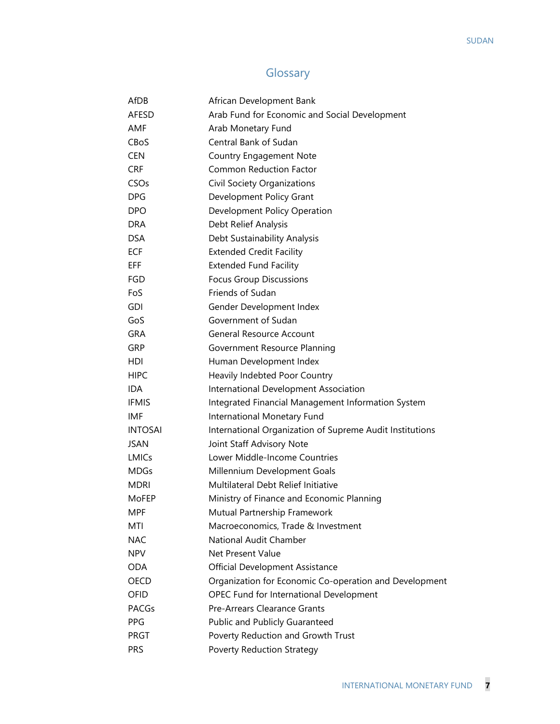## Glossary

| AfDB           | African Development Bank                                 |
|----------------|----------------------------------------------------------|
| AFESD          | Arab Fund for Economic and Social Development            |
| AMF            | Arab Monetary Fund                                       |
| CBoS           | Central Bank of Sudan                                    |
| <b>CEN</b>     | <b>Country Engagement Note</b>                           |
| <b>CRF</b>     | <b>Common Reduction Factor</b>                           |
| CSOs           | Civil Society Organizations                              |
| <b>DPG</b>     | Development Policy Grant                                 |
| <b>DPO</b>     | Development Policy Operation                             |
| <b>DRA</b>     | Debt Relief Analysis                                     |
| <b>DSA</b>     | Debt Sustainability Analysis                             |
| <b>ECF</b>     | <b>Extended Credit Facility</b>                          |
| EFF.           | <b>Extended Fund Facility</b>                            |
| <b>FGD</b>     | <b>Focus Group Discussions</b>                           |
| FoS            | Friends of Sudan                                         |
| <b>GDI</b>     | Gender Development Index                                 |
| GoS            | Government of Sudan                                      |
| <b>GRA</b>     | <b>General Resource Account</b>                          |
| GRP            | Government Resource Planning                             |
| HDI            | Human Development Index                                  |
| <b>HIPC</b>    | Heavily Indebted Poor Country                            |
| <b>IDA</b>     | International Development Association                    |
| <b>IFMIS</b>   | Integrated Financial Management Information System       |
| IMF            | International Monetary Fund                              |
| <b>INTOSAI</b> | International Organization of Supreme Audit Institutions |
| <b>JSAN</b>    | Joint Staff Advisory Note                                |
| <b>LMICs</b>   | Lower Middle-Income Countries                            |
| <b>MDGs</b>    | Millennium Development Goals                             |
| <b>MDRI</b>    | Multilateral Debt Relief Initiative                      |
| MoFEP          | Ministry of Finance and Economic Planning                |
| MPF            | Mutual Partnership Framework                             |
| MTI            | Macroeconomics, Trade & Investment                       |
| <b>NAC</b>     | National Audit Chamber                                   |
| <b>NPV</b>     | Net Present Value                                        |
| <b>ODA</b>     | <b>Official Development Assistance</b>                   |
| OECD           | Organization for Economic Co-operation and Development   |
| OFID           | OPEC Fund for International Development                  |
| <b>PACGs</b>   | Pre-Arrears Clearance Grants                             |
| <b>PPG</b>     | Public and Publicly Guaranteed                           |
| PRGT           | Poverty Reduction and Growth Trust                       |
| <b>PRS</b>     | <b>Poverty Reduction Strategy</b>                        |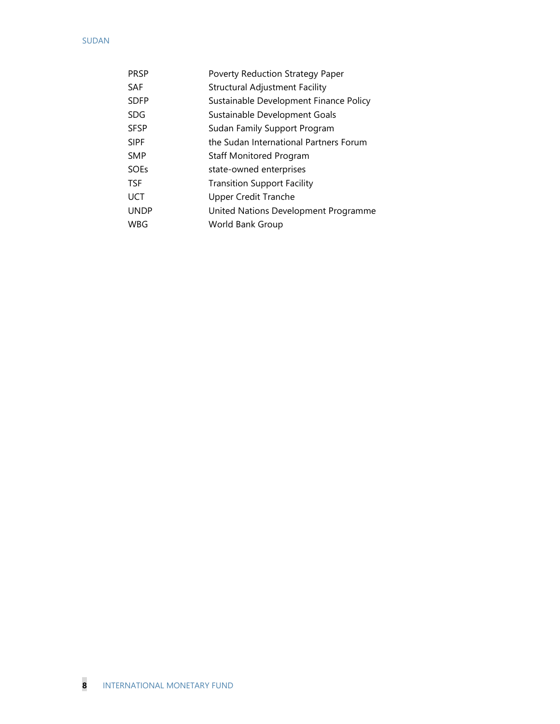#### SUDAN

| <b>PRSP</b> | Poverty Reduction Strategy Paper       |
|-------------|----------------------------------------|
| <b>SAF</b>  | <b>Structural Adjustment Facility</b>  |
| <b>SDFP</b> | Sustainable Development Finance Policy |
| <b>SDG</b>  | Sustainable Development Goals          |
| <b>SFSP</b> | Sudan Family Support Program           |
| <b>SIPF</b> | the Sudan International Partners Forum |
| <b>SMP</b>  | Staff Monitored Program                |
| <b>SOEs</b> | state-owned enterprises                |
| <b>TSF</b>  | <b>Transition Support Facility</b>     |
| UCT         | <b>Upper Credit Tranche</b>            |
| <b>UNDP</b> | United Nations Development Programme   |
| WBG         | World Bank Group                       |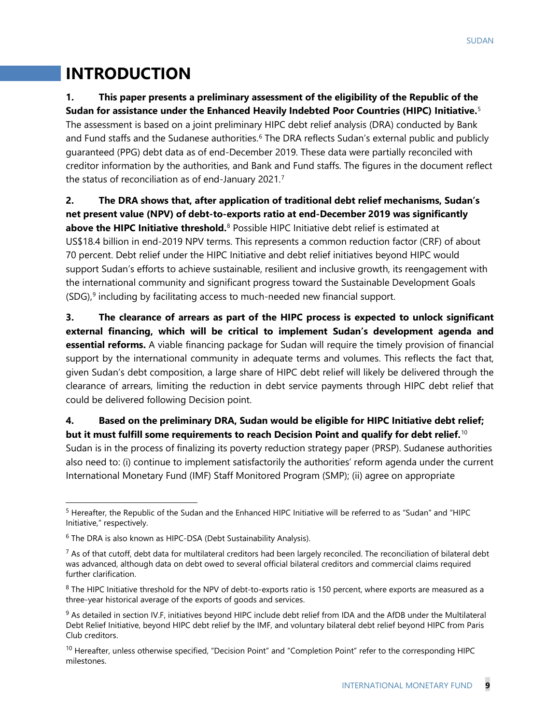## **INTRODUCTION**

## **1. This paper presents a preliminary assessment of the eligibility of the Republic of the**

**Sudan for assistance under the Enhanced Heavily Indebted Poor Countries (HIPC) Initiative.** [5](#page-11-0) The assessment is based on a joint preliminary HIPC debt relief analysis (DRA) conducted by Bank and Fund staffs and the Sudanese authorities.<sup>[6](#page-11-1)</sup> The DRA reflects Sudan's external public and publicly guaranteed (PPG) debt data as of end-December 2019. These data were partially reconciled with creditor information by the authorities, and Bank and Fund staffs. The figures in the document reflect the status of reconciliation as of end-January 2021.[7](#page-11-2)

**2. The DRA shows that, after application of traditional debt relief mechanisms, Sudan's net present value (NPV) of debt-to-exports ratio at end-December 2019 was significantly above the HIPC Initiative threshold.**<sup>[8](#page-11-3)</sup> Possible HIPC Initiative debt relief is estimated at US\$18.4 billion in end-2019 NPV terms. This represents a common reduction factor (CRF) of about 70 percent. Debt relief under the HIPC Initiative and debt relief initiatives beyond HIPC would support Sudan's efforts to achieve sustainable, resilient and inclusive growth, its reengagement with the international community and significant progress toward the Sustainable Development Goals  $(SDG)$ ,<sup>[9](#page-11-4)</sup> including by facilitating access to much-needed new financial support.

**3. The clearance of arrears as part of the HIPC process is expected to unlock significant external financing, which will be critical to implement Sudan's development agenda and essential reforms.** A viable financing package for Sudan will require the timely provision of financial support by the international community in adequate terms and volumes. This reflects the fact that, given Sudan's debt composition, a large share of HIPC debt relief will likely be delivered through the clearance of arrears, limiting the reduction in debt service payments through HIPC debt relief that could be delivered following Decision point.

## **4. Based on the preliminary DRA, Sudan would be eligible for HIPC Initiative debt relief;**

**but it must fulfill some requirements to reach Decision Point and qualify for debt relief.** [10](#page-11-5) Sudan is in the process of finalizing its poverty reduction strategy paper (PRSP). Sudanese authorities also need to: (i) continue to implement satisfactorily the authorities' reform agenda under the current International Monetary Fund (IMF) Staff Monitored Program (SMP); (ii) agree on appropriate

<span id="page-11-0"></span><sup>&</sup>lt;sup>5</sup> Hereafter, the Republic of the Sudan and the Enhanced HIPC Initiative will be referred to as "Sudan" and "HIPC Initiative," respectively.

<span id="page-11-1"></span> $6$  The DRA is also known as HIPC-DSA (Debt Sustainability Analysis).

<span id="page-11-2"></span> $^7$  As of that cutoff, debt data for multilateral creditors had been largely reconciled. The reconciliation of bilateral debt was advanced, although data on debt owed to several official bilateral creditors and commercial claims required further clarification.

<span id="page-11-3"></span> $8$  The HIPC Initiative threshold for the NPV of debt-to-exports ratio is 150 percent, where exports are measured as a three-year historical average of the exports of goods and services.

<span id="page-11-4"></span><sup>&</sup>lt;sup>9</sup> As detailed in section IV.F, initiatives beyond HIPC include debt relief from IDA and the AfDB under the Multilateral Debt Relief Initiative, beyond HIPC debt relief by the IMF, and voluntary bilateral debt relief beyond HIPC from Paris Club creditors.

<span id="page-11-5"></span><sup>&</sup>lt;sup>10</sup> Hereafter, unless otherwise specified, "Decision Point" and "Completion Point" refer to the corresponding HIPC milestones.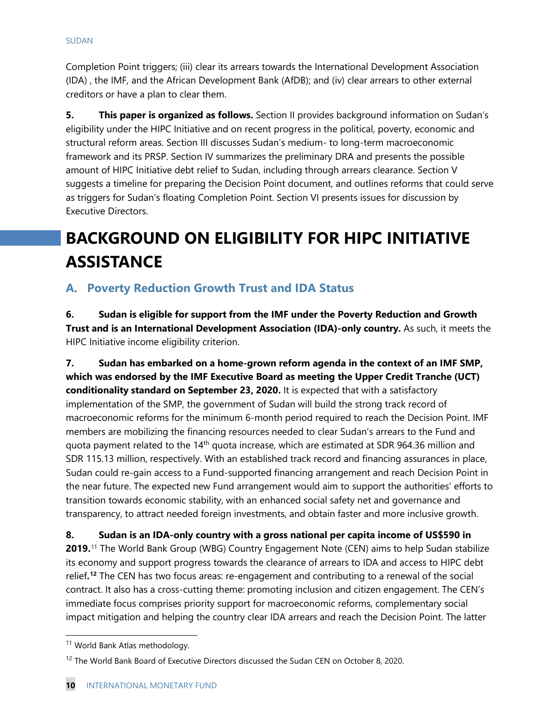Completion Point triggers; (iii) clear its arrears towards the International Development Association (IDA) , the IMF, and the African Development Bank (AfDB); and (iv) clear arrears to other external creditors or have a plan to clear them.

**5. This paper is organized as follows.** Section II provides background information on Sudan's eligibility under the HIPC Initiative and on recent progress in the political, poverty, economic and structural reform areas. Section III discusses Sudan's medium- to long-term macroeconomic framework and its PRSP. Section IV summarizes the preliminary DRA and presents the possible amount of HIPC Initiative debt relief to Sudan, including through arrears clearance. Section V suggests a timeline for preparing the Decision Point document, and outlines reforms that could serve as triggers for Sudan's floating Completion Point. Section VI presents issues for discussion by Executive Directors.

## **BACKGROUND ON ELIGIBILITY FOR HIPC INITIATIVE ASSISTANCE**

## **A. Poverty Reduction Growth Trust and IDA Status**

**6. Sudan is eligible for support from the IMF under the Poverty Reduction and Growth Trust and is an International Development Association (IDA)-only country.** As such, it meets the HIPC Initiative income eligibility criterion.

**7. Sudan has embarked on a home-grown reform agenda in the context of an IMF SMP, which was endorsed by the IMF Executive Board as meeting the Upper Credit Tranche (UCT) conditionality standard on September 23, 2020.** It is expected that with a satisfactory implementation of the SMP, the government of Sudan will build the strong track record of macroeconomic reforms for the minimum 6-month period required to reach the Decision Point. IMF members are mobilizing the financing resources needed to clear Sudan's arrears to the Fund and quota payment related to the 14<sup>th</sup> quota increase, which are estimated at SDR 964.36 million and SDR 115.13 million, respectively. With an established track record and financing assurances in place, Sudan could re-gain access to a Fund-supported financing arrangement and reach Decision Point in the near future. The expected new Fund arrangement would aim to support the authorities' efforts to transition towards economic stability, with an enhanced social safety net and governance and transparency, to attract needed foreign investments, and obtain faster and more inclusive growth.

**8. Sudan is an IDA-only country with a gross national per capita income of US\$590 in 2019.** [11](#page-12-0) The World Bank Group (WBG) Country Engagement Note (CEN) aims to help Sudan stabilize its economy and support progress towards the clearance of arrears to IDA and access to HIPC debt relief**. [12](#page-12-1)** The CEN has two focus areas: re-engagement and contributing to a renewal of the social contract. It also has a cross-cutting theme: promoting inclusion and citizen engagement. The CEN's immediate focus comprises priority support for macroeconomic reforms, complementary social impact mitigation and helping the country clear IDA arrears and reach the Decision Point. The latter

<span id="page-12-0"></span><sup>&</sup>lt;sup>11</sup> World Bank Atlas methodology.

<span id="page-12-1"></span><sup>&</sup>lt;sup>12</sup> The World Bank Board of Executive Directors discussed the Sudan CEN on October 8, 2020.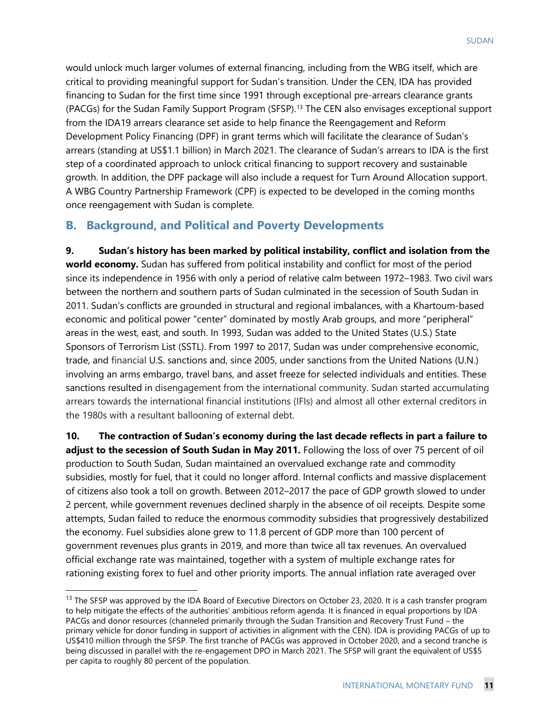would unlock much larger volumes of external financing, including from the WBG itself, which are critical to providing meaningful support for Sudan's transition. Under the CEN, IDA has provided financing to Sudan for the first time since 1991 through exceptional pre-arrears clearance grants (PACGs) for the Sudan Family Support Program (SFSP)[.13](#page-13-0) The CEN also envisages exceptional support from the IDA19 arrears clearance set aside to help finance the Reengagement and Reform Development Policy Financing (DPF) in grant terms which will facilitate the clearance of Sudan's arrears (standing at US\$1.1 billion) in March 2021. The clearance of Sudan's arrears to IDA is the first step of a coordinated approach to unlock critical financing to support recovery and sustainable growth. In addition, the DPF package will also include a request for Turn Around Allocation support. A WBG Country Partnership Framework (CPF) is expected to be developed in the coming months once reengagement with Sudan is complete.

### **B. Background, and Political and Poverty Developments**

**9. Sudan's history has been marked by political instability, conflict and isolation from the world economy.** Sudan has suffered from political instability and conflict for most of the period since its independence in 1956 with only a period of relative calm between 1972–1983. Two civil wars between the northern and southern parts of Sudan culminated in the secession of South Sudan in 2011. Sudan's conflicts are grounded in structural and regional imbalances, with a Khartoum-based economic and political power "center" dominated by mostly Arab groups, and more "peripheral" areas in the west, east, and south. In 1993, Sudan was added to the United States (U.S.) State Sponsors of Terrorism List (SSTL). From 1997 to 2017, Sudan was under comprehensive economic, trade, and financial U.S. sanctions and, since 2005, under sanctions from the United Nations (U.N.) involving an arms embargo, travel bans, and asset freeze for selected individuals and entities. These sanctions resulted in disengagement from the international community. Sudan started accumulating arrears towards the international financial institutions (IFIs) and almost all other external creditors in the 1980s with a resultant ballooning of external debt.

**10. The contraction of Sudan's economy during the last decade reflects in part a failure to adjust to the secession of South Sudan in May 2011.** Following the loss of over 75 percent of oil production to South Sudan, Sudan maintained an overvalued exchange rate and commodity subsidies, mostly for fuel, that it could no longer afford. Internal conflicts and massive displacement of citizens also took a toll on growth. Between 2012–2017 the pace of GDP growth slowed to under 2 percent, while government revenues declined sharply in the absence of oil receipts. Despite some attempts, Sudan failed to reduce the enormous commodity subsidies that progressively destabilized the economy. Fuel subsidies alone grew to 11.8 percent of GDP more than 100 percent of government revenues plus grants in 2019, and more than twice all tax revenues. An overvalued official exchange rate was maintained, together with a system of multiple exchange rates for rationing existing forex to fuel and other priority imports. The annual inflation rate averaged over

<span id="page-13-0"></span><sup>&</sup>lt;sup>13</sup> The SFSP was approved by the IDA Board of Executive Directors on October 23, 2020. It is a cash transfer program to help mitigate the effects of the authorities' ambitious reform agenda. It is financed in equal proportions by IDA PACGs and donor resources (channeled primarily through the Sudan Transition and Recovery Trust Fund – the primary vehicle for donor funding in support of activities in alignment with the CEN). IDA is providing PACGs of up to US\$410 million through the SFSP. The first tranche of PACGs was approved in October 2020, and a second tranche is being discussed in parallel with the re-engagement DPO in March 2021. The SFSP will grant the equivalent of US\$5 per capita to roughly 80 percent of the population.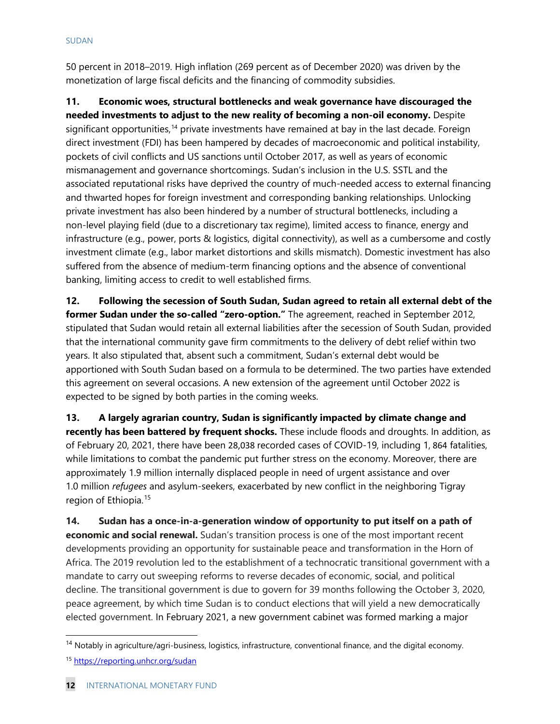50 percent in 2018–2019. High inflation (269 percent as of December 2020) was driven by the monetization of large fiscal deficits and the financing of commodity subsidies.

**11. Economic woes, structural bottlenecks and weak governance have discouraged the needed investments to adjust to the new reality of becoming a non-oil economy.** Despite significant opportunities,<sup>[14](#page-14-0)</sup> private investments have remained at bay in the last decade. Foreign direct investment (FDI) has been hampered by decades of macroeconomic and political instability, pockets of civil conflicts and US sanctions until October 2017, as well as years of economic mismanagement and governance shortcomings. Sudan's inclusion in the U.S. SSTL and the associated reputational risks have deprived the country of much-needed access to external financing and thwarted hopes for foreign investment and corresponding banking relationships. Unlocking private investment has also been hindered by a number of structural bottlenecks, including a non-level playing field (due to a discretionary tax regime), limited access to finance, energy and infrastructure (e.g., power, ports & logistics, digital connectivity), as well as a cumbersome and costly investment climate (e.g., labor market distortions and skills mismatch). Domestic investment has also suffered from the absence of medium-term financing options and the absence of conventional banking, limiting access to credit to well established firms.

**12. Following the secession of South Sudan, Sudan agreed to retain all external debt of the former Sudan under the so-called "zero-option."** The agreement, reached in September 2012, stipulated that Sudan would retain all external liabilities after the secession of South Sudan, provided that the international community gave firm commitments to the delivery of debt relief within two years. It also stipulated that, absent such a commitment, Sudan's external debt would be apportioned with South Sudan based on a formula to be determined. The two parties have extended this agreement on several occasions. A new extension of the agreement until October 2022 is expected to be signed by both parties in the coming weeks.

**13. A largely agrarian country, Sudan is significantly impacted by climate change and recently has been battered by frequent shocks.** These include floods and droughts. In addition, as of February 20, 2021, there have been 28,038 recorded cases of COVID-19, including 1, 864 fatalities, while limitations to combat the pandemic put further stress on the economy. Moreover, there are approximately 1.9 million internally displaced people in need of urgent assistance and over 1.0 million *refugees* and asylum-seekers, exacerbated by new conflict in the neighboring Tigray region of Ethiopia.[15](#page-14-1)

**14. Sudan has a once-in-a-generation window of opportunity to put itself on a path of economic and social renewal.** Sudan's transition process is one of the most important recent developments providing an opportunity for sustainable peace and transformation in the Horn of Africa. The 2019 revolution led to the establishment of a technocratic transitional government with a mandate to carry out sweeping reforms to reverse decades of economic, social, and political decline. The transitional government is due to govern for 39 months following the October 3, 2020, peace agreement, by which time Sudan is to conduct elections that will yield a new democratically elected government. In February 2021, a new government cabinet was formed marking a major

<span id="page-14-0"></span><sup>&</sup>lt;sup>14</sup> Notably in agriculture/agri-business, logistics, infrastructure, conventional finance, and the digital economy.

<span id="page-14-1"></span><sup>15</sup> <https://reporting.unhcr.org/sudan>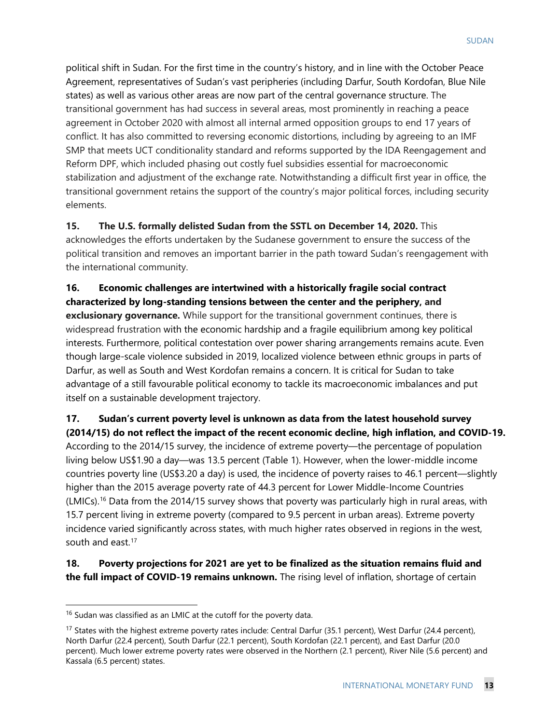political shift in Sudan. For the first time in the country's history, and in line with the October Peace Agreement, representatives of Sudan's vast peripheries (including Darfur, South Kordofan, Blue Nile states) as well as various other areas are now part of the central governance structure. The transitional government has had success in several areas, most prominently in reaching a peace agreement in October 2020 with almost all internal armed opposition groups to end 17 years of conflict. It has also committed to reversing economic distortions, including by agreeing to an IMF SMP that meets UCT conditionality standard and reforms supported by the IDA Reengagement and Reform DPF, which included phasing out costly fuel subsidies essential for macroeconomic stabilization and adjustment of the exchange rate. Notwithstanding a difficult first year in office, the transitional government retains the support of the country's major political forces, including security elements.

**15. The U.S. formally delisted Sudan from the SSTL on December 14, 2020.** This acknowledges the efforts undertaken by the Sudanese government to ensure the success of the political transition and removes an important barrier in the path toward Sudan's reengagement with the international community.

**16. Economic challenges are intertwined with a historically fragile social contract characterized by long-standing tensions between the center and the periphery, and exclusionary governance.** While support for the transitional government continues, there is widespread frustration with the economic hardship and a fragile equilibrium among key political interests. Furthermore, political contestation over power sharing arrangements remains acute. Even though large-scale violence subsided in 2019, localized violence between ethnic groups in parts of Darfur, as well as South and West Kordofan remains a concern. It is critical for Sudan to take advantage of a still favourable political economy to tackle its macroeconomic imbalances and put itself on a sustainable development trajectory.

**17. Sudan's current poverty level is unknown as data from the latest household survey (2014/15) do not reflect the impact of the recent economic decline, high inflation, and COVID-19.**

According to the 2014/15 survey, the incidence of extreme poverty—the percentage of population living below US\$1.90 a day—was 13.5 percent (Table 1). However, when the lower-middle income countries poverty line (US\$3.20 a day) is used, the incidence of poverty raises to 46.1 percent—slightly higher than the 2015 average poverty rate of 44.3 percent for Lower Middle-Income Countries (LMICs).[16](#page-15-0) Data from the 2014/15 survey shows that poverty was particularly high in rural areas, with 15.7 percent living in extreme poverty (compared to 9.5 percent in urban areas). Extreme poverty incidence varied significantly across states, with much higher rates observed in regions in the west, south and east.<sup>[17](#page-15-1)</sup>

**18. Poverty projections for 2021 are yet to be finalized as the situation remains fluid and the full impact of COVID-19 remains unknown.** The rising level of inflation, shortage of certain

<span id="page-15-0"></span> $16$  Sudan was classified as an LMIC at the cutoff for the poverty data.

<span id="page-15-1"></span><sup>&</sup>lt;sup>17</sup> States with the highest extreme poverty rates include: Central Darfur (35.1 percent), West Darfur (24.4 percent), North Darfur (22.4 percent), South Darfur (22.1 percent), South Kordofan (22.1 percent), and East Darfur (20.0 percent). Much lower extreme poverty rates were observed in the Northern (2.1 percent), River Nile (5.6 percent) and Kassala (6.5 percent) states.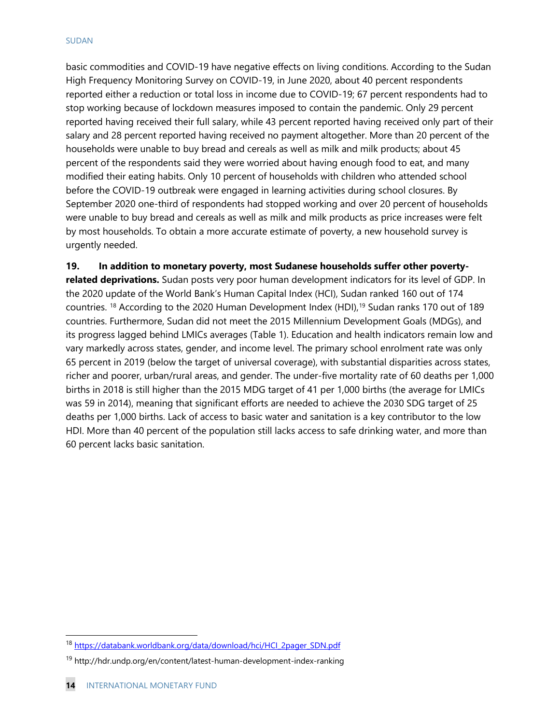#### SUDAN

basic commodities and COVID-19 have negative effects on living conditions. According to the Sudan High Frequency Monitoring Survey on COVID-19, in June 2020, about 40 percent respondents reported either a reduction or total loss in income due to COVID-19; 67 percent respondents had to stop working because of lockdown measures imposed to contain the pandemic. Only 29 percent reported having received their full salary, while 43 percent reported having received only part of their salary and 28 percent reported having received no payment altogether. More than 20 percent of the households were unable to buy bread and cereals as well as milk and milk products; about 45 percent of the respondents said they were worried about having enough food to eat, and many modified their eating habits. Only 10 percent of households with children who attended school before the COVID-19 outbreak were engaged in learning activities during school closures. By September 2020 one-third of respondents had stopped working and over 20 percent of households were unable to buy bread and cereals as well as milk and milk products as price increases were felt by most households. To obtain a more accurate estimate of poverty, a new household survey is urgently needed.

**19. In addition to monetary poverty, most Sudanese households suffer other poverty-**

**related deprivations.** Sudan posts very poor human development indicators for its level of GDP. In the 2020 update of the World Bank's Human Capital Index (HCI), Sudan ranked 160 out of 174 countries. [18](#page-16-0) According to the 2020 Human Development Index (HDI), [19](#page-16-1) Sudan ranks 170 out of 189 countries. Furthermore, Sudan did not meet the 2015 Millennium Development Goals (MDGs), and its progress lagged behind LMICs averages (Table 1). Education and health indicators remain low and vary markedly across states, gender, and income level. The primary school enrolment rate was only 65 percent in 2019 (below the target of universal coverage), with substantial disparities across states, richer and poorer, urban/rural areas, and gender. The under-five mortality rate of 60 deaths per 1,000 births in 2018 is still higher than the 2015 MDG target of 41 per 1,000 births (the average for LMICs was 59 in 2014), meaning that significant efforts are needed to achieve the 2030 SDG target of 25 deaths per 1,000 births. Lack of access to basic water and sanitation is a key contributor to the low HDI. More than 40 percent of the population still lacks access to safe drinking water, and more than 60 percent lacks basic sanitation.

<span id="page-16-0"></span><sup>18</sup> [https://databank.worldbank.org/data/download/hci/HCI\\_2pager\\_SDN.pdf](https://databank.worldbank.org/data/download/hci/HCI_2pager_SDN.pdf)

<span id="page-16-1"></span><sup>19</sup> http://hdr.undp.org/en/content/latest-human-development-index-ranking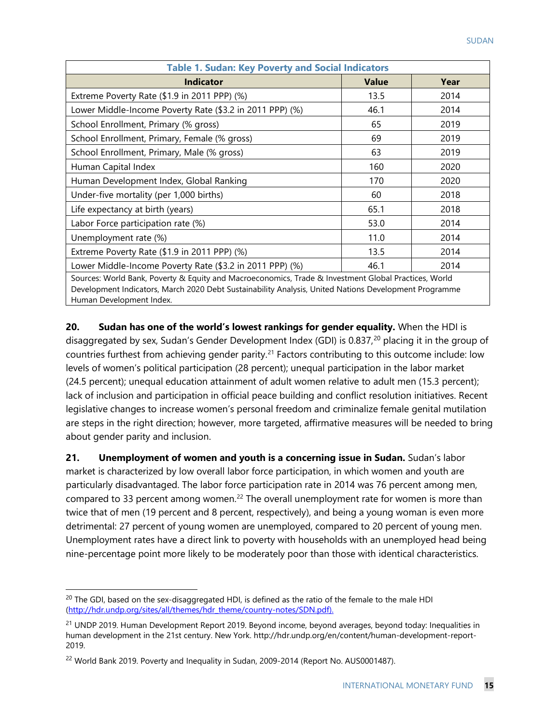| <b>Table 1. Sudan: Key Poverty and Social Indicators</b>                                                                                                                                                                                  |              |      |  |  |  |  |  |  |  |
|-------------------------------------------------------------------------------------------------------------------------------------------------------------------------------------------------------------------------------------------|--------------|------|--|--|--|--|--|--|--|
| <b>Indicator</b>                                                                                                                                                                                                                          | <b>Value</b> | Year |  |  |  |  |  |  |  |
| Extreme Poverty Rate (\$1.9 in 2011 PPP) (%)                                                                                                                                                                                              | 13.5         | 2014 |  |  |  |  |  |  |  |
| Lower Middle-Income Poverty Rate (\$3.2 in 2011 PPP) (%)                                                                                                                                                                                  | 46.1         | 2014 |  |  |  |  |  |  |  |
| School Enrollment, Primary (% gross)                                                                                                                                                                                                      | 65           | 2019 |  |  |  |  |  |  |  |
| School Enrollment, Primary, Female (% gross)                                                                                                                                                                                              | 69           | 2019 |  |  |  |  |  |  |  |
| School Enrollment, Primary, Male (% gross)                                                                                                                                                                                                | 63           | 2019 |  |  |  |  |  |  |  |
| Human Capital Index                                                                                                                                                                                                                       | 160          | 2020 |  |  |  |  |  |  |  |
| Human Development Index, Global Ranking                                                                                                                                                                                                   | 170          | 2020 |  |  |  |  |  |  |  |
| Under-five mortality (per 1,000 births)                                                                                                                                                                                                   | 60           | 2018 |  |  |  |  |  |  |  |
| Life expectancy at birth (years)                                                                                                                                                                                                          | 65.1         | 2018 |  |  |  |  |  |  |  |
| Labor Force participation rate (%)                                                                                                                                                                                                        | 53.0         | 2014 |  |  |  |  |  |  |  |
| Unemployment rate (%)                                                                                                                                                                                                                     | 11.0         | 2014 |  |  |  |  |  |  |  |
| Extreme Poverty Rate $(\$1.9$ in 2011 PPP $)$ $%$                                                                                                                                                                                         | 13.5         | 2014 |  |  |  |  |  |  |  |
| Lower Middle-Income Poverty Rate (\$3.2 in 2011 PPP) (%)                                                                                                                                                                                  | 46.1         | 2014 |  |  |  |  |  |  |  |
| Sources: World Bank, Poverty & Equity and Macroeconomics, Trade & Investment Global Practices, World<br>Development Indicators, March 2020 Debt Sustainability Analysis, United Nations Development Programme<br>Human Development Index. |              |      |  |  |  |  |  |  |  |

**20. Sudan has one of the world's lowest rankings for gender equality.** When the HDI is disaggregated by sex, Sudan's Gender Development Index (GDI) is 0.837,<sup>[20](#page-17-0)</sup> placing it in the group of countries furthest from achieving gender parity.<sup>[21](#page-17-1)</sup> Factors contributing to this outcome include: low levels of women's political participation (28 percent); unequal participation in the labor market (24.5 percent); unequal education attainment of adult women relative to adult men (15.3 percent); lack of inclusion and participation in official peace building and conflict resolution initiatives. Recent legislative changes to increase women's personal freedom and criminalize female genital mutilation are steps in the right direction; however, more targeted, affirmative measures will be needed to bring about gender parity and inclusion.

**21. Unemployment of women and youth is a concerning issue in Sudan.** Sudan's labor market is characterized by low overall labor force participation, in which women and youth are particularly disadvantaged. The labor force participation rate in 2014 was 76 percent among men, compared to 33 percent among women.<sup>[22](#page-17-2)</sup> The overall unemployment rate for women is more than twice that of men (19 percent and 8 percent, respectively), and being a young woman is even more detrimental: 27 percent of young women are unemployed, compared to 20 percent of young men. Unemployment rates have a direct link to poverty with households with an unemployed head being nine-percentage point more likely to be moderately poor than those with identical characteristics.

<span id="page-17-0"></span><sup>&</sup>lt;sup>20</sup> The GDI, based on the sex-disaggregated HDI, is defined as the ratio of the female to the male HDI [\(http://hdr.undp.org/sites/all/themes/hdr\\_theme/country-notes/SDN.pdf\)](http://hdr.undp.org/sites/all/themes/hdr_theme/country-notes/SDN.pdf).

<span id="page-17-1"></span><sup>&</sup>lt;sup>21</sup> UNDP 2019. Human Development Report 2019. Beyond income, beyond averages, beyond today: Inequalities in human development in the 21st century. New York. http://hdr.undp.org/en/content/human-development-report-2019.

<span id="page-17-2"></span><sup>&</sup>lt;sup>22</sup> World Bank 2019. Poverty and Inequality in Sudan, 2009-2014 (Report No. AUS0001487).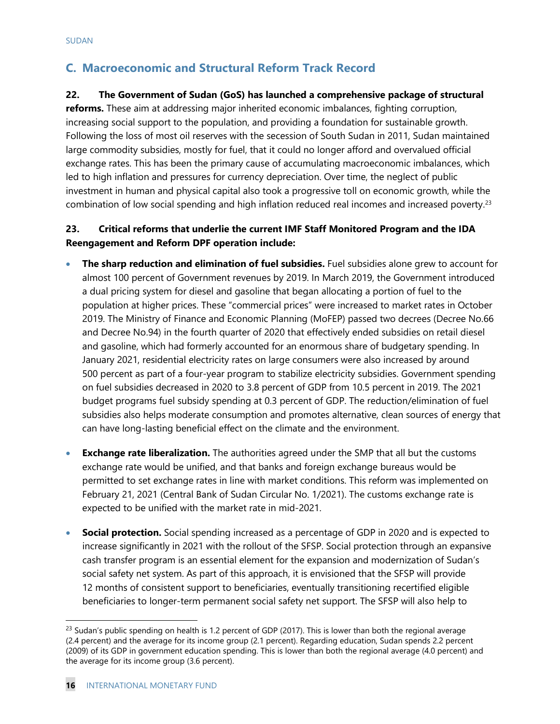## **C. Macroeconomic and Structural Reform Track Record**

#### **22. The Government of Sudan (GoS) has launched a comprehensive package of structural**

**reforms.** These aim at addressing major inherited economic imbalances, fighting corruption, increasing social support to the population, and providing a foundation for sustainable growth. Following the loss of most oil reserves with the secession of South Sudan in 2011, Sudan maintained large commodity subsidies, mostly for fuel, that it could no longer afford and overvalued official exchange rates. This has been the primary cause of accumulating macroeconomic imbalances, which led to high inflation and pressures for currency depreciation. Over time, the neglect of public investment in human and physical capital also took a progressive toll on economic growth, while the combination of low social spending and high inflation reduced real incomes and increased poverty.<sup>23</sup>

### **23. Critical reforms that underlie the current IMF Staff Monitored Program and the IDA Reengagement and Reform DPF operation include:**

- **The sharp reduction and elimination of fuel subsidies.** Fuel subsidies alone grew to account for almost 100 percent of Government revenues by 2019. In March 2019, the Government introduced a dual pricing system for diesel and gasoline that began allocating a portion of fuel to the population at higher prices. These "commercial prices" were increased to market rates in October 2019. The Ministry of Finance and Economic Planning (MoFEP) passed two decrees (Decree No.66 and Decree No.94) in the fourth quarter of 2020 that effectively ended subsidies on retail diesel and gasoline, which had formerly accounted for an enormous share of budgetary spending. In January 2021, residential electricity rates on large consumers were also increased by around 500 percent as part of a four-year program to stabilize electricity subsidies. Government spending on fuel subsidies decreased in 2020 to 3.8 percent of GDP from 10.5 percent in 2019. The 2021 budget programs fuel subsidy spending at 0.3 percent of GDP. The reduction/elimination of fuel subsidies also helps moderate consumption and promotes alternative, clean sources of energy that can have long-lasting beneficial effect on the climate and the environment.
- **Exchange rate liberalization.** The authorities agreed under the SMP that all but the customs exchange rate would be unified, and that banks and foreign exchange bureaus would be permitted to set exchange rates in line with market conditions. This reform was implemented on February 21, 2021 (Central Bank of Sudan Circular No. 1/2021). The customs exchange rate is expected to be unified with the market rate in mid-2021.
- **Social protection.** Social spending increased as a percentage of GDP in 2020 and is expected to increase significantly in 2021 with the rollout of the SFSP. Social protection through an expansive cash transfer program is an essential element for the expansion and modernization of Sudan's social safety net system. As part of this approach, it is envisioned that the SFSP will provide 12 months of consistent support to beneficiaries, eventually transitioning recertified eligible beneficiaries to longer-term permanent social safety net support. The SFSP will also help to

<span id="page-18-0"></span> $^{23}$  Sudan's public spending on health is 1.2 percent of GDP (2017). This is lower than both the regional average (2.4 percent) and the average for its income group (2.1 percent). Regarding education, Sudan spends 2.2 percent (2009) of its GDP in government education spending. This is lower than both the regional average (4.0 percent) and the average for its income group (3.6 percent).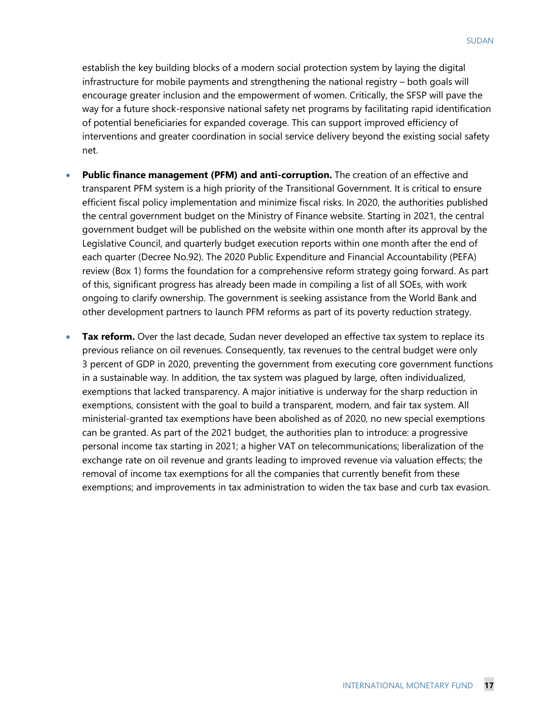establish the key building blocks of a modern social protection system by laying the digital infrastructure for mobile payments and strengthening the national registry – both goals will encourage greater inclusion and the empowerment of women. Critically, the SFSP will pave the way for a future shock-responsive national safety net programs by facilitating rapid identification of potential beneficiaries for expanded coverage. This can support improved efficiency of interventions and greater coordination in social service delivery beyond the existing social safety net.

- **Public finance management (PFM) and anti-corruption.** The creation of an effective and transparent PFM system is a high priority of the Transitional Government. It is critical to ensure efficient fiscal policy implementation and minimize fiscal risks. In 2020, the authorities published the central government budget on the Ministry of Finance website. Starting in 2021, the central government budget will be published on the website within one month after its approval by the Legislative Council, and quarterly budget execution reports within one month after the end of each quarter (Decree No.92). The 2020 Public Expenditure and Financial Accountability (PEFA) review (Box 1) forms the foundation for a comprehensive reform strategy going forward. As part of this, significant progress has already been made in compiling a list of all SOEs, with work ongoing to clarify ownership. The government is seeking assistance from the World Bank and other development partners to launch PFM reforms as part of its poverty reduction strategy.
- **Tax reform.** Over the last decade, Sudan never developed an effective tax system to replace its previous reliance on oil revenues. Consequently, tax revenues to the central budget were only 3 percent of GDP in 2020, preventing the government from executing core government functions in a sustainable way. In addition, the tax system was plagued by large, often individualized, exemptions that lacked transparency. A major initiative is underway for the sharp reduction in exemptions, consistent with the goal to build a transparent, modern, and fair tax system. All ministerial-granted tax exemptions have been abolished as of 2020, no new special exemptions can be granted. As part of the 2021 budget, the authorities plan to introduce: a progressive personal income tax starting in 2021; a higher VAT on telecommunications; liberalization of the exchange rate on oil revenue and grants leading to improved revenue via valuation effects; the removal of income tax exemptions for all the companies that currently benefit from these exemptions; and improvements in tax administration to widen the tax base and curb tax evasion.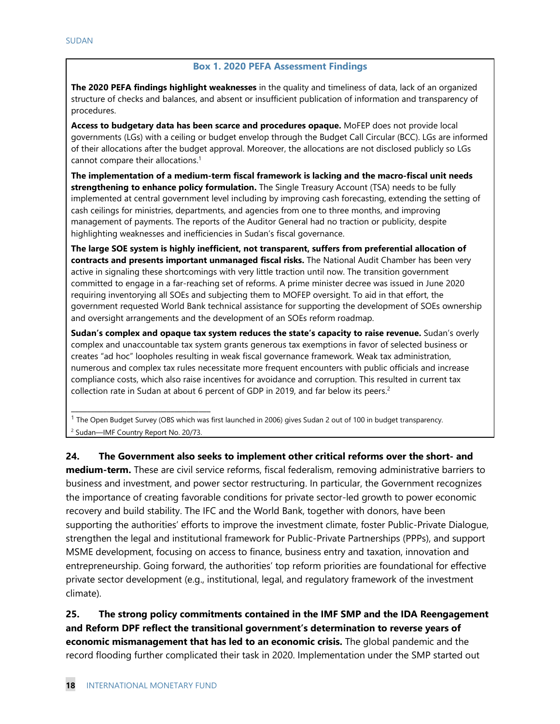#### **Box 1. 2020 PEFA Assessment Findings**

**The 2020 PEFA findings highlight weaknesses** in the quality and timeliness of data, lack of an organized structure of checks and balances, and absent or insufficient publication of information and transparency of procedures.

**Access to budgetary data has been scarce and procedures opaque.** MoFEP does not provide local governments (LGs) with a ceiling or budget envelop through the Budget Call Circular (BCC). LGs are informed of their allocations after the budget approval. Moreover, the allocations are not disclosed publicly so LGs cannot compare their allocations.<sup>1</sup>

**The implementation of a medium-term fiscal framework is lacking and the macro-fiscal unit needs strengthening to enhance policy formulation.** The Single Treasury Account (TSA) needs to be fully implemented at central government level including by improving cash forecasting, extending the setting of cash ceilings for ministries, departments, and agencies from one to three months, and improving management of payments. The reports of the Auditor General had no traction or publicity, despite highlighting weaknesses and inefficiencies in Sudan's fiscal governance.

**The large SOE system is highly inefficient, not transparent, suffers from preferential allocation of contracts and presents important unmanaged fiscal risks.** The National Audit Chamber has been very active in signaling these shortcomings with very little traction until now. The transition government committed to engage in a far-reaching set of reforms. A prime minister decree was issued in June 2020 requiring inventorying all SOEs and subjecting them to MOFEP oversight. To aid in that effort, the government requested World Bank technical assistance for supporting the development of SOEs ownership and oversight arrangements and the development of an SOEs reform roadmap.

**Sudan's complex and opaque tax system reduces the state's capacity to raise revenue.** Sudan's overly complex and unaccountable tax system grants generous tax exemptions in favor of selected business or creates "ad hoc" loopholes resulting in weak fiscal governance framework. Weak tax administration, numerous and complex tax rules necessitate more frequent encounters with public officials and increase compliance costs, which also raise incentives for avoidance and corruption. This resulted in current tax collection rate in Sudan at about 6 percent of GDP in 2019, and far below its peers.<sup>2</sup>

<sup>1</sup> The Open Budget Survey (OBS which was first launched in 2006) gives Sudan 2 out of 100 in budget transparency. <sup>2</sup> Sudan—IMF Country Report No. 20/73.

**24. The Government also seeks to implement other critical reforms over the short- and medium-term.** These are civil service reforms, fiscal federalism, removing administrative barriers to business and investment, and power sector restructuring. In particular, the Government recognizes the importance of creating favorable conditions for private sector-led growth to power economic recovery and build stability. The IFC and the World Bank, together with donors, have been supporting the authorities' efforts to improve the investment climate, foster Public-Private Dialogue, strengthen the legal and institutional framework for Public-Private Partnerships (PPPs), and support MSME development, focusing on access to finance, business entry and taxation, innovation and entrepreneurship. Going forward, the authorities' top reform priorities are foundational for effective private sector development (e.g., institutional, legal, and regulatory framework of the investment climate).

**25. The strong policy commitments contained in the IMF SMP and the IDA Reengagement and Reform DPF reflect the transitional government's determination to reverse years of economic mismanagement that has led to an economic crisis.** The global pandemic and the record flooding further complicated their task in 2020. Implementation under the SMP started out

**\_\_\_\_\_\_\_\_\_\_\_\_\_\_\_\_\_\_\_\_\_\_\_\_\_\_\_\_\_\_\_\_\_\_\_**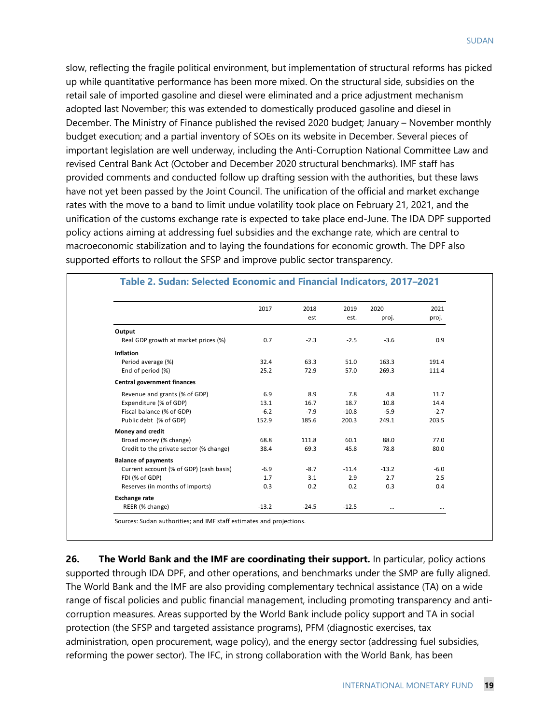slow, reflecting the fragile political environment, but implementation of structural reforms has picked up while quantitative performance has been more mixed. On the structural side, subsidies on the retail sale of imported gasoline and diesel were eliminated and a price adjustment mechanism adopted last November; this was extended to domestically produced gasoline and diesel in December. The Ministry of Finance published the revised 2020 budget; January – November monthly budget execution; and a partial inventory of SOEs on its website in December. Several pieces of important legislation are well underway, including the Anti-Corruption National Committee Law and revised Central Bank Act (October and December 2020 structural benchmarks). IMF staff has provided comments and conducted follow up drafting session with the authorities, but these laws have not yet been passed by the Joint Council. The unification of the official and market exchange rates with the move to a band to limit undue volatility took place on February 21, 2021, and the unification of the customs exchange rate is expected to take place end-June. The IDA DPF supported policy actions aiming at addressing fuel subsidies and the exchange rate, which are central to macroeconomic stabilization and to laying the foundations for economic growth. The DPF also supported efforts to rollout the SFSP and improve public sector transparency.

|                                         | 2017    | 2018    | 2019    | 2020    | 2021     |
|-----------------------------------------|---------|---------|---------|---------|----------|
|                                         |         | est     | est.    | proj.   | proj.    |
| Output                                  |         |         |         |         |          |
| Real GDP growth at market prices (%)    | 0.7     | $-2.3$  | $-2.5$  | $-3.6$  | 0.9      |
| Inflation                               |         |         |         |         |          |
| Period average (%)                      | 32.4    | 63.3    | 51.0    | 163.3   | 191.4    |
| End of period (%)                       | 25.2    | 72.9    | 57.0    | 269.3   | 111.4    |
| Central government finances             |         |         |         |         |          |
| Revenue and grants (% of GDP)           | 6.9     | 8.9     | 7.8     | 4.8     | 11.7     |
| Expenditure (% of GDP)                  | 13.1    | 16.7    | 18.7    | 10.8    | 14.4     |
| Fiscal balance (% of GDP)               | $-6.2$  | $-7.9$  | $-10.8$ | $-5.9$  | $-2.7$   |
| Public debt (% of GDP)                  | 152.9   | 185.6   | 200.3   | 249.1   | 203.5    |
| Money and credit                        |         |         |         |         |          |
| Broad money (% change)                  | 68.8    | 111.8   | 60.1    | 88.0    | 77.0     |
| Credit to the private sector (% change) | 38.4    | 69.3    | 45.8    | 78.8    | 80.0     |
| <b>Balance of payments</b>              |         |         |         |         |          |
| Current account (% of GDP) (cash basis) | $-6.9$  | $-8.7$  | $-11.4$ | $-13.2$ | $-6.0$   |
| FDI (% of GDP)                          | 1.7     | 3.1     | 2.9     | 2.7     | 2.5      |
| Reserves (in months of imports)         | 0.3     | 0.2     | 0.2     | 0.3     | 0.4      |
| <b>Exchange rate</b>                    |         |         |         |         |          |
| REER (% change)                         | $-13.2$ | $-24.5$ | $-12.5$ |         | $\cdots$ |

#### **Table 2. Sudan: Selected Economic and Financial Indicators, 2017–2021**

urces: Sudan authorities; and IMF staff estimates and projections

**26. The World Bank and the IMF are coordinating their support.** In particular, policy actions supported through IDA DPF, and other operations, and benchmarks under the SMP are fully aligned. The World Bank and the IMF are also providing complementary technical assistance (TA) on a wide range of fiscal policies and public financial management, including promoting transparency and anticorruption measures. Areas supported by the World Bank include policy support and TA in social protection (the SFSP and targeted assistance programs), PFM (diagnostic exercises, tax administration, open procurement, wage policy), and the energy sector (addressing fuel subsidies, reforming the power sector). The IFC, in strong collaboration with the World Bank, has been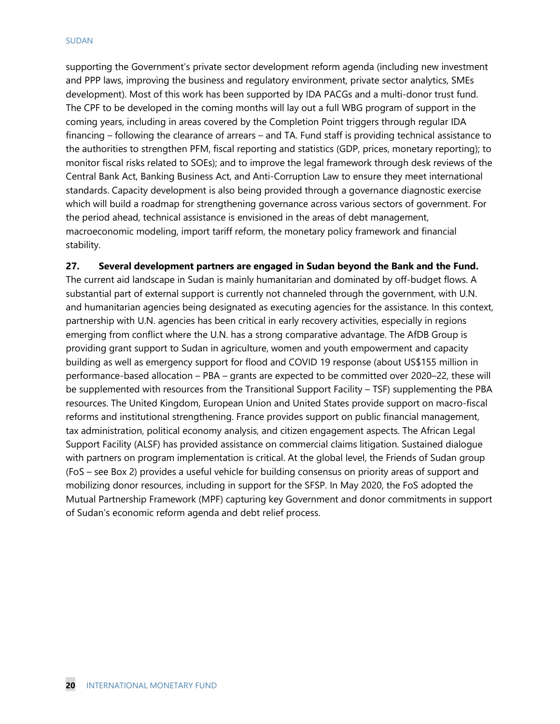#### SUDAN

supporting the Government's private sector development reform agenda (including new investment and PPP laws, improving the business and regulatory environment, private sector analytics, SMEs development). Most of this work has been supported by IDA PACGs and a multi-donor trust fund. The CPF to be developed in the coming months will lay out a full WBG program of support in the coming years, including in areas covered by the Completion Point triggers through regular IDA financing – following the clearance of arrears – and TA. Fund staff is providing technical assistance to the authorities to strengthen PFM, fiscal reporting and statistics (GDP, prices, monetary reporting); to monitor fiscal risks related to SOEs); and to improve the legal framework through desk reviews of the Central Bank Act, Banking Business Act, and Anti-Corruption Law to ensure they meet international standards. Capacity development is also being provided through a governance diagnostic exercise which will build a roadmap for strengthening governance across various sectors of government. For the period ahead, technical assistance is envisioned in the areas of debt management, macroeconomic modeling, import tariff reform, the monetary policy framework and financial stability.

**27. Several development partners are engaged in Sudan beyond the Bank and the Fund.**

The current aid landscape in Sudan is mainly humanitarian and dominated by off-budget flows. A substantial part of external support is currently not channeled through the government, with U.N. and humanitarian agencies being designated as executing agencies for the assistance. In this context, partnership with U.N. agencies has been critical in early recovery activities, especially in regions emerging from conflict where the U.N. has a strong comparative advantage. The AfDB Group is providing grant support to Sudan in agriculture, women and youth empowerment and capacity building as well as emergency support for flood and COVID 19 response (about US\$155 million in performance-based allocation – PBA – grants are expected to be committed over 2020–22, these will be supplemented with resources from the Transitional Support Facility – TSF) supplementing the PBA resources. The United Kingdom, European Union and United States provide support on macro-fiscal reforms and institutional strengthening. France provides support on public financial management, tax administration, political economy analysis, and citizen engagement aspects. The African Legal Support Facility (ALSF) has provided assistance on commercial claims litigation. Sustained dialogue with partners on program implementation is critical. At the global level, the Friends of Sudan group (FoS – see Box 2) provides a useful vehicle for building consensus on priority areas of support and mobilizing donor resources, including in support for the SFSP. In May 2020, the FoS adopted the Mutual Partnership Framework (MPF) capturing key Government and donor commitments in support of Sudan's economic reform agenda and debt relief process.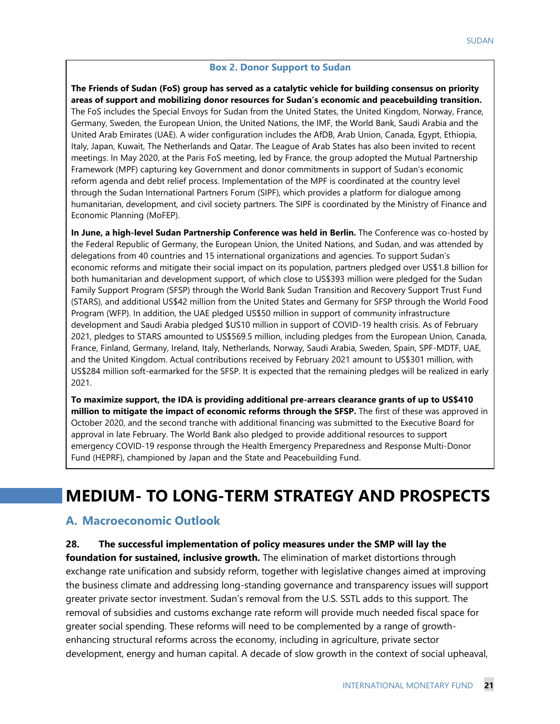#### **Box 2. Donor Support to Sudan**

**The Friends of Sudan (FoS) group has served as a catalytic vehicle for building consensus on priority areas of support and mobilizing donor resources for Sudan's economic and peacebuilding transition.** The FoS includes the Special Envoys for Sudan from the United States, the United Kingdom, Norway, France, Germany, Sweden, the European Union, the United Nations, the IMF, the World Bank, Saudi Arabia and the United Arab Emirates (UAE). A wider configuration includes the AfDB, Arab Union, Canada, Egypt, Ethiopia, Italy, Japan, Kuwait, The Netherlands and Qatar. The League of Arab States has also been invited to recent meetings. In May 2020, at the Paris FoS meeting, led by France, the group adopted the Mutual Partnership Framework (MPF) capturing key Government and donor commitments in support of Sudan's economic reform agenda and debt relief process. Implementation of the MPF is coordinated at the country level through the Sudan International Partners Forum (SIPF), which provides a platform for dialogue among humanitarian, development, and civil society partners. The SIPF is coordinated by the Ministry of Finance and Economic Planning (MoFEP).

**In June, a high-level Sudan Partnership Conference was held in Berlin.** The Conference was co-hosted by the Federal Republic of Germany, the European Union, the United Nations, and Sudan, and was attended by delegations from 40 countries and 15 international organizations and agencies. To support Sudan's economic reforms and mitigate their social impact on its population, partners pledged over US\$1.8 billion for both humanitarian and development support, of which close to US\$393 million were pledged for the Sudan Family Support Program (SFSP) through the World Bank Sudan Transition and Recovery Support Trust Fund (STARS), and additional US\$42 million from the United States and Germany for SFSP through the World Food Program (WFP). In addition, the UAE pledged US\$50 million in support of community infrastructure development and Saudi Arabia pledged \$US10 million in support of COVID-19 health crisis. As of February 2021, pledges to STARS amounted to US\$569.5 million, including pledges from the European Union, Canada, France, Finland, Germany, Ireland, Italy, Netherlands, Norway, Saudi Arabia, Sweden, Spain, SPF-MDTF, UAE, and the United Kingdom. Actual contributions received by February 2021 amount to US\$301 million, with US\$284 million soft-earmarked for the SFSP. It is expected that the remaining pledges will be realized in early 2021.

**To maximize support, the IDA is providing additional pre-arrears clearance grants of up to US\$410 million to mitigate the impact of economic reforms through the SFSP.** The first of these was approved in October 2020, and the second tranche with additional financing was submitted to the Executive Board for approval in late February. The World Bank also pledged to provide additional resources to support emergency COVID-19 response through the Health Emergency Preparedness and Response Multi-Donor Fund (HEPRF), championed by Japan and the State and Peacebuilding Fund.

## **MEDIUM- TO LONG-TERM STRATEGY AND PROSPECTS**

#### **A. Macroeconomic Outlook**

**28. The successful implementation of policy measures under the SMP will lay the** 

**foundation for sustained, inclusive growth.** The elimination of market distortions through exchange rate unification and subsidy reform, together with legislative changes aimed at improving the business climate and addressing long-standing governance and transparency issues will support greater private sector investment. Sudan's removal from the U.S. SSTL adds to this support. The removal of subsidies and customs exchange rate reform will provide much needed fiscal space for greater social spending. These reforms will need to be complemented by a range of growthenhancing structural reforms across the economy, including in agriculture, private sector development, energy and human capital. A decade of slow growth in the context of social upheaval,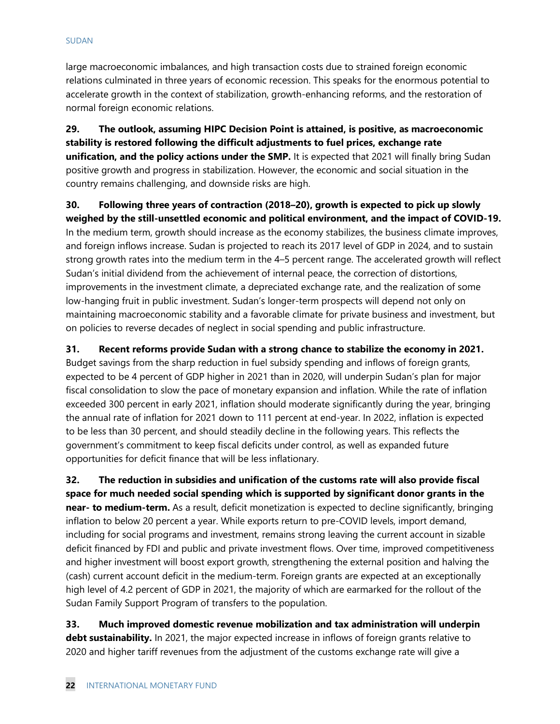large macroeconomic imbalances, and high transaction costs due to strained foreign economic relations culminated in three years of economic recession. This speaks for the enormous potential to accelerate growth in the context of stabilization, growth-enhancing reforms, and the restoration of normal foreign economic relations.

**29. The outlook, assuming HIPC Decision Point is attained, is positive, as macroeconomic stability is restored following the difficult adjustments to fuel prices, exchange rate unification, and the policy actions under the SMP.** It is expected that 2021 will finally bring Sudan positive growth and progress in stabilization. However, the economic and social situation in the country remains challenging, and downside risks are high.

**30. Following three years of contraction (2018–20), growth is expected to pick up slowly weighed by the still-unsettled economic and political environment, and the impact of COVID-19.**  In the medium term, growth should increase as the economy stabilizes, the business climate improves, and foreign inflows increase. Sudan is projected to reach its 2017 level of GDP in 2024, and to sustain strong growth rates into the medium term in the 4–5 percent range. The accelerated growth will reflect Sudan's initial dividend from the achievement of internal peace, the correction of distortions, improvements in the investment climate, a depreciated exchange rate, and the realization of some low-hanging fruit in public investment. Sudan's longer-term prospects will depend not only on maintaining macroeconomic stability and a favorable climate for private business and investment, but on policies to reverse decades of neglect in social spending and public infrastructure.

**31. Recent reforms provide Sudan with a strong chance to stabilize the economy in 2021.** Budget savings from the sharp reduction in fuel subsidy spending and inflows of foreign grants, expected to be 4 percent of GDP higher in 2021 than in 2020, will underpin Sudan's plan for major fiscal consolidation to slow the pace of monetary expansion and inflation. While the rate of inflation exceeded 300 percent in early 2021, inflation should moderate significantly during the year, bringing the annual rate of inflation for 2021 down to 111 percent at end-year. In 2022, inflation is expected to be less than 30 percent, and should steadily decline in the following years. This reflects the government's commitment to keep fiscal deficits under control, as well as expanded future opportunities for deficit finance that will be less inflationary.

**32. The reduction in subsidies and unification of the customs rate will also provide fiscal space for much needed social spending which is supported by significant donor grants in the near- to medium-term.** As a result, deficit monetization is expected to decline significantly, bringing inflation to below 20 percent a year. While exports return to pre-COVID levels, import demand, including for social programs and investment, remains strong leaving the current account in sizable deficit financed by FDI and public and private investment flows. Over time, improved competitiveness and higher investment will boost export growth, strengthening the external position and halving the (cash) current account deficit in the medium-term. Foreign grants are expected at an exceptionally high level of 4.2 percent of GDP in 2021, the majority of which are earmarked for the rollout of the Sudan Family Support Program of transfers to the population.

**33. Much improved domestic revenue mobilization and tax administration will underpin debt sustainability.** In 2021, the major expected increase in inflows of foreign grants relative to 2020 and higher tariff revenues from the adjustment of the customs exchange rate will give a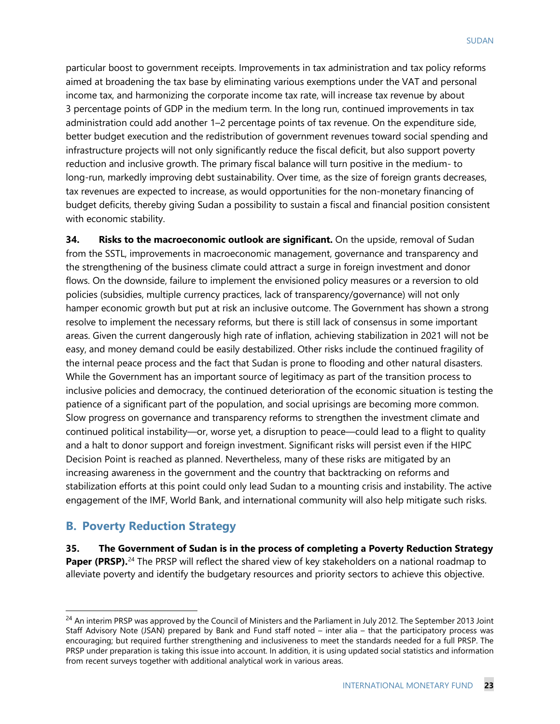particular boost to government receipts. Improvements in tax administration and tax policy reforms aimed at broadening the tax base by eliminating various exemptions under the VAT and personal income tax, and harmonizing the corporate income tax rate, will increase tax revenue by about 3 percentage points of GDP in the medium term. In the long run, continued improvements in tax administration could add another 1–2 percentage points of tax revenue. On the expenditure side, better budget execution and the redistribution of government revenues toward social spending and infrastructure projects will not only significantly reduce the fiscal deficit, but also support poverty reduction and inclusive growth. The primary fiscal balance will turn positive in the medium- to long-run, markedly improving debt sustainability. Over time, as the size of foreign grants decreases, tax revenues are expected to increase, as would opportunities for the non-monetary financing of budget deficits, thereby giving Sudan a possibility to sustain a fiscal and financial position consistent with economic stability.

**34. Risks to the macroeconomic outlook are significant.** On the upside, removal of Sudan from the SSTL, improvements in macroeconomic management, governance and transparency and the strengthening of the business climate could attract a surge in foreign investment and donor flows. On the downside, failure to implement the envisioned policy measures or a reversion to old policies (subsidies, multiple currency practices, lack of transparency/governance) will not only hamper economic growth but put at risk an inclusive outcome. The Government has shown a strong resolve to implement the necessary reforms, but there is still lack of consensus in some important areas. Given the current dangerously high rate of inflation, achieving stabilization in 2021 will not be easy, and money demand could be easily destabilized. Other risks include the continued fragility of the internal peace process and the fact that Sudan is prone to flooding and other natural disasters. While the Government has an important source of legitimacy as part of the transition process to inclusive policies and democracy, the continued deterioration of the economic situation is testing the patience of a significant part of the population, and social uprisings are becoming more common. Slow progress on governance and transparency reforms to strengthen the investment climate and continued political instability—or, worse yet, a disruption to peace—could lead to a flight to quality and a halt to donor support and foreign investment. Significant risks will persist even if the HIPC Decision Point is reached as planned. Nevertheless, many of these risks are mitigated by an increasing awareness in the government and the country that backtracking on reforms and stabilization efforts at this point could only lead Sudan to a mounting crisis and instability. The active engagement of the IMF, World Bank, and international community will also help mitigate such risks.

### **B. Poverty Reduction Strategy**

**35. The Government of Sudan is in the process of completing a Poverty Reduction Strategy**  Paper (PRSP).<sup>[24](#page-25-0)</sup> The PRSP will reflect the shared view of key stakeholders on a national roadmap to alleviate poverty and identify the budgetary resources and priority sectors to achieve this objective.

<span id="page-25-0"></span><sup>&</sup>lt;sup>24</sup> An interim PRSP was approved by the Council of Ministers and the Parliament in July 2012. The September 2013 Joint Staff Advisory Note (JSAN) prepared by Bank and Fund staff noted – inter alia – that the participatory process was encouraging; but required further strengthening and inclusiveness to meet the standards needed for a full PRSP. The PRSP under preparation is taking this issue into account. In addition, it is using updated social statistics and information from recent surveys together with additional analytical work in various areas.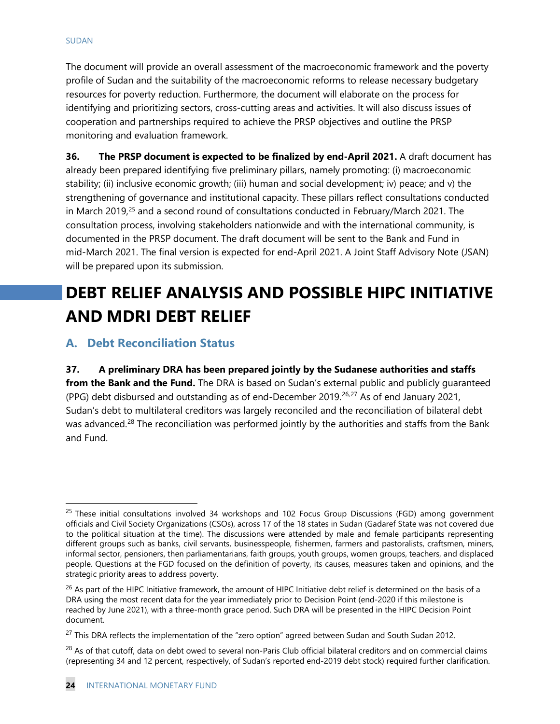The document will provide an overall assessment of the macroeconomic framework and the poverty profile of Sudan and the suitability of the macroeconomic reforms to release necessary budgetary resources for poverty reduction. Furthermore, the document will elaborate on the process for identifying and prioritizing sectors, cross-cutting areas and activities. It will also discuss issues of cooperation and partnerships required to achieve the PRSP objectives and outline the PRSP monitoring and evaluation framework.

**36. The PRSP document is expected to be finalized by end-April 2021.** A draft document has already been prepared identifying five preliminary pillars, namely promoting: (i) macroeconomic stability; (ii) inclusive economic growth; (iii) human and social development; iv) peace; and v) the strengthening of governance and institutional capacity. These pillars reflect consultations conducted in March 2019,<sup>[25](#page-26-0)</sup> and a second round of consultations conducted in February/March 2021. The consultation process, involving stakeholders nationwide and with the international community, is documented in the PRSP document. The draft document will be sent to the Bank and Fund in mid-March 2021. The final version is expected for end-April 2021. A Joint Staff Advisory Note (JSAN) will be prepared upon its submission.

## **DEBT RELIEF ANALYSIS AND POSSIBLE HIPC INITIATIVE AND MDRI DEBT RELIEF**

## **A. Debt Reconciliation Status**

**37. A preliminary DRA has been prepared jointly by the Sudanese authorities and staffs**  from the Bank and the Fund. The DRA is based on Sudan's external public and publicly quaranteed (PPG) debt disbursed and outstanding as of end-December 2019.<sup>[26](#page-26-1),[27](#page-26-2)</sup> As of end January 2021, Sudan's debt to multilateral creditors was largely reconciled and the reconciliation of bilateral debt was advanced.<sup>[28](#page-26-3)</sup> The reconciliation was performed jointly by the authorities and staffs from the Bank and Fund.

<span id="page-26-0"></span><sup>&</sup>lt;sup>25</sup> These initial consultations involved 34 workshops and 102 Focus Group Discussions (FGD) among government officials and Civil Society Organizations (CSOs), across 17 of the 18 states in Sudan (Gadaref State was not covered due to the political situation at the time). The discussions were attended by male and female participants representing different groups such as banks, civil servants, businesspeople, fishermen, farmers and pastoralists, craftsmen, miners, informal sector, pensioners, then parliamentarians, faith groups, youth groups, women groups, teachers, and displaced people. Questions at the FGD focused on the definition of poverty, its causes, measures taken and opinions, and the strategic priority areas to address poverty.

<span id="page-26-1"></span> $26$  As part of the HIPC Initiative framework, the amount of HIPC Initiative debt relief is determined on the basis of a DRA using the most recent data for the year immediately prior to Decision Point (end-2020 if this milestone is reached by June 2021), with a three-month grace period. Such DRA will be presented in the HIPC Decision Point document.

<span id="page-26-2"></span><sup>&</sup>lt;sup>27</sup> This DRA reflects the implementation of the "zero option" agreed between Sudan and South Sudan 2012.

<span id="page-26-3"></span><sup>&</sup>lt;sup>28</sup> As of that cutoff, data on debt owed to several non-Paris Club official bilateral creditors and on commercial claims (representing 34 and 12 percent, respectively, of Sudan's reported end-2019 debt stock) required further clarification.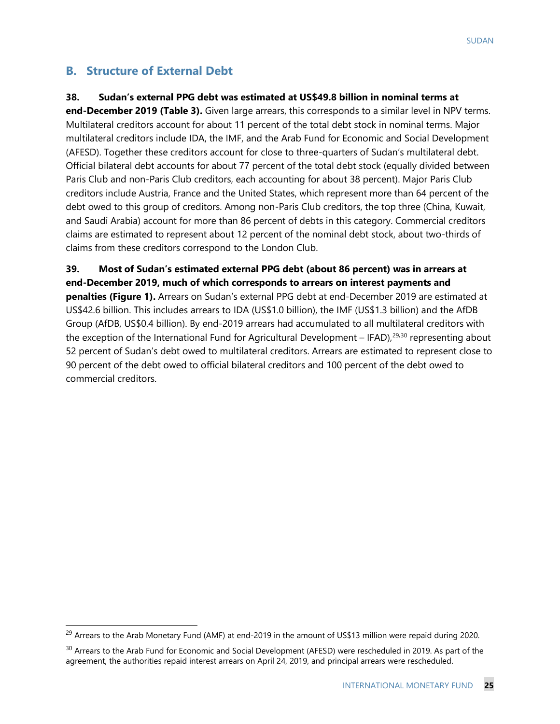## **B. Structure of External Debt**

### **38. Sudan's external PPG debt was estimated at US\$49.8 billion in nominal terms at**

**end-December 2019 (Table 3).** Given large arrears, this corresponds to a similar level in NPV terms. Multilateral creditors account for about 11 percent of the total debt stock in nominal terms. Major multilateral creditors include IDA, the IMF, and the Arab Fund for Economic and Social Development (AFESD). Together these creditors account for close to three-quarters of Sudan's multilateral debt. Official bilateral debt accounts for about 77 percent of the total debt stock (equally divided between Paris Club and non-Paris Club creditors, each accounting for about 38 percent). Major Paris Club creditors include Austria, France and the United States, which represent more than 64 percent of the debt owed to this group of creditors. Among non-Paris Club creditors, the top three (China, Kuwait, and Saudi Arabia) account for more than 86 percent of debts in this category. Commercial creditors claims are estimated to represent about 12 percent of the nominal debt stock, about two-thirds of claims from these creditors correspond to the London Club.

**39. Most of Sudan's estimated external PPG debt (about 86 percent) was in arrears at end-December 2019, much of which corresponds to arrears on interest payments and penalties (Figure 1).** Arrears on Sudan's external PPG debt at end-December 2019 are estimated at US\$42.6 billion. This includes arrears to IDA (US\$1.0 billion), the IMF (US\$1.3 billion) and the AfDB Group (AfDB, US\$0.4 billion). By end-2019 arrears had accumulated to all multilateral creditors with the exception of the International Fund for Agricultural Development – IFAD),<sup>29,[30](#page-27-1)</sup> representing about 52 percent of Sudan's debt owed to multilateral creditors. Arrears are estimated to represent close to 90 percent of the debt owed to official bilateral creditors and 100 percent of the debt owed to commercial creditors.

<span id="page-27-0"></span><sup>&</sup>lt;sup>29</sup> Arrears to the Arab Monetary Fund (AMF) at end-2019 in the amount of US\$13 million were repaid during 2020.

<span id="page-27-1"></span><sup>&</sup>lt;sup>30</sup> Arrears to the Arab Fund for Economic and Social Development (AFESD) were rescheduled in 2019. As part of the agreement, the authorities repaid interest arrears on April 24, 2019, and principal arrears were rescheduled.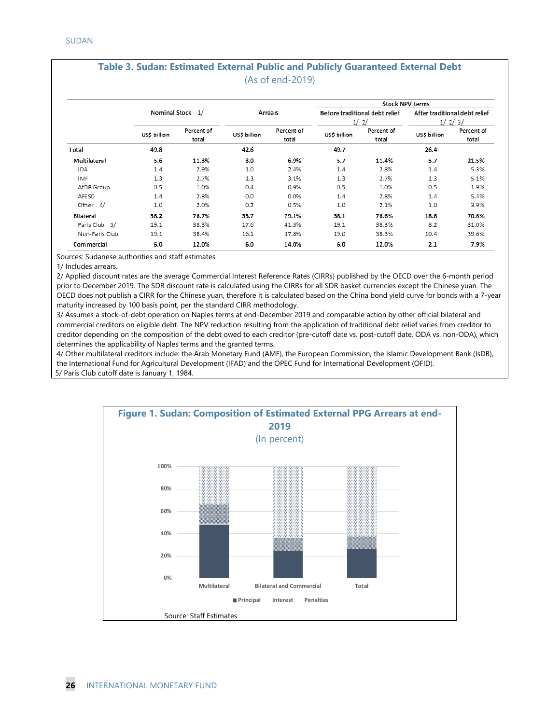#### **Table 3. Sudan: Estimated External Public and Publicly Guaranteed External Debt** (As of end-2019)

|                  |                      |            |             |            |              | <b>Stock NPV terms</b>         |              |                               |  |
|------------------|----------------------|------------|-------------|------------|--------------|--------------------------------|--------------|-------------------------------|--|
|                  | <b>Nominal Stock</b> | 1/         |             | Arrears    |              | Before traditional debt relief |              | After traditional debt relief |  |
|                  |                      |            |             |            |              | 1/2/                           |              | 1/2/3/                        |  |
|                  | US\$ billion         | Percent of | USS billion | Percent of | US\$ billion | Percent of                     | US\$ billion | Percent of                    |  |
|                  |                      | total      |             | total      |              | total                          |              | total                         |  |
| Total            | 49.8                 |            | 42.6        |            | 49.7         |                                | 26.4         |                               |  |
| Multilateral     | 5.6                  | 11.3%      | 3.0         | 6.9%       | 5.7          | 11.4%                          | 5.7          | 21.5%                         |  |
| <b>IDA</b>       | 1.4                  | 2.9%       | 1.0         | 2.4%       | 1.4          | 2.8%                           | 1.4          | 5.3%                          |  |
| <b>IMF</b>       | 1.3                  | 2.7%       | 1.3         | 3.1%       | 1.3          | 2.7%                           | 1.3          | 5.1%                          |  |
| AfDB Group       | 0.5                  | 1.0%       | 0.4         | 0.9%       | 0.5          | 1.0%                           | 0.5          | 1.9%                          |  |
| <b>AFESD</b>     | 1.4                  | 2.8%       | 0.0         | 0.0%       | 1.4          | 2.8%                           | 1.4          | 5.4%                          |  |
| Other $4/$       | 1.0                  | 2.0%       | 0.2         | 0.5%       | 1.0          | 2.1%                           | 1.0          | 3.9%                          |  |
| <b>Bilateral</b> | 38.2                 | 76.7%      | 33.7        | 79.1%      | 38.1         | 76.6%                          | 18.6         | 70.6%                         |  |
| Paris Club 5/    | 19.1                 | 38.3%      | 17.6        | 41.3%      | 19.1         | 38.3%                          | 8.2          | 31.0%                         |  |
| Non-Paris Club   | 19.1                 | 38.4%      | 16.1        | 37.8%      | 19.0         | 38.3%                          | 10.4         | 39.6%                         |  |
| Commercial       | 6.0                  | 12.0%      | 6.0         | 14.0%      | 6.0          | 12.0%                          | 2.1          | 7.9%                          |  |

Sources: Sudanese authorities and staff estimates.

1/ Includes arrears.

2/ Applied discount rates are the average Commercial Interest Reference Rates (CIRRs) published by the OECD over the 6-month period prior to December 2019. The SDR discount rate is calculated using the CIRRs for all SDR basket currencies except the Chinese yuan. The OECD does not publish a CIRR for the Chinese yuan, therefore it is calculated based on the China bond yield curve for bonds with a 7-year maturity increased by 100 basis point, per the standard CIRR methodology.

3/ Assumes a stock-of-debt operation on Naples terms at end-December 2019 and comparable action by other official bilateral and commercial creditors on eligible debt. The NPV reduction resulting from the application of traditional debt relief varies from creditor to creditor depending on the composition of the debt owed to each creditor (pre-cutoff date vs. post-cutoff date, ODA vs. non-ODA), which determines the applicability of Naples terms and the granted terms.

4/ Other multilateral creditors include: the Arab Monetary Fund (AMF), the European Commission, the Islamic Development Bank (IsDB), the International Fund for Agricultural Development (IFAD) and the OPEC Fund for International Development (OFID). 5/ Paris Club cutoff date is January 1, 1984.

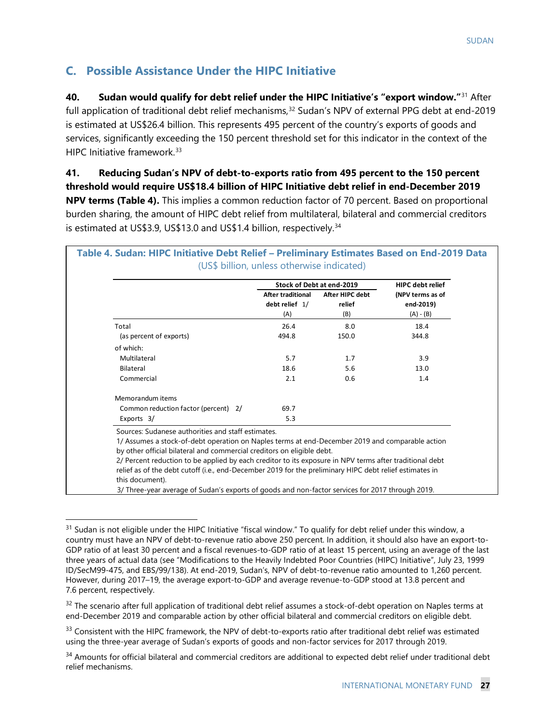## **C. Possible Assistance Under the HIPC Initiative**

**40. Sudan would qualify for debt relief under the HIPC Initiative's "export window."**[31](#page-29-0) After full application of traditional debt relief mechanisms,<sup>[32](#page-29-1)</sup> Sudan's NPV of external PPG debt at end-2019 is estimated at US\$26.4 billion. This represents 495 percent of the country's exports of goods and services, significantly exceeding the 150 percent threshold set for this indicator in the context of the HIPC Initiative framework.<sup>[33](#page-29-2)</sup>

**41. Reducing Sudan's NPV of debt-to-exports ratio from 495 percent to the 150 percent threshold would require US\$18.4 billion of HIPC Initiative debt relief in end-December 2019 NPV terms (Table 4).** This implies a common reduction factor of 70 percent. Based on proportional burden sharing, the amount of HIPC debt relief from multilateral, bilateral and commercial creditors is estimated at US\$3.9, US\$13.0 and US\$1.4 billion, respectively.<sup>[34](#page-29-3)</sup>

|                                                                                                                                                       | <b>After traditional</b><br>debt relief $1/$ | After HIPC debt | (NPV terms as of |
|-------------------------------------------------------------------------------------------------------------------------------------------------------|----------------------------------------------|-----------------|------------------|
|                                                                                                                                                       |                                              | relief          | end-2019)        |
|                                                                                                                                                       | (A)                                          | (B)             | $(A) - (B)$      |
| Total                                                                                                                                                 | 26.4                                         | 8.0             | 18.4             |
| (as percent of exports)                                                                                                                               | 494.8                                        | 150.0           | 344.8            |
| of which:                                                                                                                                             |                                              |                 |                  |
| Multilateral                                                                                                                                          | 5.7                                          | 1.7             | 3.9              |
| Bilateral                                                                                                                                             | 18.6                                         | 5.6             | 13.0             |
| Commercial                                                                                                                                            | 2.1                                          | 0.6             | 1.4              |
| Memorandum items                                                                                                                                      |                                              |                 |                  |
| Common reduction factor (percent) 2/                                                                                                                  | 69.7                                         |                 |                  |
| Exports 3/                                                                                                                                            | 5.3                                          |                 |                  |
| Sources: Sudanese authorities and staff estimates.<br>1/ Assumes a stock-of-debt operation on Naples terms at end-December 2019 and comparable action |                                              |                 |                  |
| by other official bilateral and commercial creditors on eligible debt.                                                                                |                                              |                 |                  |

<span id="page-29-0"></span> $31$  Sudan is not eligible under the HIPC Initiative "fiscal window." To qualify for debt relief under this window, a country must have an NPV of debt-to-revenue ratio above 250 percent. In addition, it should also have an export-to-GDP ratio of at least 30 percent and a fiscal revenues-to-GDP ratio of at least 15 percent, using an average of the last three years of actual data (see "Modifications to the Heavily Indebted Poor Countries (HIPC) Initiative", July 23, 1999 ID/SecM99-475, and EBS/99/138). At end-2019, Sudan's, NPV of debt-to-revenue ratio amounted to 1,260 percent. However, during 2017–19, the average export-to-GDP and average revenue-to-GDP stood at 13.8 percent and 7.6 percent, respectively.

<span id="page-29-1"></span> $32$  The scenario after full application of traditional debt relief assumes a stock-of-debt operation on Naples terms at end-December 2019 and comparable action by other official bilateral and commercial creditors on eligible debt.

<span id="page-29-2"></span><sup>&</sup>lt;sup>33</sup> Consistent with the HIPC framework, the NPV of debt-to-exports ratio after traditional debt relief was estimated using the three-year average of Sudan's exports of goods and non-factor services for 2017 through 2019.

<span id="page-29-3"></span><sup>&</sup>lt;sup>34</sup> Amounts for official bilateral and commercial creditors are additional to expected debt relief under traditional debt relief mechanisms.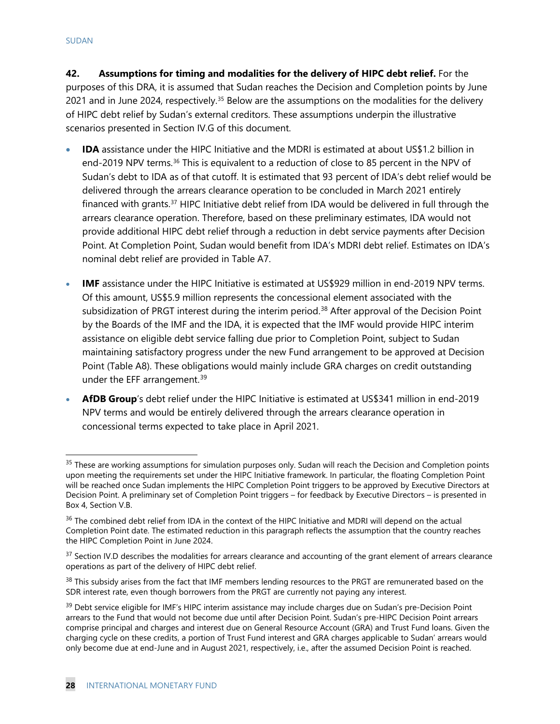**42. Assumptions for timing and modalities for the delivery of HIPC debt relief.** For the purposes of this DRA, it is assumed that Sudan reaches the Decision and Completion points by June 2021 and in June 2024, respectively.<sup>[35](#page-30-0)</sup> Below are the assumptions on the modalities for the delivery of HIPC debt relief by Sudan's external creditors. These assumptions underpin the illustrative scenarios presented in Section IV.G of this document.

- **IDA** assistance under the HIPC Initiative and the MDRI is estimated at about US\$1.2 billion in end-2019 NPV terms.<sup>36</sup> This is equivalent to a reduction of close to 85 percent in the NPV of Sudan's debt to IDA as of that cutoff. It is estimated that 93 percent of IDA's debt relief would be delivered through the arrears clearance operation to be concluded in March 2021 entirely financed with grants.[37](#page-30-2) HIPC Initiative debt relief from IDA would be delivered in full through the arrears clearance operation. Therefore, based on these preliminary estimates, IDA would not provide additional HIPC debt relief through a reduction in debt service payments after Decision Point. At Completion Point, Sudan would benefit from IDA's MDRI debt relief. Estimates on IDA's nominal debt relief are provided in Table A7.
- **IMF** assistance under the HIPC Initiative is estimated at US\$929 million in end-2019 NPV terms. Of this amount, US\$5.9 million represents the concessional element associated with the subsidization of PRGT interest during the interim period.<sup>[38](#page-30-3)</sup> After approval of the Decision Point by the Boards of the IMF and the IDA, it is expected that the IMF would provide HIPC interim assistance on eligible debt service falling due prior to Completion Point, subject to Sudan maintaining satisfactory progress under the new Fund arrangement to be approved at Decision Point (Table A8). These obligations would mainly include GRA charges on credit outstanding under the EFF arrangement.<sup>[39](#page-30-4)</sup>
- **AfDB Group**'s debt relief under the HIPC Initiative is estimated at US\$341 million in end-2019 NPV terms and would be entirely delivered through the arrears clearance operation in concessional terms expected to take place in April 2021.

<span id="page-30-0"></span><sup>&</sup>lt;sup>35</sup> These are working assumptions for simulation purposes only. Sudan will reach the Decision and Completion points upon meeting the requirements set under the HIPC Initiative framework. In particular, the floating Completion Point will be reached once Sudan implements the HIPC Completion Point triggers to be approved by Executive Directors at Decision Point. A preliminary set of Completion Point triggers – for feedback by Executive Directors – is presented in Box 4, Section V.B.

<span id="page-30-1"></span><sup>&</sup>lt;sup>36</sup> The combined debt relief from IDA in the context of the HIPC Initiative and MDRI will depend on the actual Completion Point date. The estimated reduction in this paragraph reflects the assumption that the country reaches the HIPC Completion Point in June 2024.

<span id="page-30-2"></span><sup>&</sup>lt;sup>37</sup> Section IV.D describes the modalities for arrears clearance and accounting of the grant element of arrears clearance operations as part of the delivery of HIPC debt relief.

<span id="page-30-3"></span><sup>&</sup>lt;sup>38</sup> This subsidy arises from the fact that IMF members lending resources to the PRGT are remunerated based on the SDR interest rate, even though borrowers from the PRGT are currently not paying any interest.

<span id="page-30-4"></span><sup>&</sup>lt;sup>39</sup> Debt service eligible for IMF's HIPC interim assistance may include charges due on Sudan's pre-Decision Point arrears to the Fund that would not become due until after Decision Point. Sudan's pre-HIPC Decision Point arrears comprise principal and charges and interest due on General Resource Account (GRA) and Trust Fund loans. Given the charging cycle on these credits, a portion of Trust Fund interest and GRA charges applicable to Sudan' arrears would only become due at end-June and in August 2021, respectively, i.e., after the assumed Decision Point is reached.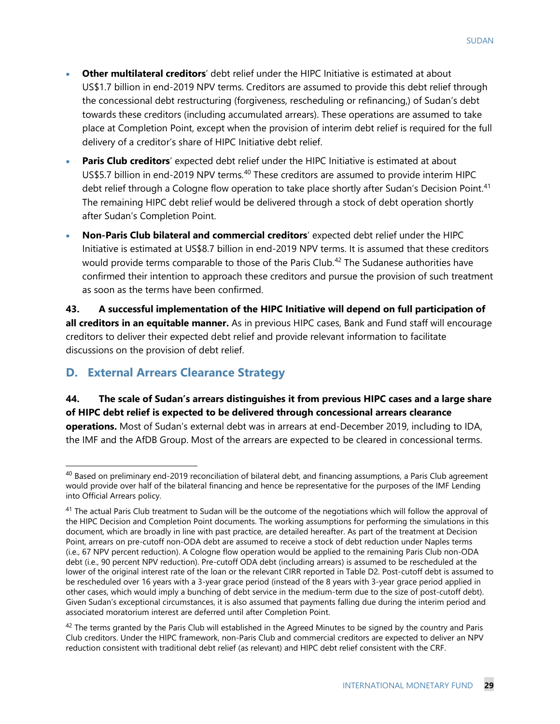- **Other multilateral creditors**' debt relief under the HIPC Initiative is estimated at about US\$1.7 billion in end-2019 NPV terms. Creditors are assumed to provide this debt relief through the concessional debt restructuring (forgiveness, rescheduling or refinancing,) of Sudan's debt towards these creditors (including accumulated arrears). These operations are assumed to take place at Completion Point, except when the provision of interim debt relief is required for the full delivery of a creditor's share of HIPC Initiative debt relief.
- **Paris Club creditors**' expected debt relief under the HIPC Initiative is estimated at about US\$5.7 billion in end-2019 NPV terms.<sup>[40](#page-31-0)</sup> These creditors are assumed to provide interim HIPC debt relief through a Cologne flow operation to take place shortly after Sudan's Decision Point.<sup>[41](#page-31-1)</sup> The remaining HIPC debt relief would be delivered through a stock of debt operation shortly after Sudan's Completion Point.
- **Non-Paris Club bilateral and commercial creditors**' expected debt relief under the HIPC Initiative is estimated at US\$8.7 billion in end-2019 NPV terms. It is assumed that these creditors would provide terms comparable to those of the Paris Club.<sup>[42](#page-31-2)</sup> The Sudanese authorities have confirmed their intention to approach these creditors and pursue the provision of such treatment as soon as the terms have been confirmed.

**43. A successful implementation of the HIPC Initiative will depend on full participation of all creditors in an equitable manner.** As in previous HIPC cases, Bank and Fund staff will encourage creditors to deliver their expected debt relief and provide relevant information to facilitate discussions on the provision of debt relief.

## **D. External Arrears Clearance Strategy**

**44. The scale of Sudan's arrears distinguishes it from previous HIPC cases and a large share of HIPC debt relief is expected to be delivered through concessional arrears clearance operations.** Most of Sudan's external debt was in arrears at end-December 2019, including to IDA, the IMF and the AfDB Group. Most of the arrears are expected to be cleared in concessional terms.

<span id="page-31-0"></span> $40$  Based on preliminary end-2019 reconciliation of bilateral debt, and financing assumptions, a Paris Club agreement would provide over half of the bilateral financing and hence be representative for the purposes of the IMF Lending into Official Arrears policy.

<span id="page-31-1"></span><sup>&</sup>lt;sup>41</sup> The actual Paris Club treatment to Sudan will be the outcome of the negotiations which will follow the approval of the HIPC Decision and Completion Point documents. The working assumptions for performing the simulations in this document, which are broadly in line with past practice, are detailed hereafter. As part of the treatment at Decision Point, arrears on pre-cutoff non-ODA debt are assumed to receive a stock of debt reduction under Naples terms (i.e., 67 NPV percent reduction). A Cologne flow operation would be applied to the remaining Paris Club non-ODA debt (i.e., 90 percent NPV reduction). Pre-cutoff ODA debt (including arrears) is assumed to be rescheduled at the lower of the original interest rate of the loan or the relevant CIRR reported in Table D2. Post-cutoff debt is assumed to be rescheduled over 16 years with a 3-year grace period (instead of the 8 years with 3-year grace period applied in other cases, which would imply a bunching of debt service in the medium-term due to the size of post-cutoff debt). Given Sudan's exceptional circumstances, it is also assumed that payments falling due during the interim period and associated moratorium interest are deferred until after Completion Point.

<span id="page-31-2"></span> $42$  The terms granted by the Paris Club will established in the Agreed Minutes to be signed by the country and Paris Club creditors. Under the HIPC framework, non-Paris Club and commercial creditors are expected to deliver an NPV reduction consistent with traditional debt relief (as relevant) and HIPC debt relief consistent with the CRF.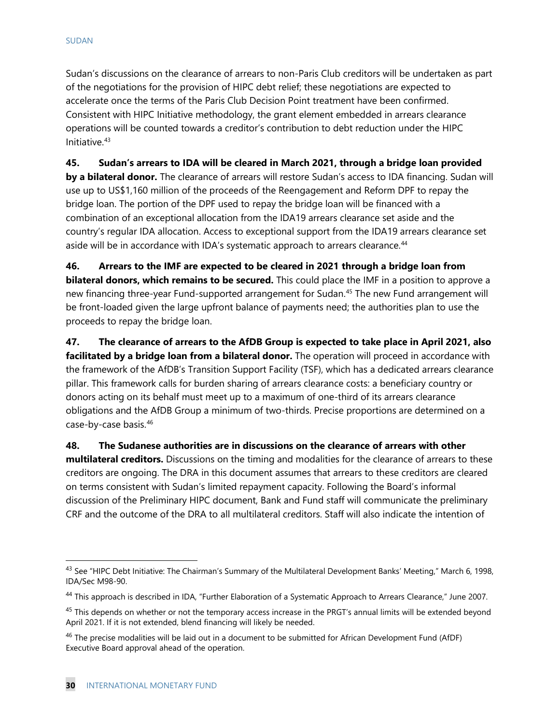Sudan's discussions on the clearance of arrears to non-Paris Club creditors will be undertaken as part of the negotiations for the provision of HIPC debt relief; these negotiations are expected to accelerate once the terms of the Paris Club Decision Point treatment have been confirmed. Consistent with HIPC Initiative methodology, the grant element embedded in arrears clearance operations will be counted towards a creditor's contribution to debt reduction under the HIPC Initiative.[43](#page-32-0)

**45. Sudan's arrears to IDA will be cleared in March 2021, through a bridge loan provided by a bilateral donor.** The clearance of arrears will restore Sudan's access to IDA financing. Sudan will use up to US\$1,160 million of the proceeds of the Reengagement and Reform DPF to repay the bridge loan. The portion of the DPF used to repay the bridge loan will be financed with a combination of an exceptional allocation from the IDA19 arrears clearance set aside and the country's regular IDA allocation. Access to exceptional support from the IDA19 arrears clearance set aside will be in accordance with IDA's systematic approach to arrears clearance.<sup>44</sup>

**46. Arrears to the IMF are expected to be cleared in 2021 through a bridge loan from bilateral donors, which remains to be secured.** This could place the IMF in a position to approve a new financing three-year Fund-supported arrangement for Sudan[.45](#page-32-2) The new Fund arrangement will be front-loaded given the large upfront balance of payments need; the authorities plan to use the proceeds to repay the bridge loan.

**47. The clearance of arrears to the AfDB Group is expected to take place in April 2021, also facilitated by a bridge loan from a bilateral donor.** The operation will proceed in accordance with the framework of the AfDB's Transition Support Facility (TSF), which has a dedicated arrears clearance pillar. This framework calls for burden sharing of arrears clearance costs: a beneficiary country or donors acting on its behalf must meet up to a maximum of one-third of its arrears clearance obligations and the AfDB Group a minimum of two-thirds. Precise proportions are determined on a case-by-case basis.[46](#page-32-3)

**48. The Sudanese authorities are in discussions on the clearance of arrears with other multilateral creditors.** Discussions on the timing and modalities for the clearance of arrears to these creditors are ongoing. The DRA in this document assumes that arrears to these creditors are cleared on terms consistent with Sudan's limited repayment capacity. Following the Board's informal discussion of the Preliminary HIPC document, Bank and Fund staff will communicate the preliminary CRF and the outcome of the DRA to all multilateral creditors. Staff will also indicate the intention of

<span id="page-32-0"></span><sup>&</sup>lt;sup>43</sup> See "HIPC Debt Initiative: The Chairman's Summary of the Multilateral Development Banks' Meeting," March 6, 1998, IDA/Sec M98-90.

<span id="page-32-1"></span><sup>&</sup>lt;sup>44</sup> This approach is described in IDA, "Further Elaboration of a Systematic Approach to Arrears Clearance," June 2007.

<span id="page-32-2"></span><sup>&</sup>lt;sup>45</sup> This depends on whether or not the temporary access increase in the PRGT's annual limits will be extended beyond April 2021. If it is not extended, blend financing will likely be needed.

<span id="page-32-3"></span><sup>&</sup>lt;sup>46</sup> The precise modalities will be laid out in a document to be submitted for African Development Fund (AfDF) Executive Board approval ahead of the operation.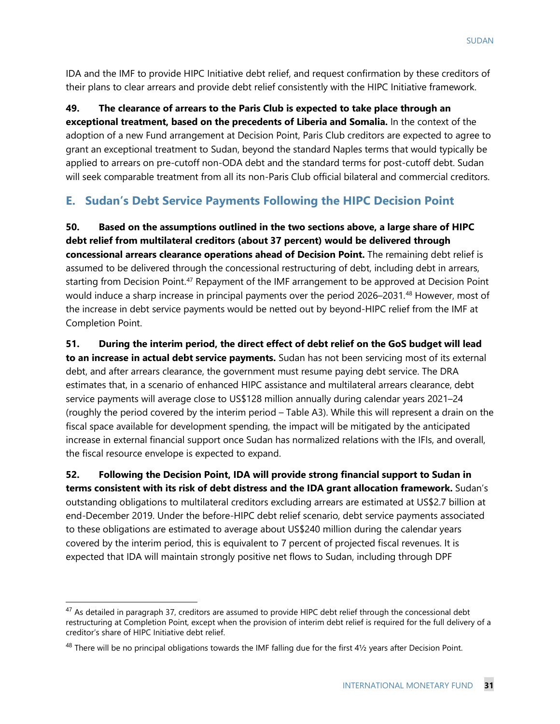IDA and the IMF to provide HIPC Initiative debt relief, and request confirmation by these creditors of their plans to clear arrears and provide debt relief consistently with the HIPC Initiative framework.

**49. The clearance of arrears to the Paris Club is expected to take place through an exceptional treatment, based on the precedents of Liberia and Somalia.** In the context of the adoption of a new Fund arrangement at Decision Point, Paris Club creditors are expected to agree to grant an exceptional treatment to Sudan, beyond the standard Naples terms that would typically be applied to arrears on pre-cutoff non-ODA debt and the standard terms for post-cutoff debt. Sudan will seek comparable treatment from all its non-Paris Club official bilateral and commercial creditors.

### **E. Sudan's Debt Service Payments Following the HIPC Decision Point**

**50. Based on the assumptions outlined in the two sections above, a large share of HIPC debt relief from multilateral creditors (about 37 percent) would be delivered through concessional arrears clearance operations ahead of Decision Point.** The remaining debt relief is assumed to be delivered through the concessional restructuring of debt, including debt in arrears, starting from Decision Point.<sup>[47](#page-33-0)</sup> Repayment of the IMF arrangement to be approved at Decision Point would induce a sharp increase in principal payments over the period 2026–2031.<sup>[48](#page-33-1)</sup> However, most of the increase in debt service payments would be netted out by beyond-HIPC relief from the IMF at Completion Point.

**51. During the interim period, the direct effect of debt relief on the GoS budget will lead to an increase in actual debt service payments.** Sudan has not been servicing most of its external debt, and after arrears clearance, the government must resume paying debt service. The DRA estimates that, in a scenario of enhanced HIPC assistance and multilateral arrears clearance, debt service payments will average close to US\$128 million annually during calendar years 2021–24 (roughly the period covered by the interim period – Table A3). While this will represent a drain on the fiscal space available for development spending, the impact will be mitigated by the anticipated increase in external financial support once Sudan has normalized relations with the IFIs, and overall, the fiscal resource envelope is expected to expand.

**52. Following the Decision Point, IDA will provide strong financial support to Sudan in terms consistent with its risk of debt distress and the IDA grant allocation framework.** Sudan's outstanding obligations to multilateral creditors excluding arrears are estimated at US\$2.7 billion at end-December 2019. Under the before-HIPC debt relief scenario, debt service payments associated to these obligations are estimated to average about US\$240 million during the calendar years covered by the interim period, this is equivalent to 7 percent of projected fiscal revenues. It is expected that IDA will maintain strongly positive net flows to Sudan, including through DPF

<span id="page-33-0"></span><sup>&</sup>lt;sup>47</sup> As detailed in paragraph 37, creditors are assumed to provide HIPC debt relief through the concessional debt restructuring at Completion Point, except when the provision of interim debt relief is required for the full delivery of a creditor's share of HIPC Initiative debt relief.

<span id="page-33-1"></span> $48$  There will be no principal obligations towards the IMF falling due for the first  $4\frac{1}{2}$  years after Decision Point.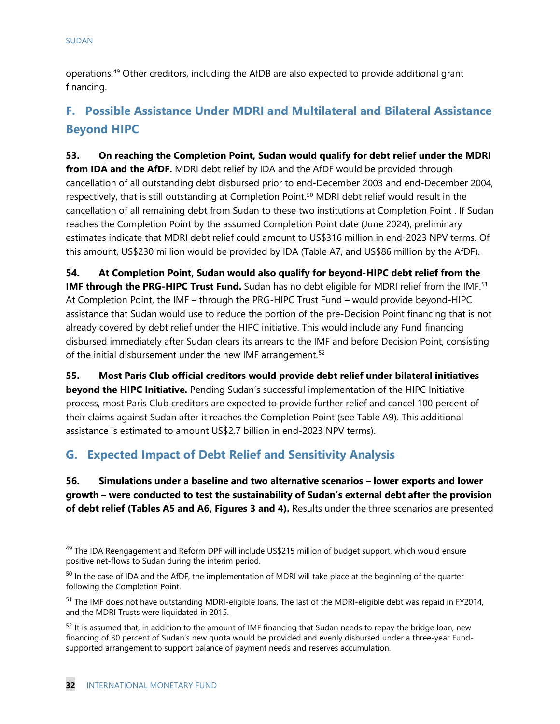operations.[49](#page-34-0) Other creditors, including the AfDB are also expected to provide additional grant financing.

## **F. Possible Assistance Under MDRI and Multilateral and Bilateral Assistance Beyond HIPC**

**53. On reaching the Completion Point, Sudan would qualify for debt relief under the MDRI from IDA and the AfDF.** MDRI debt relief by IDA and the AfDF would be provided through cancellation of all outstanding debt disbursed prior to end-December 2003 and end-December 2004, respectively, that is still outstanding at Completion Point.[50](#page-34-1) MDRI debt relief would result in the cancellation of all remaining debt from Sudan to these two institutions at Completion Point . If Sudan reaches the Completion Point by the assumed Completion Point date (June 2024), preliminary estimates indicate that MDRI debt relief could amount to US\$316 million in end-2023 NPV terms. Of this amount, US\$230 million would be provided by IDA (Table A7, and US\$86 million by the AfDF).

**54. At Completion Point, Sudan would also qualify for beyond-HIPC debt relief from the IMF through the PRG-HIPC Trust Fund.** Sudan has no debt eligible for MDRI relief from the IMF.<sup>[51](#page-34-2)</sup> At Completion Point, the IMF – through the PRG-HIPC Trust Fund – would provide beyond-HIPC assistance that Sudan would use to reduce the portion of the pre-Decision Point financing that is not already covered by debt relief under the HIPC initiative. This would include any Fund financing disbursed immediately after Sudan clears its arrears to the IMF and before Decision Point, consisting of the initial disbursement under the new IMF arrangement.<sup>[52](#page-34-3)</sup>

**55. Most Paris Club official creditors would provide debt relief under bilateral initiatives beyond the HIPC Initiative.** Pending Sudan's successful implementation of the HIPC Initiative process, most Paris Club creditors are expected to provide further relief and cancel 100 percent of their claims against Sudan after it reaches the Completion Point (see Table A9). This additional assistance is estimated to amount US\$2.7 billion in end-2023 NPV terms).

## **G. Expected Impact of Debt Relief and Sensitivity Analysis**

**56. Simulations under a baseline and two alternative scenarios – lower exports and lower growth – were conducted to test the sustainability of Sudan's external debt after the provision of debt relief (Tables A5 and A6, Figures 3 and 4).** Results under the three scenarios are presented

<span id="page-34-0"></span><sup>&</sup>lt;sup>49</sup> The IDA Reengagement and Reform DPF will include US\$215 million of budget support, which would ensure positive net-flows to Sudan during the interim period.

<span id="page-34-1"></span><sup>&</sup>lt;sup>50</sup> In the case of IDA and the AfDF, the implementation of MDRI will take place at the beginning of the quarter following the Completion Point.

<span id="page-34-2"></span><sup>&</sup>lt;sup>51</sup> The IMF does not have outstanding MDRI-eligible loans. The last of the MDRI-eligible debt was repaid in FY2014, and the MDRI Trusts were liquidated in 2015.

<span id="page-34-3"></span> $52$  It is assumed that, in addition to the amount of IMF financing that Sudan needs to repay the bridge loan, new financing of 30 percent of Sudan's new quota would be provided and evenly disbursed under a three-year Fundsupported arrangement to support balance of payment needs and reserves accumulation.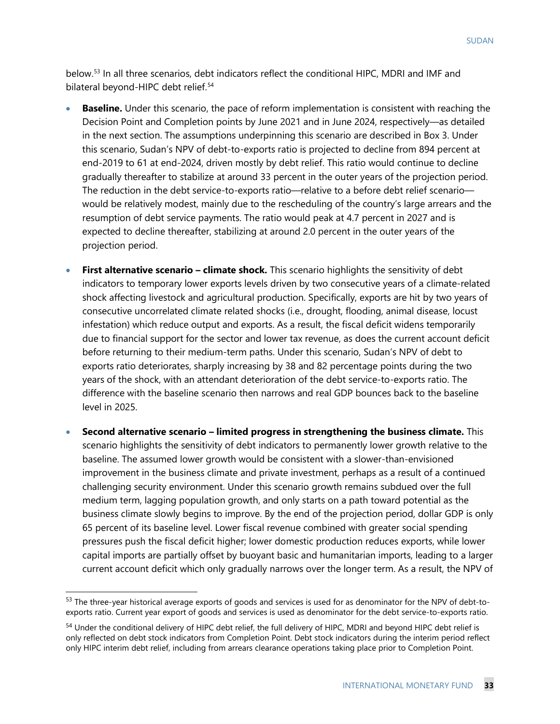below.[53](#page-35-0) In all three scenarios, debt indicators reflect the conditional HIPC, MDRI and IMF and bilateral beyond-HIPC debt relief.<sup>[54](#page-35-1)</sup>

- **Baseline.** Under this scenario, the pace of reform implementation is consistent with reaching the Decision Point and Completion points by June 2021 and in June 2024, respectively—as detailed in the next section. The assumptions underpinning this scenario are described in Box 3. Under this scenario, Sudan's NPV of debt-to-exports ratio is projected to decline from 894 percent at end-2019 to 61 at end-2024, driven mostly by debt relief. This ratio would continue to decline gradually thereafter to stabilize at around 33 percent in the outer years of the projection period. The reduction in the debt service-to-exports ratio—relative to a before debt relief scenario would be relatively modest, mainly due to the rescheduling of the country's large arrears and the resumption of debt service payments. The ratio would peak at 4.7 percent in 2027 and is expected to decline thereafter, stabilizing at around 2.0 percent in the outer years of the projection period.
- **First alternative scenario – climate shock.** This scenario highlights the sensitivity of debt indicators to temporary lower exports levels driven by two consecutive years of a climate-related shock affecting livestock and agricultural production. Specifically, exports are hit by two years of consecutive uncorrelated climate related shocks (i.e., drought, flooding, animal disease, locust infestation) which reduce output and exports. As a result, the fiscal deficit widens temporarily due to financial support for the sector and lower tax revenue, as does the current account deficit before returning to their medium-term paths. Under this scenario, Sudan's NPV of debt to exports ratio deteriorates, sharply increasing by 38 and 82 percentage points during the two years of the shock, with an attendant deterioration of the debt service-to-exports ratio. The difference with the baseline scenario then narrows and real GDP bounces back to the baseline level in 2025.
- **Second alternative scenario – limited progress in strengthening the business climate.** This scenario highlights the sensitivity of debt indicators to permanently lower growth relative to the baseline. The assumed lower growth would be consistent with a slower-than-envisioned improvement in the business climate and private investment, perhaps as a result of a continued challenging security environment. Under this scenario growth remains subdued over the full medium term, lagging population growth, and only starts on a path toward potential as the business climate slowly begins to improve. By the end of the projection period, dollar GDP is only 65 percent of its baseline level. Lower fiscal revenue combined with greater social spending pressures push the fiscal deficit higher; lower domestic production reduces exports, while lower capital imports are partially offset by buoyant basic and humanitarian imports, leading to a larger current account deficit which only gradually narrows over the longer term. As a result, the NPV of

<span id="page-35-0"></span><sup>53</sup> The three-year historical average exports of goods and services is used for as denominator for the NPV of debt-toexports ratio. Current year export of goods and services is used as denominator for the debt service-to-exports ratio.

<span id="page-35-1"></span><sup>&</sup>lt;sup>54</sup> Under the conditional delivery of HIPC debt relief, the full delivery of HIPC, MDRI and beyond HIPC debt relief is only reflected on debt stock indicators from Completion Point. Debt stock indicators during the interim period reflect only HIPC interim debt relief, including from arrears clearance operations taking place prior to Completion Point.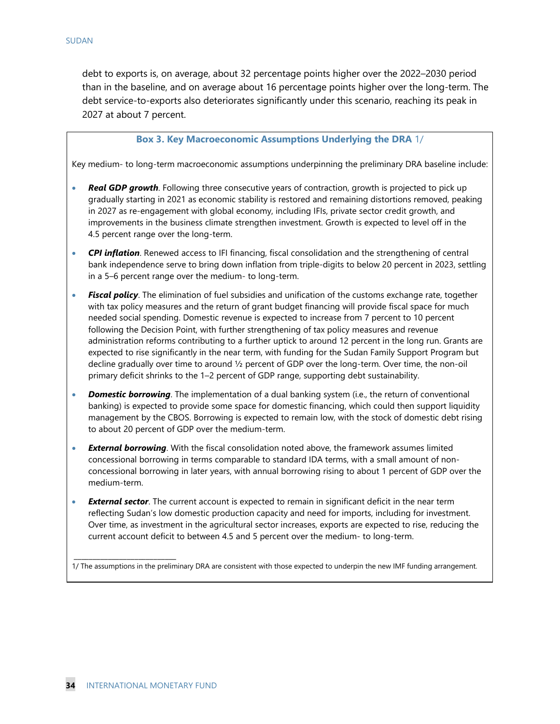debt to exports is, on average, about 32 percentage points higher over the 2022–2030 period than in the baseline, and on average about 16 percentage points higher over the long-term. The debt service-to-exports also deteriorates significantly under this scenario, reaching its peak in 2027 at about 7 percent.

#### **Box 3. Key Macroeconomic Assumptions Underlying the DRA** 1/

Key medium- to long-term macroeconomic assumptions underpinning the preliminary DRA baseline include:

- **Real GDP growth**. Following three consecutive years of contraction, growth is projected to pick up gradually starting in 2021 as economic stability is restored and remaining distortions removed, peaking in 2027 as re-engagement with global economy, including IFIs, private sector credit growth, and improvements in the business climate strengthen investment. Growth is expected to level off in the 4.5 percent range over the long-term.
- *CPI inflation*. Renewed access to IFI financing, fiscal consolidation and the strengthening of central bank independence serve to bring down inflation from triple-digits to below 20 percent in 2023, settling in a 5–6 percent range over the medium- to long-term.
- *Fiscal policy*. The elimination of fuel subsidies and unification of the customs exchange rate, together with tax policy measures and the return of grant budget financing will provide fiscal space for much needed social spending. Domestic revenue is expected to increase from 7 percent to 10 percent following the Decision Point, with further strengthening of tax policy measures and revenue administration reforms contributing to a further uptick to around 12 percent in the long run. Grants are expected to rise significantly in the near term, with funding for the Sudan Family Support Program but decline gradually over time to around ½ percent of GDP over the long-term. Over time, the non-oil primary deficit shrinks to the 1–2 percent of GDP range, supporting debt sustainability.
- **Domestic borrowing**. The implementation of a dual banking system (i.e., the return of conventional banking) is expected to provide some space for domestic financing, which could then support liquidity management by the CBOS. Borrowing is expected to remain low, with the stock of domestic debt rising to about 20 percent of GDP over the medium-term.
- *External borrowing*. With the fiscal consolidation noted above, the framework assumes limited concessional borrowing in terms comparable to standard IDA terms, with a small amount of nonconcessional borrowing in later years, with annual borrowing rising to about 1 percent of GDP over the medium-term.
- **External sector**. The current account is expected to remain in significant deficit in the near term reflecting Sudan's low domestic production capacity and need for imports, including for investment. Over time, as investment in the agricultural sector increases, exports are expected to rise, reducing the current account deficit to between 4.5 and 5 percent over the medium- to long-term.

1/ The assumptions in the preliminary DRA are consistent with those expected to underpin the new IMF funding arrangement.

*\_\_\_\_\_\_\_\_\_\_\_\_\_\_\_\_\_\_\_\_\_\_\_\_\_\_\_*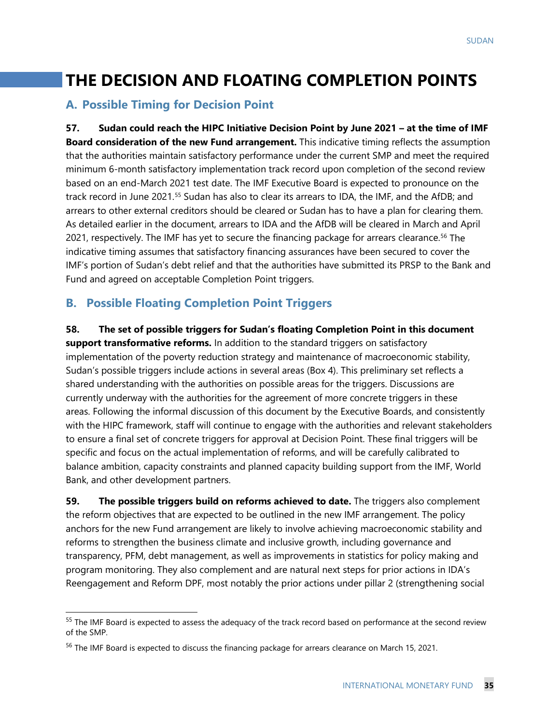## **THE DECISION AND FLOATING COMPLETION POINTS**

### **A. Possible Timing for Decision Point**

**57. Sudan could reach the HIPC Initiative Decision Point by June 2021 – at the time of IMF Board consideration of the new Fund arrangement.** This indicative timing reflects the assumption that the authorities maintain satisfactory performance under the current SMP and meet the required minimum 6-month satisfactory implementation track record upon completion of the second review based on an end-March 2021 test date. The IMF Executive Board is expected to pronounce on the track record in June 2021.[55](#page-37-0) Sudan has also to clear its arrears to IDA, the IMF, and the AfDB; and arrears to other external creditors should be cleared or Sudan has to have a plan for clearing them. As detailed earlier in the document, arrears to IDA and the AfDB will be cleared in March and April 2021, respectively. The IMF has yet to secure the financing package for arrears clearance.<sup>[56](#page-37-1)</sup> The indicative timing assumes that satisfactory financing assurances have been secured to cover the IMF's portion of Sudan's debt relief and that the authorities have submitted its PRSP to the Bank and Fund and agreed on acceptable Completion Point triggers.

### **B. Possible Floating Completion Point Triggers**

**58. The set of possible triggers for Sudan's floating Completion Point in this document support transformative reforms.** In addition to the standard triggers on satisfactory implementation of the poverty reduction strategy and maintenance of macroeconomic stability, Sudan's possible triggers include actions in several areas (Box 4). This preliminary set reflects a shared understanding with the authorities on possible areas for the triggers. Discussions are currently underway with the authorities for the agreement of more concrete triggers in these areas. Following the informal discussion of this document by the Executive Boards, and consistently with the HIPC framework, staff will continue to engage with the authorities and relevant stakeholders to ensure a final set of concrete triggers for approval at Decision Point. These final triggers will be specific and focus on the actual implementation of reforms, and will be carefully calibrated to balance ambition, capacity constraints and planned capacity building support from the IMF, World Bank, and other development partners.

**59. The possible triggers build on reforms achieved to date.** The triggers also complement the reform objectives that are expected to be outlined in the new IMF arrangement. The policy anchors for the new Fund arrangement are likely to involve achieving macroeconomic stability and reforms to strengthen the business climate and inclusive growth, including governance and transparency, PFM, debt management, as well as improvements in statistics for policy making and program monitoring. They also complement and are natural next steps for prior actions in IDA's Reengagement and Reform DPF, most notably the prior actions under pillar 2 (strengthening social

<span id="page-37-0"></span><sup>&</sup>lt;sup>55</sup> The IMF Board is expected to assess the adequacy of the track record based on performance at the second review of the SMP.

<span id="page-37-1"></span><sup>&</sup>lt;sup>56</sup> The IMF Board is expected to discuss the financing package for arrears clearance on March 15, 2021.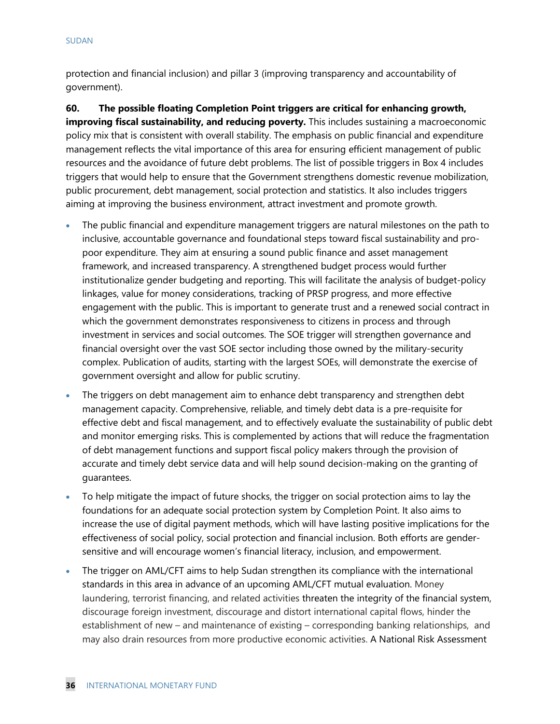protection and financial inclusion) and pillar 3 (improving transparency and accountability of government).

**60. The possible floating Completion Point triggers are critical for enhancing growth, improving fiscal sustainability, and reducing poverty.** This includes sustaining a macroeconomic policy mix that is consistent with overall stability. The emphasis on public financial and expenditure management reflects the vital importance of this area for ensuring efficient management of public resources and the avoidance of future debt problems. The list of possible triggers in Box 4 includes triggers that would help to ensure that the Government strengthens domestic revenue mobilization, public procurement, debt management, social protection and statistics. It also includes triggers aiming at improving the business environment, attract investment and promote growth.

- The public financial and expenditure management triggers are natural milestones on the path to inclusive, accountable governance and foundational steps toward fiscal sustainability and propoor expenditure. They aim at ensuring a sound public finance and asset management framework, and increased transparency. A strengthened budget process would further institutionalize gender budgeting and reporting. This will facilitate the analysis of budget-policy linkages, value for money considerations, tracking of PRSP progress, and more effective engagement with the public. This is important to generate trust and a renewed social contract in which the government demonstrates responsiveness to citizens in process and through investment in services and social outcomes. The SOE trigger will strengthen governance and financial oversight over the vast SOE sector including those owned by the military-security complex. Publication of audits, starting with the largest SOEs, will demonstrate the exercise of government oversight and allow for public scrutiny.
- The triggers on debt management aim to enhance debt transparency and strengthen debt management capacity. Comprehensive, reliable, and timely debt data is a pre-requisite for effective debt and fiscal management, and to effectively evaluate the sustainability of public debt and monitor emerging risks. This is complemented by actions that will reduce the fragmentation of debt management functions and support fiscal policy makers through the provision of accurate and timely debt service data and will help sound decision-making on the granting of guarantees.
- To help mitigate the impact of future shocks, the trigger on social protection aims to lay the foundations for an adequate social protection system by Completion Point. It also aims to increase the use of digital payment methods, which will have lasting positive implications for the effectiveness of social policy, social protection and financial inclusion. Both efforts are gendersensitive and will encourage women's financial literacy, inclusion, and empowerment.
- The trigger on AML/CFT aims to help Sudan strengthen its compliance with the international standards in this area in advance of an upcoming AML/CFT mutual evaluation. Money laundering, terrorist financing, and related activities threaten the integrity of the financial system, discourage foreign investment, discourage and distort international capital flows, hinder the establishment of new – and maintenance of existing – corresponding banking relationships, and may also drain resources from more productive economic activities. A National Risk Assessment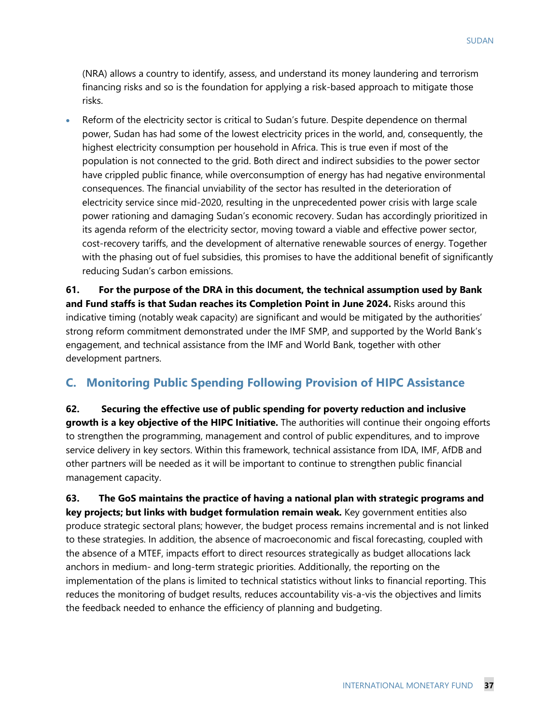(NRA) allows a country to identify, assess, and understand its money laundering and terrorism financing risks and so is the foundation for applying a risk-based approach to mitigate those risks.

• Reform of the electricity sector is critical to Sudan's future. Despite dependence on thermal power, Sudan has had some of the lowest electricity prices in the world, and, consequently, the highest electricity consumption per household in Africa. This is true even if most of the population is not connected to the grid. Both direct and indirect subsidies to the power sector have crippled public finance, while overconsumption of energy has had negative environmental consequences. The financial unviability of the sector has resulted in the deterioration of electricity service since mid-2020, resulting in the unprecedented power crisis with large scale power rationing and damaging Sudan's economic recovery. Sudan has accordingly prioritized in its agenda reform of the electricity sector, moving toward a viable and effective power sector, cost-recovery tariffs, and the development of alternative renewable sources of energy. Together with the phasing out of fuel subsidies, this promises to have the additional benefit of significantly reducing Sudan's carbon emissions.

**61. For the purpose of the DRA in this document, the technical assumption used by Bank and Fund staffs is that Sudan reaches its Completion Point in June 2024.** Risks around this indicative timing (notably weak capacity) are significant and would be mitigated by the authorities' strong reform commitment demonstrated under the IMF SMP, and supported by the World Bank's engagement, and technical assistance from the IMF and World Bank, together with other development partners.

### **C. Monitoring Public Spending Following Provision of HIPC Assistance**

**62. Securing the effective use of public spending for poverty reduction and inclusive growth is a key objective of the HIPC Initiative.** The authorities will continue their ongoing efforts to strengthen the programming, management and control of public expenditures, and to improve service delivery in key sectors. Within this framework, technical assistance from IDA, IMF, AfDB and other partners will be needed as it will be important to continue to strengthen public financial management capacity.

**63. The GoS maintains the practice of having a national plan with strategic programs and key projects; but links with budget formulation remain weak.** Key government entities also produce strategic sectoral plans; however, the budget process remains incremental and is not linked to these strategies. In addition, the absence of macroeconomic and fiscal forecasting, coupled with the absence of a MTEF, impacts effort to direct resources strategically as budget allocations lack anchors in medium- and long-term strategic priorities. Additionally, the reporting on the implementation of the plans is limited to technical statistics without links to financial reporting. This reduces the monitoring of budget results, reduces accountability vis-a-vis the objectives and limits the feedback needed to enhance the efficiency of planning and budgeting.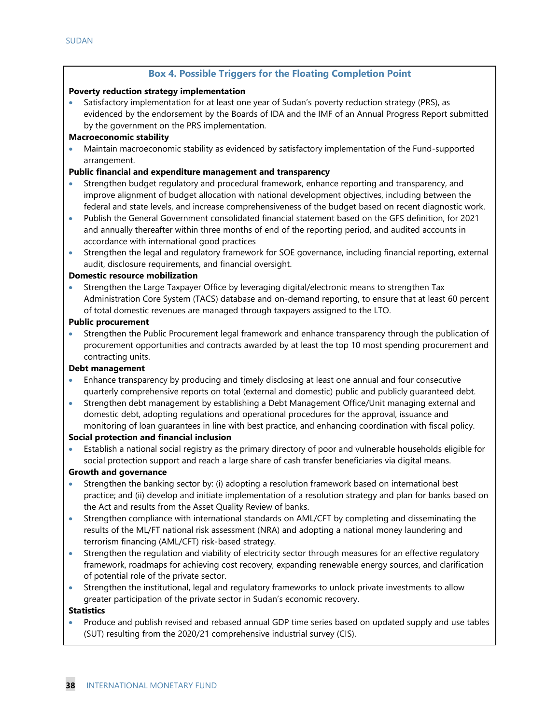#### **Box 4. Possible Triggers for the Floating Completion Point**

#### **Poverty reduction strategy implementation**

• Satisfactory implementation for at least one year of Sudan's poverty reduction strategy (PRS), as evidenced by the endorsement by the Boards of IDA and the IMF of an Annual Progress Report submitted by the government on the PRS implementation.

#### **Macroeconomic stability**

• Maintain macroeconomic stability as evidenced by satisfactory implementation of the Fund-supported arrangement.

#### **Public financial and expenditure management and transparency**

- Strengthen budget regulatory and procedural framework, enhance reporting and transparency, and improve alignment of budget allocation with national development objectives, including between the federal and state levels, and increase comprehensiveness of the budget based on recent diagnostic work.
- Publish the General Government consolidated financial statement based on the GFS definition, for 2021 and annually thereafter within three months of end of the reporting period, and audited accounts in accordance with international good practices
- Strengthen the legal and regulatory framework for SOE governance, including financial reporting, external audit, disclosure requirements, and financial oversight.

#### **Domestic resource mobilization**

• Strengthen the Large Taxpayer Office by leveraging digital/electronic means to strengthen Tax Administration Core System (TACS) database and on-demand reporting, to ensure that at least 60 percent of total domestic revenues are managed through taxpayers assigned to the LTO.

#### **Public procurement**

• Strengthen the Public Procurement legal framework and enhance transparency through the publication of procurement opportunities and contracts awarded by at least the top 10 most spending procurement and contracting units.

#### **Debt management**

- Enhance transparency by producing and timely disclosing at least one annual and four consecutive quarterly comprehensive reports on total (external and domestic) public and publicly guaranteed debt.
- Strengthen debt management by establishing a Debt Management Office/Unit managing external and domestic debt, adopting regulations and operational procedures for the approval, issuance and monitoring of loan guarantees in line with best practice, and enhancing coordination with fiscal policy.

#### **Social protection and financial inclusion**

• Establish a national social registry as the primary directory of poor and vulnerable households eligible for social protection support and reach a large share of cash transfer beneficiaries via digital means.

#### **Growth and governance**

- Strengthen the banking sector by: (i) adopting a resolution framework based on international best practice; and (ii) develop and initiate implementation of a resolution strategy and plan for banks based on the Act and results from the Asset Quality Review of banks.
- Strengthen compliance with international standards on AML/CFT by completing and disseminating the results of the ML/FT national risk assessment (NRA) and adopting a national money laundering and terrorism financing (AML/CFT) risk-based strategy.
- Strengthen the regulation and viability of electricity sector through measures for an effective regulatory framework, roadmaps for achieving cost recovery, expanding renewable energy sources, and clarification of potential role of the private sector.
- Strengthen the institutional, legal and regulatory frameworks to unlock private investments to allow greater participation of the private sector in Sudan's economic recovery.

#### **Statistics**

• Produce and publish revised and rebased annual GDP time series based on updated supply and use tables (SUT) resulting from the 2020/21 comprehensive industrial survey (CIS).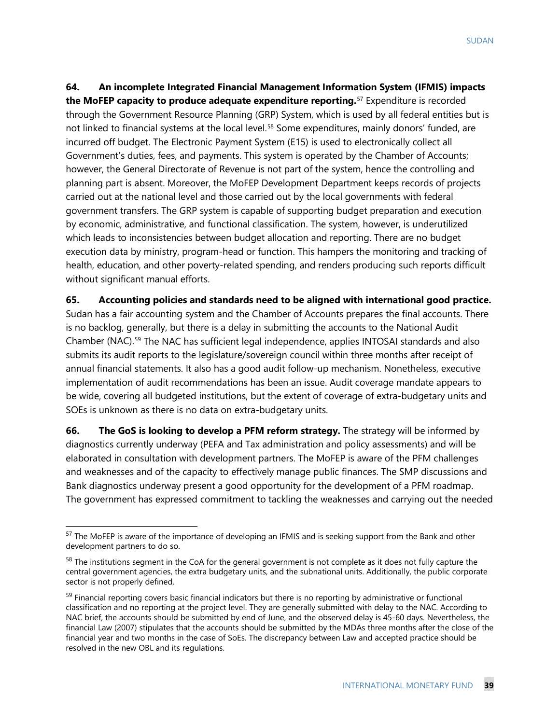**64. An incomplete Integrated Financial Management Information System (IFMIS) impacts the MoFEP capacity to produce adequate expenditure reporting.** [57](#page-41-0) Expenditure is recorded through the Government Resource Planning (GRP) System, which is used by all federal entities but is not linked to financial systems at the local level.<sup>[58](#page-41-1)</sup> Some expenditures, mainly donors' funded, are incurred off budget. The Electronic Payment System (E15) is used to electronically collect all Government's duties, fees, and payments. This system is operated by the Chamber of Accounts; however, the General Directorate of Revenue is not part of the system, hence the controlling and planning part is absent. Moreover, the MoFEP Development Department keeps records of projects carried out at the national level and those carried out by the local governments with federal government transfers. The GRP system is capable of supporting budget preparation and execution by economic, administrative, and functional classification. The system, however, is underutilized which leads to inconsistencies between budget allocation and reporting. There are no budget execution data by ministry, program-head or function. This hampers the monitoring and tracking of health, education, and other poverty-related spending, and renders producing such reports difficult without significant manual efforts.

**65. Accounting policies and standards need to be aligned with international good practice.**  Sudan has a fair accounting system and the Chamber of Accounts prepares the final accounts. There is no backlog, generally, but there is a delay in submitting the accounts to the National Audit Chamber (NAC).[59](#page-41-2) The NAC has sufficient legal independence, applies INTOSAI standards and also submits its audit reports to the legislature/sovereign council within three months after receipt of annual financial statements. It also has a good audit follow-up mechanism. Nonetheless, executive implementation of audit recommendations has been an issue. Audit coverage mandate appears to be wide, covering all budgeted institutions, but the extent of coverage of extra-budgetary units and SOEs is unknown as there is no data on extra-budgetary units.

**66. The GoS is looking to develop a PFM reform strategy.** The strategy will be informed by diagnostics currently underway (PEFA and Tax administration and policy assessments) and will be elaborated in consultation with development partners. The MoFEP is aware of the PFM challenges and weaknesses and of the capacity to effectively manage public finances. The SMP discussions and Bank diagnostics underway present a good opportunity for the development of a PFM roadmap. The government has expressed commitment to tackling the weaknesses and carrying out the needed

<span id="page-41-0"></span><sup>&</sup>lt;sup>57</sup> The MoFEP is aware of the importance of developing an IFMIS and is seeking support from the Bank and other development partners to do so.

<span id="page-41-1"></span><sup>&</sup>lt;sup>58</sup> The institutions segment in the CoA for the general government is not complete as it does not fully capture the central government agencies, the extra budgetary units, and the subnational units. Additionally, the public corporate sector is not properly defined.

<span id="page-41-2"></span><sup>&</sup>lt;sup>59</sup> Financial reporting covers basic financial indicators but there is no reporting by administrative or functional classification and no reporting at the project level. They are generally submitted with delay to the NAC. According to NAC brief, the accounts should be submitted by end of June, and the observed delay is 45-60 days. Nevertheless, the financial Law (2007) stipulates that the accounts should be submitted by the MDAs three months after the close of the financial year and two months in the case of SoEs. The discrepancy between Law and accepted practice should be resolved in the new OBL and its regulations.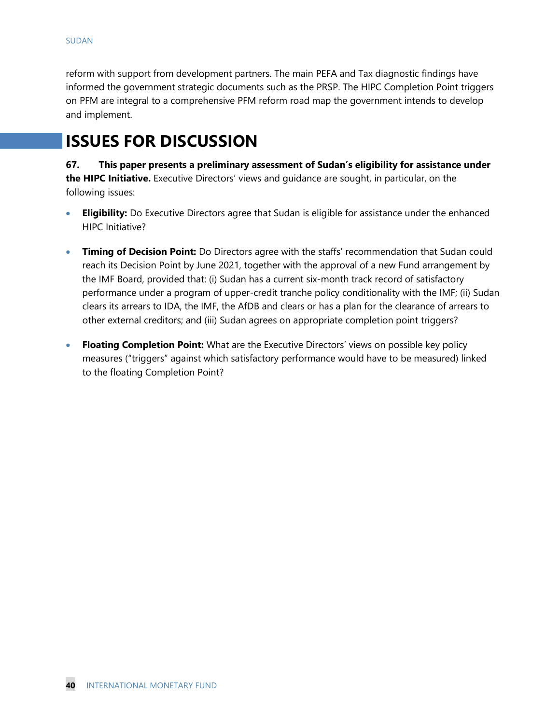reform with support from development partners. The main PEFA and Tax diagnostic findings have informed the government strategic documents such as the PRSP. The HIPC Completion Point triggers on PFM are integral to a comprehensive PFM reform road map the government intends to develop and implement.

## **ISSUES FOR DISCUSSION**

**67. This paper presents a preliminary assessment of Sudan's eligibility for assistance under the HIPC Initiative.** Executive Directors' views and guidance are sought, in particular, on the following issues:

- **Eligibility:** Do Executive Directors agree that Sudan is eligible for assistance under the enhanced HIPC Initiative?
- **Timing of Decision Point:** Do Directors agree with the staffs' recommendation that Sudan could reach its Decision Point by June 2021, together with the approval of a new Fund arrangement by the IMF Board, provided that: (i) Sudan has a current six-month track record of satisfactory performance under a program of upper-credit tranche policy conditionality with the IMF; (ii) Sudan clears its arrears to IDA, the IMF, the AfDB and clears or has a plan for the clearance of arrears to other external creditors; and (iii) Sudan agrees on appropriate completion point triggers?
- **Floating Completion Point:** What are the Executive Directors' views on possible key policy measures ("triggers" against which satisfactory performance would have to be measured) linked to the floating Completion Point?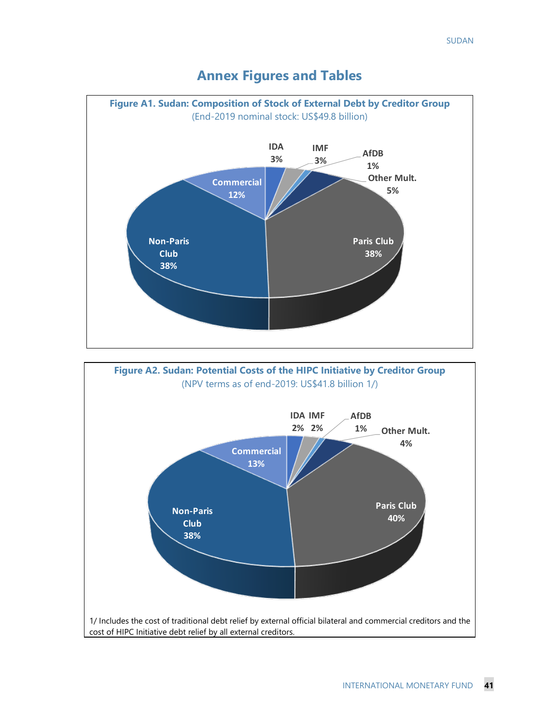

## **Annex Figures and Tables**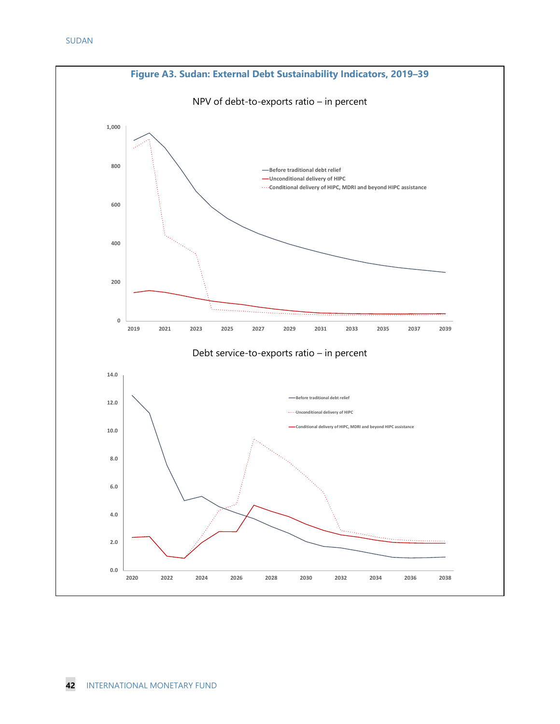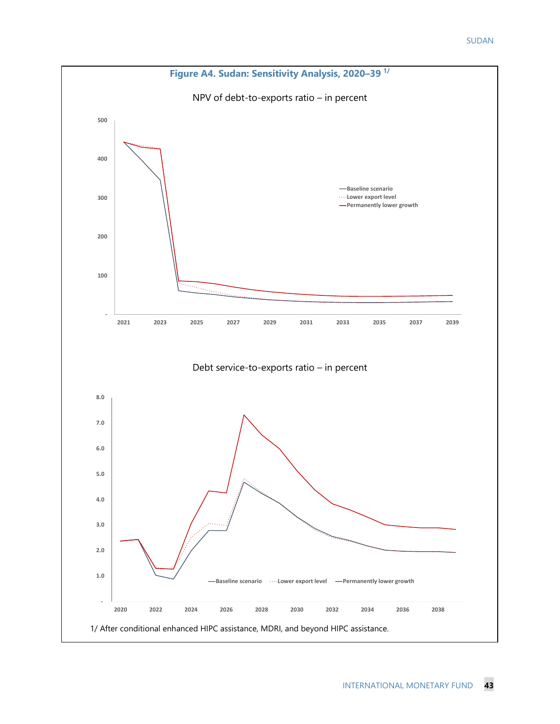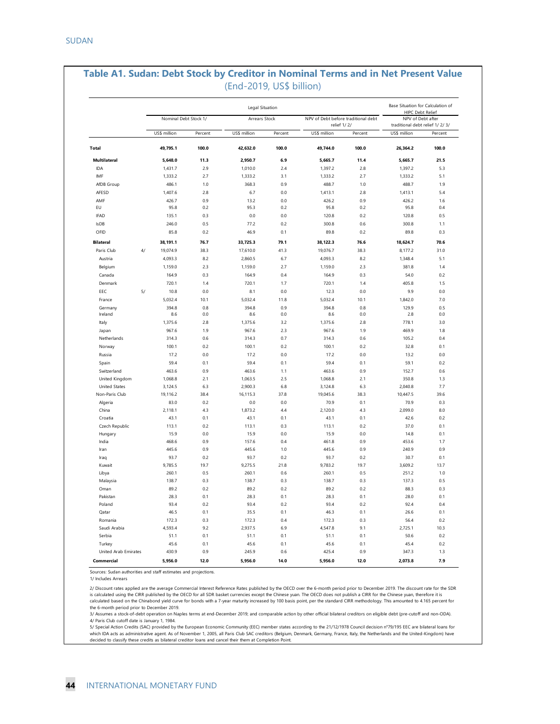|                              |      |                       |         | Legal Situation |         |                                                    |         | Base Situation for Calculation of<br><b>HIPC Debt Relief</b> |         |
|------------------------------|------|-----------------------|---------|-----------------|---------|----------------------------------------------------|---------|--------------------------------------------------------------|---------|
|                              |      | Nominal Debt Stock 1/ |         | Arrears Stock   |         | NPV of Debt before traditional debt<br>relief 1/2/ |         | NPV of Debt after<br>traditional debt relief 1/2/3/          |         |
| Total<br><b>Multilateral</b> |      | US\$ million          | Percent | US\$ million    | Percent | US\$ million                                       | Percent | US\$ million                                                 | Percent |
|                              |      | 49,795.1              | 100.0   | 42,632.0        | 100.0   | 49,744.0                                           | 100.0   | 26,364.2                                                     | 100.0   |
|                              |      | 5,648.0               | 11.3    | 2,950.7         | 6.9     | 5,665.7                                            | 11.4    | 5,665.7                                                      | 21.5    |
| <b>IDA</b>                   |      | 1,431.7               | 2.9     | 1,010.0         | 2.4     | 1,397.2                                            | 2.8     | 1,397.2                                                      | 5.3     |
| IMF                          |      | 1,333.2               | 2.7     | 1,333.2         | 3.1     | 1,333.2                                            | 2.7     | 1,333.2                                                      | 5.1     |
| AfDB Group                   |      | 486.1                 | 1.0     | 368.3           | 0.9     | 488.7                                              | 1.0     | 488.7                                                        | 1.9     |
| AFESD                        |      | 1,407.6               | 2.8     | 6.7             | 0.0     | 1.413.1                                            | 2.8     | 1,413.1                                                      | 5.4     |
| AMF                          |      | 426.7                 | 0.9     | 13.2            | 0.0     | 426.2                                              | 0.9     | 426.2                                                        | 1.6     |
| EU                           |      | 95.8                  | 0.2     | 95.3            | 0.2     | 95.8                                               | 0.2     | 95.8                                                         | 0.4     |
| <b>IFAD</b>                  |      | 135.1                 | 0.3     | 0.0             | 0.0     | 120.8                                              | 0.2     | 120.8                                                        | 0.5     |
| <b>IsDB</b>                  |      | 246.0                 | 0.5     | 77.2            | 0.2     | 300.8                                              | 0.6     | 300.8                                                        | 1.1     |
| OFID                         |      | 85.8                  | 0.2     | 46.9            | 0.1     | 89.8                                               | 0.2     | 89.8                                                         | 0.3     |
|                              |      |                       |         |                 |         |                                                    |         |                                                              |         |
| <b>Bilateral</b>             |      | 38, 191.1             | 76.7    | 33,725.3        | 79.1    | 38, 122.3                                          | 76.6    | 18,624.7                                                     | 70.6    |
| Paris Club                   | $4/$ | 19,074.9              | 38.3    | 17,610.0        | 41.3    | 19,076.7                                           | 38.3    | 8,177.2                                                      | 31.0    |
| Austria                      |      | 4,093.3               | 8.2     | 2,860.5         | 6.7     | 4,093.3                                            | 8.2     | 1,348.4                                                      | 5.1     |
| Belgium                      |      | 1,159.0               | 2.3     | 1,159.0         | 2.7     | 1,159.0                                            | 2.3     | 381.8                                                        | 1.4     |
| Canada                       |      | 164.9                 | 0.3     | 164.9           | 0.4     | 164.9                                              | 0.3     | 54.0                                                         | 0.2     |
| Denmark                      |      | 720.1                 | 1.4     | 720.1           | 1.7     | 720.1                                              | 1.4     | 405.8                                                        | 1.5     |
| EEC                          | 5/   | 10.8                  | 0.0     | 8.1             | 0.0     | 12.3                                               | 0.0     | 9.9                                                          | 0.0     |
| France                       |      | 5,032.4               | 10.1    | 5,032.4         | 11.8    | 5.032.4                                            | 10.1    | 1,842.0                                                      | 7.0     |
| Germany                      |      | 394.8                 | 0.8     | 394.8           | 0.9     | 394.8                                              | 0.8     | 129.9<br>2.8                                                 | 0.5     |
| Ireland                      |      | 8.6                   | 0.0     | 8.6             | 0.0     | 8.6                                                | 0.0     |                                                              | 0.0     |
| Italy                        |      | 1,375.6               | 2.8     | 1,375.6         | 3.2     | 1,375.6                                            | 2.8     | 778.1                                                        | 3.0     |
| Japan                        |      | 967.6                 | 1.9     | 967.6           | 2.3     | 967.6                                              | 1.9     | 469.9                                                        | 1.8     |
| Netherlands                  |      | 314.3                 | 0.6     | 314.3           | 0.7     | 314.3                                              | 0.6     | 105.2                                                        | 0.4     |
| Norway                       |      | 100.1                 | 0.2     | 100.1           | 0.2     | 100.1                                              | 0.2     | 32.8                                                         | 0.1     |
| Russia                       |      | 17.2                  | 0.0     | 17.2            | 0.0     | 17.2                                               | 0.0     | 13.2                                                         | 0.0     |
| Spain                        |      | 59.4                  | 0.1     | 59.4            | 0.1     | 59.4                                               | 0.1     | 59.1                                                         | 0.2     |
| Switzerland                  |      | 463.6                 | 0.9     | 463.6           | 1.1     | 463.6                                              | 0.9     | 152.7                                                        | 0.6     |
| United Kingdom               |      | 1,068.8               | 2.1     | 1,063.5         | 2.5     | 1,068.8                                            | 2.1     | 350.8                                                        | 1.3     |
| <b>United States</b>         |      | 3,124.5               | 6.3     | 2,900.3         | 6.8     | 3,124.8                                            | 6.3     | 2,040.8                                                      | 7.7     |
| Non-Paris Club               |      | 19,116.2              | 38.4    | 16,115.3        | 37.8    | 19,045.6                                           | 38.3    | 10,447.5                                                     | 39.6    |
| Algeria                      |      | 83.0                  | 0.2     | 0.0             | 0.0     | 70.9                                               | 0.1     | 70.9                                                         | 0.3     |
| China                        |      | 2,118.1               | 4.3     | 1,873.2         | 4.4     | 2,120.0                                            | 4.3     | 2,099.0                                                      | 8.0     |
| Croatia                      |      | 43.1                  | 0.1     | 43.1            | 0.1     | 43.1                                               | 0.1     | 42.6                                                         | 0.2     |
| Czech Republic               |      | 113.1                 | 0.2     | 113.1           | 0.3     | 113.1                                              | 0.2     | 37.0                                                         | 0.1     |
| Hungary                      |      | 15.9                  | 0.0     | 15.9            | 0.0     | 15.9                                               | 0.0     | 14.8                                                         | 0.1     |
| India                        |      | 468.6                 | 0.9     | 157.6           | 0.4     | 461.8                                              | 0.9     | 453.6                                                        | 1.7     |
| Iran                         |      | 445.6                 | 0.9     | 445.6           | 1.0     | 445.6                                              | 0.9     | 240.9                                                        | 0.9     |
| Iraq                         |      | 93.7                  | 0.2     | 93.7            | 0.2     | 93.7                                               | 0.2     | 30.7                                                         | 0.1     |
| Kuwait                       |      | 9,785.5               | 19.7    | 9,275.5         | 21.8    | 9,783.2                                            | 19.7    | 3,609.2                                                      | 13.7    |
| Libya                        |      | 260.1                 | 0.5     | 260.1           | 0.6     | 260.1                                              | 0.5     | 251.2                                                        | 1.0     |
| Malaysia                     |      | 138.7                 | 0.3     | 138.7           | 0.3     | 138.7                                              | 0.3     | 137.3                                                        | 0.5     |
| Oman                         |      | 89.2                  | 0.2     | 89.2            | 0.2     | 89.2                                               | 0.2     | 88.3                                                         | 0.3     |
| Pakistan                     |      | 28.3                  | 0.1     | 28.3            | 0.1     | 28.3                                               | 0.1     | 28.0                                                         | 0.1     |
| Poland                       |      | 93.4                  | 0.2     | 93.4            | 0.2     | 93.4                                               | 0.2     | 92.4                                                         | 0.4     |
| Qatar                        |      | 46.5                  | 0.1     | 35.5            | 0.1     | 46.3                                               | 0.1     | 26.6                                                         | 0.1     |
| Romania                      |      | 172.3                 | 0.3     | 172.3           | 0.4     | 172.3                                              | 0.3     | 56.4                                                         | 0.2     |
| Saudi Arabia                 |      | 4,593.4               | 9.2     | 2,937.5         | 6.9     | 4,547.8                                            | 9.1     | 2,725.1                                                      | 10.3    |
| Serbia                       |      | 51.1                  | 0.1     | 51.1            | 0.1     | 51.1                                               | 0.1     | 50.6                                                         | 0.2     |
| Turkey                       |      | 45.6                  | 0.1     | 45.6            | 0.1     | 45.6                                               | 0.1     | 45.4                                                         | 0.2     |
| United Arab Emirates         |      | 430.9                 | 0.9     | 245.9           | 0.6     | 425.4                                              | 0.9     | 347.3                                                        | 1.3     |
| Commercial                   |      | 5,956.0               | 12.0    | 5,956.0         | 14.0    | 5,956.0                                            | 12.0    | 2,073.8                                                      | 7.9     |

## **Table A1. Sudan: Debt Stock by Creditor in Nominal Terms and in Net Present Value**

Sources: Sudan authorities and staff estimates and projections.

1/ Includes Arrears

2/ Discount rates applied are the average Commercial Interest Reference Rates published by the OECD over the 6-month period prior to December 2019. The discount rate for the SDR is calculated using the CIRR published by the OECD for all SDR basket currencies except the Chinese yuan. The OECD does not publish a CIRR for the Chinese yuan, therefore it is<br>calculated based on the Chinabond yield curve the 6-month period prior to December 2019.

4/ Paris Club cutoff date is January 1, 1984. 3/ Assumes a stock-of-debt operation on Naples terms at end-December 2019; and comparable action by other official bilateral creditors on eligible debt (pre-cutoff and non-ODA).

5/ Special Action Credits (SAC) provided by the European Economic Community (EEC) member states according to the 21/12/1978 Council decision n°79/195 EEC are bilateral loans for which IDA acts as administrative agent. As of November 1, 2005, all Paris Club SAC creditors (Belgium, Denmark, Germany, France, Italy, the Netherlands and the United-Kingdom) have<br>decided to classify these credits as bila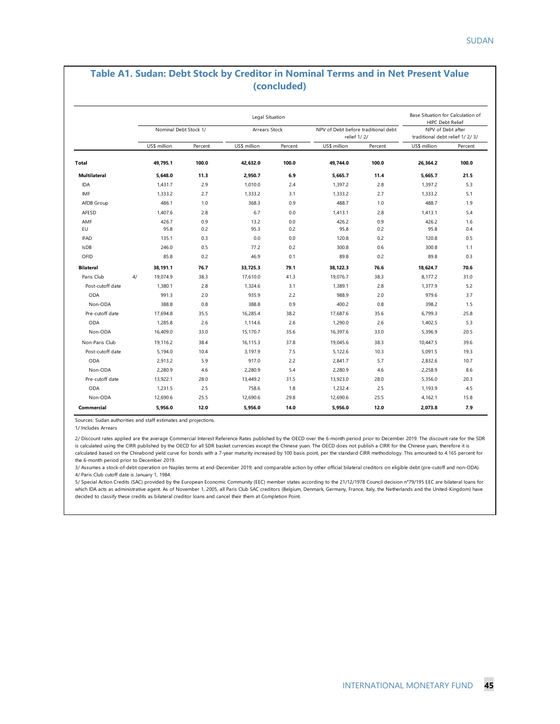#### **Table A1. Sudan: Debt Stock by Creditor in Nominal Terms and in Net Present Value (concluded)**

|                     |    |                       |         | Legal Situation |         |                                                    |         | Base Situation for Calculation of<br><b>HIPC Debt Relief</b> |         |  |
|---------------------|----|-----------------------|---------|-----------------|---------|----------------------------------------------------|---------|--------------------------------------------------------------|---------|--|
|                     |    | Nominal Debt Stock 1/ |         | Arrears Stock   |         | NPV of Debt before traditional debt<br>relief 1/2/ |         | NPV of Debt after<br>traditional debt relief 1/2/3/          |         |  |
|                     |    | US\$ million          | Percent | US\$ million    | Percent | US\$ million                                       | Percent | US\$ million                                                 | Percent |  |
| <b>Total</b>        |    | 49,795.1              | 100.0   | 42,632.0        | 100.0   | 49,744.0                                           | 100.0   | 26,364.2                                                     | 100.0   |  |
| <b>Multilateral</b> |    | 5.648.0               | 11.3    | 2.950.7         | 6.9     | 5.665.7                                            | 11.4    | 5.665.7                                                      | 21.5    |  |
| IDA                 |    | 1,431.7               | 2.9     | 1,010.0         | 2.4     | 1,397.2                                            | 2.8     | 1,397.2                                                      | 5.3     |  |
| IMF                 |    | 1,333.2               | 2.7     | 1,333.2         | 3.1     | 1,333.2                                            | 2.7     | 1,333.2                                                      | 5.1     |  |
| AfDB Group          |    | 486.1                 | 1.0     | 368.3           | 0.9     | 488.7                                              | 1.0     | 488.7                                                        | 1.9     |  |
| AFESD               |    | 1,407.6               | 2.8     | 6.7             | 0.0     | 1,413.1                                            | 2.8     | 1,413.1                                                      | 5.4     |  |
| AMF                 |    | 426.7                 | 0.9     | 13.2            | 0.0     | 426.2                                              | 0.9     | 426.2                                                        | 1.6     |  |
| EU                  |    | 95.8                  | 0.2     | 95.3            | 0.2     | 95.8                                               | 0.2     | 95.8                                                         | 0.4     |  |
| <b>IFAD</b>         |    | 135.1                 | 0.3     | 0.0             | 0.0     | 120.8                                              | 0.2     | 120.8                                                        | 0.5     |  |
| <b>IsDB</b>         |    | 246.0                 | 0.5     | 77.2            | 0.2     | 300.8                                              | 0.6     | 300.8                                                        | 1.1     |  |
| OFID                |    | 85.8                  | 0.2     | 46.9            | 0.1     | 89.8                                               | 0.2     | 89.8                                                         | 0.3     |  |
| <b>Bilateral</b>    |    | 38.191.1              | 76.7    | 33.725.3        | 79.1    | 38, 122.3                                          | 76.6    | 18,624.7                                                     | 70.6    |  |
| Paris Club          | 4/ | 19,074.9              | 38.3    | 17,610.0        | 41.3    | 19,076.7                                           | 38.3    | 8,177.2                                                      | 31.0    |  |
| Post-cutoff date    |    | 1,380.1               | 2.8     | 1,324.6         | 3.1     | 1,389.1                                            | 2.8     | 1,377.9                                                      | 5.2     |  |
| ODA                 |    | 991.3                 | 2.0     | 935.9           | 2.2     | 988.9                                              | 2.0     | 979.6                                                        | 3.7     |  |
| Non-ODA             |    | 388.8                 | 0.8     | 388.8           | 0.9     | 400.2                                              | 0.8     | 398.2                                                        | 1.5     |  |
| Pre-cutoff date     |    | 17.694.8              | 35.5    | 16,285.4        | 38.2    | 17.687.6                                           | 35.6    | 6.799.3                                                      | 25.8    |  |
| ODA                 |    | 1,285.8               | 2.6     | 1.114.6         | 2.6     | 1,290.0                                            | 2.6     | 1,402.5                                                      | 5.3     |  |
| Non-ODA             |    | 16,409.0              | 33.0    | 15,170.7        | 35.6    | 16,397.6                                           | 33.0    | 5,396.9                                                      | 20.5    |  |
| Non-Paris Club      |    | 19.116.2              | 38.4    | 16.115.3        | 37.8    | 19,045.6                                           | 38.3    | 10,447.5                                                     | 39.6    |  |
| Post-cutoff date    |    | 5,194.0               | 10.4    | 3,197.9         | 7.5     | 5,122.6                                            | 10.3    | 5,091.5                                                      | 19.3    |  |
| ODA                 |    | 2.913.2               | 5.9     | 917.0           | 2.2     | 2.841.7                                            | 5.7     | 2.832.6                                                      | 10.7    |  |
| Non-ODA             |    | 2,280.9               | 4.6     | 2,280.9         | 5.4     | 2,280.9                                            | 4.6     | 2,258.9                                                      | 8.6     |  |
| Pre-cutoff date     |    | 13,922.1              | 28.0    | 13,449.2        | 31.5    | 13,923.0                                           | 28.0    | 5,356.0                                                      | 20.3    |  |
| <b>ODA</b>          |    | 1,231.5               | 2.5     | 758.6           | 1.8     | 1,232.4                                            | 2.5     | 1,193.9                                                      | 4.5     |  |
| Non-ODA             |    | 12,690.6              | 25.5    | 12,690.6        | 29.8    | 12,690.6                                           | 25.5    | 4,162.1                                                      | 15.8    |  |
| Commercial          |    | 5,956.0               | 12.0    | 5,956.0         | 14.0    | 5,956.0                                            | 12.0    | 2,073.8                                                      | 7.9     |  |

Sources: Sudan authorities and staff estimates and projections.

1/ Includes Arrears

2/ Discount rates applied are the average Commercial Interest Reference Rates published by the OECD over the 6-month period prior to December 2019. The discount rate for the SDR is calculated using the CIRR published by the OECD for all SDR basket currencies except the Chinese yuan. The OECD does not publish a CIRR for the Chinese yuan, therefore it is calculated based on the Chinabond yield curve for bonds with a 7-year maturity increased by 100 basis point, per the standard CIRR methodology. This amounted to 4.165 percent for the 6-month period prior to December 2019.

4/ Paris Club cutoff date is January 1, 1984. 3/ Assumes a stock-of-debt operation on Naples terms at end-December 2019; and comparable action by other official bilateral creditors on eligible debt (pre-cutoff and non-ODA).

5/ Special Action Credits (SAC) provided by the European Economic Community (EEC) member states according to the 21/12/1978 Council decision n°79/195 EEC are bilateral loans for which IDA acts as administrative agent. As of November 1, 2005, all Paris Club SAC creditors (Belgium, Denmark, Germany, France, Italy, the Netherlands and the United-Kingdom) have decided to classify these credits as bilateral creditor loans and cancel their them at Completion Point.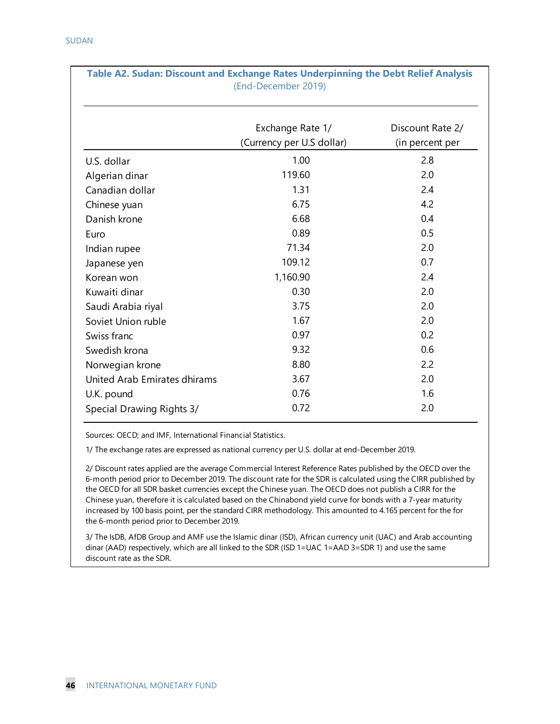| rable AZ. Sudan. Discount and exchange Kates Underphining the Debt Kener Analysis | (End-December 2019)                           |                                     |
|-----------------------------------------------------------------------------------|-----------------------------------------------|-------------------------------------|
|                                                                                   | Exchange Rate 1/<br>(Currency per U.S dollar) | Discount Rate 2/<br>(in percent per |
| U.S. dollar                                                                       | 1.00                                          | 2.8                                 |
| Algerian dinar                                                                    | 119.60                                        | 2.0                                 |
| Canadian dollar                                                                   | 1.31                                          | 2.4                                 |
| Chinese yuan                                                                      | 6.75                                          | 4.2                                 |
| Danish krone                                                                      | 6.68                                          | 0.4                                 |
| Euro                                                                              | 0.89                                          | 0.5                                 |
| Indian rupee                                                                      | 71.34                                         | 2.0                                 |
| Japanese yen                                                                      | 109.12                                        | 0.7                                 |
| Korean won                                                                        | 1,160.90                                      | 2.4                                 |
| Kuwaiti dinar                                                                     | 0.30                                          | 2.0                                 |
| Saudi Arabia riyal                                                                | 3.75                                          | 2.0                                 |
| Soviet Union ruble                                                                | 1.67                                          | 2.0                                 |
| Swiss franc                                                                       | 0.97                                          | 0.2                                 |
| Swedish krona                                                                     | 9.32                                          | 0.6                                 |
| Norwegian krone                                                                   | 8.80                                          | 2.2                                 |
| United Arab Emirates dhirams                                                      | 3.67                                          | 2.0                                 |
| U.K. pound                                                                        | 0.76                                          | 1.6                                 |
| Special Drawing Rights 3/                                                         | 0.72                                          | 2.0                                 |

**Table A2. Sudan: Discount and Exchange Rates Underpinning the Debt Relief Analysis**

Sources: OECD; and IMF, International Financial Statistics.

1/ The exchange rates are expressed as national currency per U.S. dollar at end-December 2019.

2/ Discount rates applied are the average Commercial Interest Reference Rates published by the OECD over the 6-month period prior to December 2019. The discount rate for the SDR is calculated using the CIRR published by the OECD for all SDR basket currencies except the Chinese yuan. The OECD does not publish a CIRR for the Chinese yuan, therefore it is calculated based on the Chinabond yield curve for bonds with a 7-year maturity increased by 100 basis point, per the standard CIRR methodology. This amounted to 4.165 percent for the for the 6-month period prior to December 2019.

3/ The IsDB, AfDB Group and AMF use the Islamic dinar (ISD), African currency unit (UAC) and Arab accounting dinar (AAD) respectively, which are all linked to the SDR (ISD 1=UAC 1=AAD 3=SDR 1) and use the same discount rate as the SDR.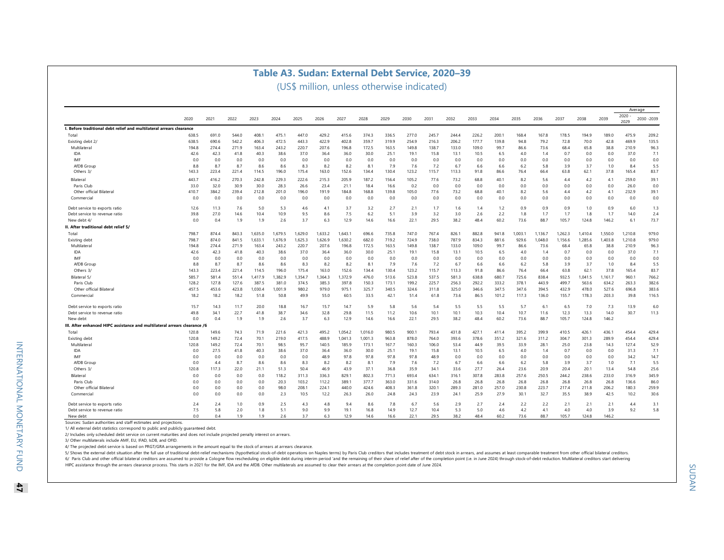### **Table A3. Sudan: External Debt Service, 2020–39**

(US\$ million, unless otherwise indicated)

|                                                                           |       |       |       |         |         |         |         |         |         |       |       |       |       |       |       |         |         | Average |         |         |              |             |
|---------------------------------------------------------------------------|-------|-------|-------|---------|---------|---------|---------|---------|---------|-------|-------|-------|-------|-------|-------|---------|---------|---------|---------|---------|--------------|-------------|
|                                                                           | 2020  | 2021  | 2022  | 2023    | 2024    | 2025    | 2026    | 2027    | 2028    | 2029  | 2030  | 2031  | 2032  | 2033  | 2034  | 2035    | 2036    | 2037    | 2038    | 2039    | 2020<br>2029 | 2030 - 2039 |
| I. Before traditional debt relief and multilateral arrears clearance      |       |       |       |         |         |         |         |         |         |       |       |       |       |       |       |         |         |         |         |         |              |             |
| Total                                                                     | 638.5 | 691.0 | 544.0 | 408.    | 475.    | 447.0   | 429.2   | 415.6   | 374.3   | 336.5 | 277.0 | 245.7 | 244.4 | 226.2 | 200.7 | 168.4   | 167.8   | 178.5   | 194.9   | 189.0   | 475.9        | 209.2       |
| Existing debt 2/                                                          | 638.5 | 690.6 | 542.2 | 406.3   | 472.5   | 443.3   | 422.9   | 402.8   | 359.7   | 319.9 | 254.9 | 216.3 | 206.2 | 177.7 | 139.8 | 94.8    | 79.2    | 72.8    | 70.0    | 42.8    | 469.9        | 135.5       |
| Multilateral                                                              | 194.8 | 274.4 | 271.9 | 163.4   | 243.2   | 220.7   | 207.6   | 196.8   | 172.5   | 163.5 | 149.8 | 138.7 | 133.0 | 109.0 | 99.7  | 86.6    | 73.6    | 68.4    | 65.8    | 38.8    | 210.9        | 96.3        |
| <b>IDA</b>                                                                | 42.6  | 42.3  | 41.8  | 40.3    | 38.6    | 37.0    | 36.4    | 36.0    | 30.0    | 25.1  | 19.1  | 15.8  | 13.1  | 10.5  | 6.5   | 4.0     | 1.4     | 0.7     | 0.0     | 0.0     | 37.0         | 7.1         |
| IMF                                                                       | 0.0   | 0.0   | 0.0   | 0.0     | 0.0     | 0.0     | 0.0     | 0.0     | 0.0     | 0.0   | 0.0   | 0.0   | 0.0   | 0.0   | 0.0   | 0.0     | 0.0     | 0.0     | 0.0     | 0.0     | 0.0          | 0.0         |
| AfDB Group                                                                | 8.8   | 8.7   | 8.7   | 8.6     | 8.6     | 8.3     | 8.2     | 8.2     | 8.1     | 7.9   | 7.6   | 7.2   | 6.7   | 6.6   | 6.6   | 6.2     | 5.8     | 3.9     | 3.7     | 1.0     | 8.4          | 5.5         |
| Others 3/                                                                 | 143.3 | 223.4 | 221.4 | 114.5   | 196.0   | 175.4   | 163.0   | 152.6   | 134.4   | 130.4 | 123.2 | 115.7 | 113.3 | 91.8  | 86.6  | 76.4    | 66.4    | 63.8    | 62.1    | 37.8    | 165.4        | 83.7        |
| Bilateral                                                                 | 443.7 | 416.2 | 270.3 | 242.8   | 229.3   | 222.6   | 215.3   | 205.9   | 187.2   | 156.4 | 105.2 | 77.6  | 73.2  | 68.8  | 40.1  | 8.2     | 5.6     | 4.4     | 4.2     | 4.1     | 259.0        | 39.1        |
| Paris Club                                                                | 33.0  | 32.0  | 30.9  | 30.0    | 28.3    | 26.6    | 23.4    | 21.1    | 18.4    | 16.6  | 0.2   | 0.0   | 0.0   | 0.0   | 0.0   | 0.0     | 0.0     | 0.0     | 0.0     | 0.0     | 26.0         | 0.0         |
| Other official Bilateral                                                  | 410.7 | 384.2 | 239.4 | 212.8   | 201.0   | 196.0   | 191.9   | 184.8   | 168.8   | 139.8 | 105.0 | 77.6  | 73.2  | 68.8  | 40.1  | 8.2     | 5.6     | 4.4     | 4.2     | 4.1     | 232.9        | 39.1        |
| Commercial                                                                | 0.0   | 0.0   | 0.0   | 0.0     | 0.0     | 0.0     | 0.0     | 0.0     | 0.0     | 0.0   | 0.0   | 0.0   | 0.0   | 0.0   | 0.0   | 0.0     | 0.0     | 0.0     | 0.0     | 0.0     | 0.0          | 0.0         |
| Debt service to exports ratio                                             | 12.6  | 11.3  | 7.6   | 5.0     | 5.3     | 4.6     | 4.1     | 3.7     | 3.2     | 2.7   | 2.1   | 1.7   | 1.6   | 1.4   | 1.2   | 0.9     | 0.9     | 0.9     | 1.0     | 0.9     | 6.0          | 1.3         |
| Debt service to revenue ratio                                             | 39.8  | 27.0  | 14.6  | 10.4    | 10.9    | 9.5     | 8.6     | 7.5     | 6.2     | 5.1   | 3.9   | 3.2   | 3.0   | 2.6   | 2.2   | 1.8     | 1.7     | 1.7     | 1.8     | 1.7     | 14.0         | 2.4         |
| New debt 4/                                                               | 0.0   | 0.4   | 1.9   | 1.9     | 2.6     | 3.7     | 6.3     | 12.9    | 14.6    | 16.6  | 22.1  | 29.5  | 38.2  | 48.4  | 60.2  | 73.6    | 88.7    | 105.7   | 124.8   | 146.2   | 6.1          | 73.7        |
| II. After traditional debt relief 5/                                      |       |       |       |         |         |         |         |         |         |       |       |       |       |       |       |         |         |         |         |         |              |             |
| Total                                                                     | 798.7 | 874.4 | 843.3 | 1,635.0 | 1,679.5 | 1,629.0 | 1,633.2 | 1,643.1 | 696.6   | 735.8 | 747.0 | 767.4 | 826.1 | 882.8 | 941.8 | 1,003.1 | 1,136.7 | 1,262.3 | 1,410.4 | 1,550.0 | 1,210.8      | 979.0       |
| Existing debt                                                             | 798.7 | 874.0 | 841.5 | 1,633.1 | 1.676.9 | 1.625.3 | 1.626.9 | 1.630.2 | 682.0   | 719.2 | 724.9 | 738.0 | 787.9 | 834.3 | 881.6 | 929.6   | 1.048.0 | 1.156.6 | 1.285.6 | 1.403.8 | 1,210.8      | 979.0       |
| Multilateral                                                              | 194.8 | 274.4 | 271.9 | 163.4   | 243.2   | 220.7   | 207.6   | 196.8   | 172.5   | 163.5 | 149.8 | 138.7 | 133.0 | 109.0 | 99.7  | 86.6    | 73.6    | 68.4    | 65.8    | 38.8    | 210.9        | 96.3        |
| <b>IDA</b>                                                                | 42.6  | 42.3  | 41.8  | 40.3    | 38.6    | 37.0    | 36.4    | 36.0    | 30.0    | 25.1  | 19.1  | 15.8  | 13.1  | 10.5  | 6.5   | 4.0     | 1.4     | 0.7     | 0.0     | 0.0     | 37.0         | 7.1         |
| IMF                                                                       | 0.0   | 0.0   | 0.0   | 0.0     | 0.0     | 0.0     | 0.0     | 0.0     | 0.0     | 0.0   | 0.0   | 0.0   | 0.0   | 0.0   | 0.0   | 0.0     | 0.0     | 0.0     | 0.0     | 0.0     | 0.0          | 0.0         |
| AfDB Group                                                                | 8.8   | 8.7   | 8.7   | 8.6     | 8.6     | 8.3     | 8.2     | 8.2     | 8.1     | 7.9   | 7.6   | 7.2   | 6.7   | 6.6   | 6.6   | 6.2     | 5.8     | 3.9     | 3.7     | 1.0     | 8.4          | 5.5         |
| Others 3/                                                                 | 143.3 | 223.4 | 221.4 | 114.5   | 196.0   | 175.4   | 163.0   | 152.6   | 134.4   | 130.4 | 123.2 | 115.7 | 113.3 | 91.8  | 86.6  | 76.4    | 66.4    | 63.8    | 62.1    | 37.8    | 165.4        | 83.7        |
| Bilateral 5/                                                              | 585.7 | 581.4 | 551.4 | 1,417.9 | 1,382.9 | 1,354.7 | 1,364.3 | 1,372.9 | 476.0   | 513.6 | 523.8 | 537.5 | 581.3 | 638.8 | 680.7 | 725.6   | 838.4   | 932.5   | 1,041.5 | 1,161.7 | 960.1        | 766.2       |
| Paris Club                                                                | 128.2 | 127.8 | 127.6 | 387.5   | 381.0   | 374.5   | 385.3   | 397.8   | 150.3   | 173.1 | 199.2 | 225.7 | 256.3 | 292.2 | 333.2 | 378.1   | 443.9   | 499.7   | 563.6   | 634.2   | 263.3        | 382.6       |
| Other official Bilatera                                                   | 457.5 | 453.6 | 423.8 | 1,030.4 | 1,001.9 | 980.2   | 979.0   | 975.1   | 325.7   | 340.5 | 324.6 | 311.8 | 325.0 | 346.6 | 347.5 | 347.6   | 394.5   | 432.9   | 478.0   | 527.6   | 696.8        | 383.6       |
| Commercial                                                                | 18.2  | 18.2  | 18.2  | 51.8    | 50.8    | 49.9    | 55.0    | 60.5    | 33.5    | 42.1  | 51.4  | 61.8  | 73.6  | 86.5  | 101.2 | 117.3   | 136.0   | 155.7   | 178.3   | 203.3   | 39.8         | 116.5       |
| Debt service to exports ratio                                             | 15.7  | 14.3  | 11.7  | 20.0    | 18.8    | 16.7    | 15.7    | 14.7    | 5.9     | 5.8   | 5.6   | 5.4   | 5.5   | 5.5   | 5.5   | 5.7     | 6.1     | 6.5     | 7.0     | 7.3     | 13.9         | 6.0         |
| Debt service to revenue ratio                                             | 49.8  | 34.1  | 22.7  | 41.8    | 38.7    | 34.6    | 32.8    | 29.8    | 11.5    | 11.2  | 10.6  | 10.1  | 10.1  | 10.3  | 10.4  | 10.7    | 11.6    | 12.3    | 13.3    | 14.0    | 30.7         | 11.3        |
| New debt                                                                  | 0.0   | 0.4   | 1.9   | 1.9     | 2.6     | 3.7     | 6.3     | 12.9    | 14.6    | 16.6  | 22.1  | 29.5  | 38.2  | 48.4  | 60.2  | 73.6    | 88.7    | 105.7   | 124.8   | 146.2   |              |             |
| III. After enhanced HIPC assistance and multilateral arrears clearance /6 |       |       |       |         |         |         |         |         |         |       |       |       |       |       |       |         |         |         |         |         |              |             |
| Total                                                                     | 120.8 | 149.6 | 74.3  | 71.9    | 221.6   | 421.3   | 495.2   | 1,054.2 | 1,016.0 | 980.5 | 900.  | 793.4 | 431.8 | 427.1 | 411.4 | 395.2   | 399.9   | 410.5   | 426.1   | 436.1   | 454.4        | 429.4       |
| Existing debt                                                             | 120.8 | 149.2 | 72.4  | 70.1    | 219.0   | 417.5   | 488.9   | 1,041.3 | 1,001.3 | 963.8 | 878.0 | 764.0 | 393.6 | 378.6 | 351.2 | 321.6   | 311.2   | 304.7   | 301.3   | 289.9   | 454.4        | 429.4       |
| Multilateral                                                              | 120.8 | 149.2 | 72.4  | 70.1    | 98.5    | 95.7    | 140.5   | 185.9   | 173.1   | 167.7 | 160.3 | 106.0 | 53.4  | 44.9  | 39.5  | 33.9    | 28.1    | 25.0    | 23.8    | 14.3    | 127.4        | 52.9        |
| IDA                                                                       | 0.0   | 27.5  | 41.8  | 40.3    | 38.6    | 37.0    | 36.4    | 36.0    | 30.0    | 25.1  | 19.1  | 15.8  | 13.1  | 10.5  | 6.5   | 4.0     | 1.4     | 0.7     | 0.0     | 0.0     | 31.3         | 7.1         |
| IMF                                                                       | 0.0   | 0.0   | 0.0   | 0.0     | 0.0     | 0.0     | 48.9    | 97.8    | 97.8    | 97.8  | 97.8  | 48.9  | 0.0   | 0.0   | 0.0   | 0.0     | 0.0     | 0.0     | 0.0     | 0.0     | 34.2         | 14.7        |
| AfDB Group                                                                | 0.0   | 44    | 8.7   | 8.6     | 8.6     | 8.3     | 8.2     | 8.2     | 8.1     | 7.9   | 7.6   | 7.2   | 6.7   | 6.6   | 6.6   | 6.2     | 5.8     | 3.9     | 3.7     | 1.0     | 7.1          | 5.5         |
| Others 3/                                                                 | 120.8 | 117.3 | 22.0  | 21.1    | 51.3    | 50.4    | 46.9    | 43.9    | 37.1    | 36.8  | 35.9  | 34.1  | 33.6  | 27.7  | 26.4  | 23.6    | 20.9    | 20.4    | 20.1    | 13.4    | 54.8         | 25.6        |
| Bilateral                                                                 | 0.0   | 0.0   | 0.0   | 0.0     | 118.2   | 311.3   | 336.3   | 829.1   | 802.3   | 771.3 | 693.4 | 634.1 | 316.1 | 307.8 | 283.8 | 257.6   | 250.5   | 244.2   | 238.6   | 233.0   | 316.9        | 345.9       |
| Paris Club                                                                | 0.0   | 0.0   | 0.0   | 0.0     | 20.3    | 103.2   | 112.2   | 389.1   | 377.7   | 363.0 | 331.6 | 314.0 | 26.8  | 26.8  | 26.8  | 26.8    | 26.8    | 26.8    | 26.8    | 26.8    | 136.6        | 86.0        |
| Other official Bilatera                                                   | 0.0   | 0.0   | 0.0   | 0.0     | 98.0    | 208.1   | 224.1   | 440.0   | 424.6   | 408.3 | 361.8 | 320.1 | 289.3 | 281.0 | 257.0 | 230.8   | 223.7   | 217.4   | 211.8   | 206.2   | 180.3        | 259.9       |
| Commercial                                                                | 0.0   | 0.0   | 0.0   | 0.0     | 2.3     | 10.5    | 12.2    | 26.3    | 26.0    | 24.8  | 24.3  | 23.9  | 24.1  | 25.9  | 27.9  | 30.1    | 32.7    | 35.5    | 38.9    | 42.5    | 10.2         | 30.6        |
| Debt service to exports ratio                                             | 2.4   | 2.4   | 1.0   | 0.9     | 2.5     | 4.3     | 4.8     | 9.4     | 8.6     | 7.8   | 6.7   | 5.6   | 2.9   | 2.7   | 2.4   | 2.2     | 2.2     | 2.1     | 2.1     | 2.1     | 4.4          | 3.1         |
| Debt service to revenue ratio                                             | 7.5   | 5.8   | 2.0   | 1.8     | 5.1     | 9.0     | 9.9     | 19.1    | 16.8    | 14.9  | 12.7  | 10.4  | 5.3   | 5.0   | 4.6   | 4.2     | 4.1     | 4.0     | 4.0     | 3.9     | 9.2          | 5.8         |
| New debt                                                                  | 0.0   | 0.4   | 1.9   | 1.9     | 2.6     | 3.7     | 6.3     | 12.9    | 14.6    | 16.6  | 22.1  | 29.5  | 38.2  | 48.4  | 60.2  | 73.6    | 88.7    | 105.7   | 124.8   | 146.2   |              |             |
| Sources: Sudan authorities and staff estimates and projections.           |       |       |       |         |         |         |         |         |         |       |       |       |       |       |       |         |         |         |         |         |              |             |

1/ All external debt statistics correspond to public and publicly guaranteed debt.

2/ Includes only scheduled debt service on current maturities and does not include projected penalty interest on arrears.

3/ Other multilaterals include AMF, EU, IFAD, IsDB, and OFID.

4/ The projected debt service is based on PRGT/GRA arrangements in the amount equal to the stock of arrears at arrears clearance.

6/ Paris Club and other official bilateral creditors are assumed to provide a Cologne flow rescheduling on eligible debt during interim period 'and the remaining of their share of relief after of the completion point (i.e. 5/ Shows the external debt situation after the full use of traditional debt-relief mechanisms (hypothetical stock-of-debt operations on Naples terms) by Paris Club creditors that includes treatment of debt stock in arrears

**47**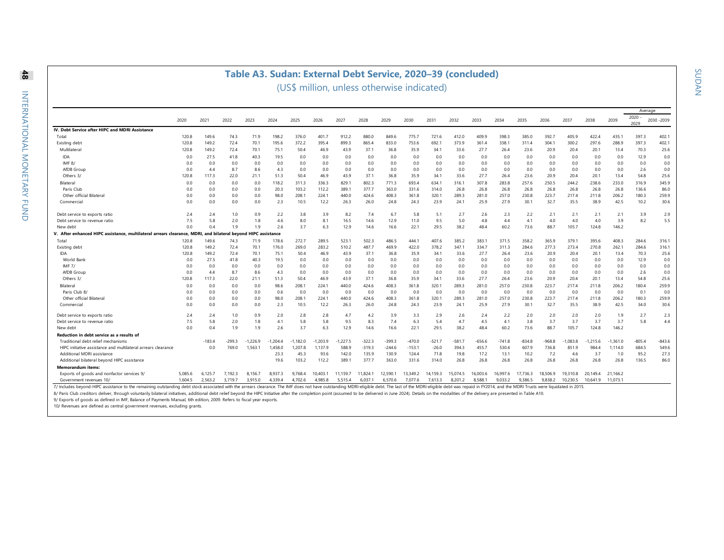### **Table A3. Sudan: External Debt Service, 2020–39 (concluded)**

(US\$ million, unless otherwise indicated)

|                                                                                                                                                                                                                                |         |              |          |                          |            |            |            |          |          |          |          |          |          |          |          |          |          |            |            |            | Average      |             |
|--------------------------------------------------------------------------------------------------------------------------------------------------------------------------------------------------------------------------------|---------|--------------|----------|--------------------------|------------|------------|------------|----------|----------|----------|----------|----------|----------|----------|----------|----------|----------|------------|------------|------------|--------------|-------------|
|                                                                                                                                                                                                                                | 2020    | 2021         | 2022     | 2023                     | 2024       | 2025       | 2026       | 2027     | 2028     | 2029     | 2030     | 2031     | 2032     | 2033     | 2034     | 2035     | 2036     | 2037       | 2038       | 2039       | 2020<br>2029 | 2030 - 2039 |
| IV. Debt Service after HIPC and MDRI Assistance                                                                                                                                                                                |         |              |          |                          |            |            |            |          |          |          |          |          |          |          |          |          |          |            |            |            |              |             |
| Total                                                                                                                                                                                                                          | 120.8   | 149.6        | 74.3     | 71.9                     | 198.2      | 376.0      | 401.7      | 912.2    | 880.0    | 849.6    | 775.7    | 721.6    | 412.0    | 409.9    | 398.3    | 385.0    | 392.7    | 405.9      | 422.4      | 435.1      | 397.3        | 402.1       |
| Existing debt                                                                                                                                                                                                                  | 120.8   | 149.2        | 72.4     | 70.1                     | 195.6      | 372.2      | 395.4      | 899.3    | 865.4    | 833.0    | 753.6    | 692.1    | 373.9    | 361.4    | 338.     | 311.4    | 304.1    | 300.2      | 297.6      | 288.9      | 397.3        | 402.1       |
| Multilateral                                                                                                                                                                                                                   | 120.8   | 149.2        | 72.4     | 70.1                     | 75.1       | 50.4       | 46.9       | 43.9     | 37.1     | 36.8     | 35.9     | 34.1     | 33.6     | 27.7     | 26.4     | 23.6     | 20.9     | 20.4       | 20.1       | 13.4       | 70.3         | 25.6        |
| IDA                                                                                                                                                                                                                            | 0.0     | 27.5         | 41.8     | 40.3                     | 19.5       | 0.0        | 0.0        | 0.0      | 0.0      | 0.0      | 0.0      | 0.0      | 0.0      | 0.0      | 0.0      | 0.0      | 0.0      | 0.0        | 0.0        | 0.0        | 12.9         | 0.0         |
| IMF $8/$                                                                                                                                                                                                                       | 0.0     | 0.0          | 0.0      | 0.0                      | 0.0        | 0.0        | 0.0        | 0.0      | 0.0      | 0.0      | 0.0      | 0.0      | 0.0      | 0.0      | 0.0      | 0.0      | 0.0      | 0.0        | 0.0        | 0.0        | 0.0          | 0.0         |
| AfDB Group                                                                                                                                                                                                                     | 0.0     | 4.4          | 8.7      | 8.6                      | 4.3        | 0.0        | 0.0        | 0.0      | 0.0      | 0.0      | 0.0      | 0.0      | 0.0      | 0.0      | 0.0      | 0.0      | 0.0      | 0.0        | 0.0        | 0.0        | 2.6          | 0.0         |
| Others 3/                                                                                                                                                                                                                      | 120.8   | 117.3        | 22.0     | 21.1                     | 51.3       | 50.4       | 46.9       | 43.9     | 37.1     | 36.8     | 35.9     | 34.1     | 33.6     | 27.7     | 26.4     | 23.6     | 20.9     | 20.4       | 20.1       | 13.4       | 54.8         | 25.6        |
| Bilateral                                                                                                                                                                                                                      | 0.0     | 0.0          | 0.0      | 0.0                      | 118.2      | 311.3      | 336.3      | 829.1    | 802.3    | 771.3    | 693.4    | 634.1    | 316.1    | 307.8    | 283.8    | 257.6    | 250.5    | 244.2      | 238.6      | 233.0      | 316.9        | 345.9       |
| Paris Club                                                                                                                                                                                                                     | 0.0     | 0.0          | 0.0      | 0.0                      | 20.3       | 103.2      | 112.2      | 389.1    | 377.7    | 363.0    | 331.6    | 314.0    | 26.8     | 26.8     | 26.8     | 26.8     | 26.8     | 26.8       | 26.8       | 26.8       | 136.6        | 86.0        |
| Other official Bilateral                                                                                                                                                                                                       | 0.0     | 0.0          | 0.0      | 0.0                      | 98.0       | 208.1      | 224.1      | 440.0    | 424.6    | 408.3    | 361.8    | 320.1    | 289.3    | 281.0    | 257.0    | 230.8    | 223.7    | 217.4      | 211.8      | 206.2      | 180.3        | 259.9       |
| Commercial                                                                                                                                                                                                                     | 0.0     | 0.0          | 0.0      | 0.0                      | 2.3        | 10.5       | 12.2       | 26.3     | 26.0     | 24.8     | 24.3     | 23.9     | 24.1     | 25.9     | 27.9     | 30.1     | 32.7     | 35.5       | 38.9       | 42.5       | 10.2         | 30.6        |
| Debt service to exports ratio                                                                                                                                                                                                  | 2.4     | 2.4          | 1.0      | 0.9                      | 2.2        | 3.8        | 3.9        | 8.2      | 7.4      | 6.7      | 5.8      | 5.1      | 2.7      | 2.6      | 2.3      | 2.2      | 2.1      | 2.1        | 2.1        | 2.1        | 3.9          | 2.9         |
| Debt service to revenue ratio                                                                                                                                                                                                  | 7.5     | 5.8          | 2.0      | 1.8                      | 4.6        | 8.0        | 8.1        | 16.5     | 14.6     | 12.9     | 11.0     | 9.5      | 5.0      | 4.8      | 4.4      | 4.1      | 4.0      | 4.0        | 4.0        | 3.9        | 8.2          | 5.5         |
| New debt                                                                                                                                                                                                                       | 0.0     | 0.4          | 1.9      | 1.9                      | 2.6        | 3.7        | 6.3        | 12.9     | 14.6     | 16.6     | 22.1     | 29.5     | 38.2     | 48.4     | 60.2     | 73.6     | 88.7     | 105.7      | 124.8      | 146.2      |              |             |
| V. After enhanced HIPC assistance, multilateral arrears clearance, MDRI,                                                                                                                                                       |         | and bilatera |          | l beyond HIPC assistance |            |            |            |          |          |          |          |          |          |          |          |          |          |            |            |            |              |             |
| Total                                                                                                                                                                                                                          | 120.8   | 149.6        | 74.3     | 71.9                     | 178.6      | 272.7      | 289.5      | 523.1    | 502.3    | 486.5    | 444.1    | 407.6    | 385.2    | 383.1    | 371.5    | 358.2    | 365.9    | 379.1      | 395.6      | 408.3      | 284.6        | 316.1       |
| Existing debt                                                                                                                                                                                                                  | 120.8   | 149.2        | 72.4     | 70.1                     | 176.0      | 269.0      | 283.2      | 510.2    | 487.7    | 469.9    | 422.0    | 378.2    | 347.1    | 334.7    | 311.3    | 284.6    | 277.3    | 273.4      | 270.8      | 262.1      | 284.6        | 316.1       |
| IDA                                                                                                                                                                                                                            | 120.8   | 149.2        | 72.4     | 70.1                     | 75.1       | 50.4       | 46.9       | 43.9     | 37.1     | 36.8     | 35.9     | 34.1     | 33.6     | 27.7     | 26.4     | 23.6     | 20.9     | 20.4       | 20.1       | 13.4       | 70.3         | 25.6        |
| World Bank                                                                                                                                                                                                                     | 0.0     | 27.5         | 41.8     | 40.3                     | 19.5       | 0.0        | 0.0        | 0.0      | 0.0      | 0.0      | 0.0      | 0.0      | 0.0      | 0.0      | 0.0      | 0.0      | 0.0      | 0.0        | 0.0        | 0.0        | 12.9         | 0.0         |
| IMF $7/$                                                                                                                                                                                                                       | 0.0     | 0.0          | 0.0      | 0.0                      | 0.0        | 0.0        | 0.0        | 0.0      | 0.0      | 0.0      | 0.0      | 0.0      | 0.0      | 0.0      | 0.0      | 0.0      | 0.0      | 0.0        | 0.0        | 0.0        | 0.0          | 0.0         |
| AfDB Group                                                                                                                                                                                                                     | 0.0     | 4.4          | 8.7      | 8.6                      | 4.3        | 0.0        | 0.0        | 0.0      | 0.0      | 0.0      | 0.0      | 0.0      | 0.0      | 0.0      | 0.0      | 0.0      | 0.0      | 0.0        | 0.0        | 0.0        | 2.6          | 0.0         |
| Others 3/                                                                                                                                                                                                                      | 120.8   | 117.3        | 22.0     | 21.1                     | 51.3       | 50.4       | 46.9       | 43.9     | 37.1     | 36.8     | 35.9     | 34.1     | 33.6     | 27.7     | 26.4     | 23.6     | 20.9     | 20.4       | 20.1       | 13.4       | 54.8         | 25.6        |
| Bilateral                                                                                                                                                                                                                      | 0.0     | 0.0          | 0.0      | 0.0                      | 98.6       | 208.1      | 224.1      | 440.0    | 424.6    | 408.3    | 361.8    | 320.1    | 289.3    | 281.0    | 257.0    | 230.8    | 223.7    | 217.4      | 211.8      | 206.2      | 180.4        | 259.9       |
| Paris Club 8/                                                                                                                                                                                                                  | 0.0     | 0.0          | 0.0      | 0.0                      | 0.6        | 0.0        | 0.0        | 0.0      | 0.0      | 0.0      | 0.0      | 0.0      | 0.0      | 0.0      | 0.0      | 0.0      | 0.0      | 0.0        | 0.0        | 0.0        | 0.1          | 0.0         |
| Other official Bilateral                                                                                                                                                                                                       | 0.0     | 0.0          | 0.0      | 0.0                      | 98.0       | 208.1      | 224.1      | 440.0    | 424.6    | 408.3    | 361.8    | 320.1    | 289.3    | 281.0    | 257.0    | 230.8    | 223.7    | 217.4      | 211.8      | 206.2      | 180.3        | 259.9       |
| Commercial                                                                                                                                                                                                                     | 0.0     | 0.0          | 0.0      | 0.0                      | 2.3        | 10.5       | 12.2       | 26.3     | 26.0     | 24.8     | 24.3     | 23.9     | 24.1     | 25.9     | 27.9     | 30.1     | 32.7     | 35.5       | 38.9       | 42.5       | 34.0         | 30.6        |
| Debt service to exports ratio                                                                                                                                                                                                  | 2.4     | 2.4          | 1.0      | 0.9                      | 2.0        | 2.8        | 2.8        | 4.7      | 4.2      | 3.9      | 3.3      | 2.9      | 2.6      | 2.4      | 2.2      | 2.0      | 2.0      | 2.0        | 2.0        | 1.9        | 2.7          | 2.3         |
| Debt service to revenue ratio                                                                                                                                                                                                  | 7.5     | 5.8          | 2.0      | 1.8                      | 4.1        | 5.8        | 5.8        | 9.5      | 8.3      | 7.4      | 6.3      | 5.4      | 4.7      | 4.5      | 4.1      | 3.8      | 3.7      | 3.7        | 3.7        | 3.7        | 5.8          | 4.4         |
| New debt                                                                                                                                                                                                                       | 0.0     | 0.4          | 1.9      | 1.9                      | 2.6        | 3.7        | 6.3        | 12.9     | 14.6     | 16.6     | 22.1     | 29.5     | 38.2     | 48.4     | 60.2     | 73.6     | 88.7     | 105.7      | 124.8      | 146.2      |              |             |
| Reduction in debt service as a results of                                                                                                                                                                                      |         |              |          |                          |            |            |            |          |          |          |          |          |          |          |          |          |          |            |            |            |              |             |
| Traditional debt relief mechanisms                                                                                                                                                                                             |         | $-183.4$     | $-299.3$ | $-1.226.9$               | $-1.204.4$ | $-1.182.0$ | $-1.203.9$ | 1.227.5  | $-322.3$ | $-399.3$ | $-470.0$ | $-521.7$ | $-581.7$ | $-656.6$ | $-741.8$ | $-834.8$ | $-968.8$ | $-1.083.8$ | $-1.215.6$ | $-1.361.0$ | $-805.4$     | $-843.6$    |
| HIPC initiative assistance and multilateral arrears clearance                                                                                                                                                                  |         | 0.0          | 769.0    | 1,563.1                  | 1.458.0    | 1.207.8    | 1,137.9    | 588.9    | $-319.3$ | $-244.6$ | $-153.1$ | $-26.0$  | 394.3    | 455.7    | 530.4    | 607.9    | 736.8    | 851.9      | 984.4      | 1.114.0    | 684.5        | 549.6       |
| Additional MDRI assistance                                                                                                                                                                                                     |         |              |          |                          | 23.3       | 45.3       | 93.6       | 142.0    | 135.9    | 130.9    | 124.4    | 71.8     | 19.8     | 17.2     | 13.1     | 10.2     | 7.2      | 4.6        | 3.7        | 1.0        | 95.2         | 27.3        |
| Additional bilateral beyond HIPC assistance                                                                                                                                                                                    |         |              |          |                          | 19.6       | 103.2      | 112.2      | 389.1    | 377.7    | 363.0    | 331.6    | 314.0    | 26.8     | 26.8     | 26.8     | 26.8     | 26.8     | 26.8       | 26.8       | 26.8       | 136.5        | 86.0        |
| <b>Memorandum items:</b>                                                                                                                                                                                                       |         |              |          |                          |            |            |            |          |          |          |          |          |          |          |          |          |          |            |            |            |              |             |
| Exports of goods and nonfactor services 9/                                                                                                                                                                                     | 5.085.6 | 6.125.7      | 7.192.3  | 8.156.7                  | 8.937.3    | 9.768.4    | 10.403.1   | 11.159.7 | 11,824.1 | 12.590.  | 13.349.2 | 14.159.3 | 15.074.5 | 16.003.6 | 16.997.6 | 17.736.3 | 18.506.9 | 19.310.8   | 20.149.4   | 21.166.2   |              |             |
| Government revenues 10                                                                                                                                                                                                         | 1.604.5 | 2,563.2      | 3,719.7  | 3.915.0                  | 4.339.4    | 4,702.6    | 4,985.8    | 5,515.4  | 6,037.1  | 6,570.6  | 7.077.6  | 7.613.3  | 8.201.2  | 8.588.1  | 9.033.2  | 9.386.5  | 9.838.2  | 10,230.5   | 10.641.9   | 11.073.1   |              |             |
| 7/ Includes beyond-HIPC assistance to the remaining outstanding debt stock associated with the arrears clearance. The IMF does not have outstanding MDRI-eligible debt. The last of the MDRI-eligible debt was repaid in P/201 |         |              |          |                          |            |            |            |          |          |          |          |          |          |          |          |          |          |            |            |            |              |             |

8/ Paris Club creditors deliver, through voluntarily bilateral initiatives, additional debt relief beyond the HIPC Initiative after the completion point (assumed to be delivered in June 2024). Details on the modalities of

9/ Exports of goods as defined in IMF, Balance of Payments Manual, 6th edition, 2009. Refers to fiscal year exports.

10/ Revenues are defined as central government revenues, excluding grants.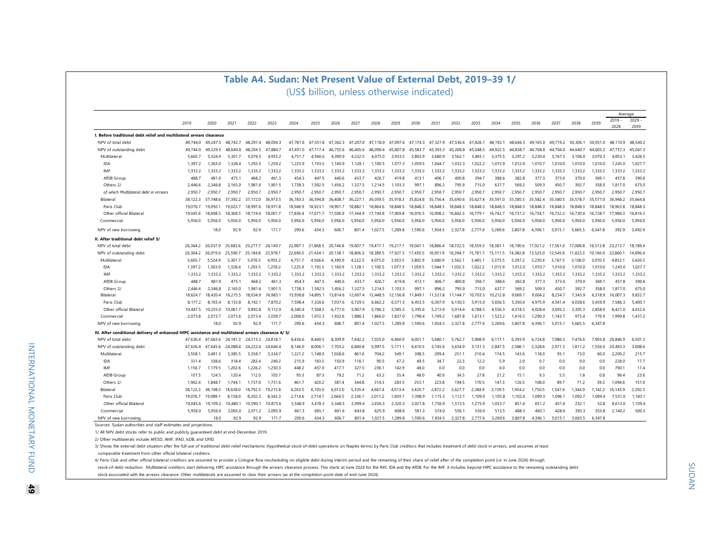|                                                                              |                      |          |             |                     | Table A4. Sudan: Net Present Value of External Debt, 2019-39 1/ |                                            |             |          |          |            |          |          |          |                    |          |                     |          |                    |                     |          |          |                  |                  |
|------------------------------------------------------------------------------|----------------------|----------|-------------|---------------------|-----------------------------------------------------------------|--------------------------------------------|-------------|----------|----------|------------|----------|----------|----------|--------------------|----------|---------------------|----------|--------------------|---------------------|----------|----------|------------------|------------------|
|                                                                              |                      |          |             |                     |                                                                 | (US\$ billion, unless otherwise indicated) |             |          |          |            |          |          |          |                    |          |                     |          |                    |                     |          |          |                  |                  |
|                                                                              |                      |          |             |                     |                                                                 |                                            |             |          |          |            |          |          |          |                    |          |                     |          |                    |                     |          |          |                  |                  |
|                                                                              |                      |          |             |                     |                                                                 |                                            |             |          |          |            |          |          |          |                    |          |                     |          |                    |                     |          |          | Average          |                  |
|                                                                              | 2019                 | 2020     | 2021        | 2022                | 2023                                                            | 2024                                       | 2025        | 2026     | 2027     | 2028       | 2029     | 2030     | 2031     | 2032               | 2033     | 2034                | 2035     | 2036               | 2037                | 2038     | 2039     | $2019 -$<br>2028 | $2029 -$<br>2039 |
| I. Before traditional debt relief and multilateral arrears clearance         |                      |          |             |                     |                                                                 |                                            |             |          |          |            |          |          |          |                    |          |                     |          |                    |                     |          |          |                  |                  |
| NPV of total debt                                                            | 49 744 0             | 49.247.5 | 48 742 7    | 48.297              | 48.056.3                                                        | 47.781.6                                   | 551         | 473623   | 47 207 0 | 1180<br>47 | 47.097.6 | 47.174.3 | 47327    | 47.536.6           | 47.826.  | 48.192.             | 48 646 5 | 49,165.0           | $49^{\circ}$<br>192 | 50,306.  | 50.951.0 | 48 110 9         | 48.540.2         |
| NPV of outstanding debt                                                      | 49,744.0             | 49,229.5 | 48.649.8    | 48.204.5            | 47.8847                                                         | 47,491.0                                   |             | 46,755.6 | 46.405.6 | 46.090.4   | 45.807.8 | 45,583.7 | 45,393.3 | 45.208.8           | 45,048.5 | 44.922.5            | 44,838.7 | 44.768.8           | 44 704 0            | 44.640.7 | 44,603.2 | 47.757.3         | 45,047.3         |
| Multilateral                                                                 | 5,665.7              | 5,524.9  | 5,301.7     | 5,076.5             | 4,955.2                                                         | 4,751.7                                    | 4.566.6     | 4,390.9  | 4.222.5  | 4.075.0    | 3,933.5  | 3.802.9  | 3,680.9  | 3,562.1            | 3,465.   | 3.375.5             | 3,297.2  | 3,230.4            | 3,167.5             | 3,106.0  | 3,070.3  | 4,853.1          | 3,426.5          |
| <b>IDA</b>                                                                   | 1,397.2              | 1,363.0  | 1,328.4     | 1,293.5             | 1,259.2                                                         | 1,225.9                                    | 1,193.5     | 1,160.9  | 1,128.1  | 1,100.5    | 1,077.3  | 1,059.5  | 1.044.7  | 1,032.3            | 1,022.2  | 1,015.9             | 1,012.0  | 1,010.7            | 1,010.0             | 1,010.0  | 1,010.0  | 1,245.0          | 1,027.7          |
| IMF                                                                          | 1,333.2              | 1,333.2  | 1,333.2     | 1,333.2             | 1.333.2                                                         | 1,333.2                                    | 1.333.2     | 1.333.2  | 1,333.2  | 1,333.2    | 1,333.2  | 1.333.2  | 1,333.2  | 1,333.2            | 1,333.2  | 1,333.2             | 1,333.2  | 1.333.2            | 1.333.2             | 1,333.2  | 1,333.2  | 1,333.2          | 1,333.2          |
| AfDB Group                                                                   | 488.7                | 481.9    | 475.        | 468.2               | 461.3                                                           | 454.3                                      | 447.5       | 440.6    | 433.7    | 426.7      | 419.8    | 413.1    | 406.7    | 400.8              | 394.7    | 388.6               | 382.8    | 377.3              | 373.6               | 370.0    | 369.1    | 457.8            | 390.6            |
| Others 2/                                                                    | 2,446.6              | 2,346.8  | 2,165.0     | 1.981.6             | 1,901.5                                                         | 1,738.3                                    | 1,592.5     | 1,456.2  | 1.327.5  | 1,214.5    | 1,103.3  | 997.     | 896.2    | 795.9              | 715.0    | 637.7               | 569.2    | 509.3              | 450.7               | 392.7    | 358.0    | 1,817.0          | 675.0            |
| of which Multilateral debt in arrears                                        | 2.950.7              | 2.950.7  | 2.950.7     | 2.950.7             | 2.950.7                                                         | 2.950.7                                    | 2.950.7     | 2.950.7  | 2.950.7  | 2.950.7    | 2.950.7  | 2.950.7  | 2.950.7  | 2.950.7            | 2.950.7  | 2.950.7             | 2.950.7  | 2.950.7            | 2.950.7             | 2.950.7  | 2.950.7  | 2.950.7          | 2,950.7          |
| Bilatera                                                                     | 38,122.3             | 37,748.6 | 37,392.2    | 37,172.0            | 36.973.5                                                        | 36,783.3                                   | 36.5948     | 36,408.7 | 36.227   | 36.059.5   | 35.9183  | 35.824.8 | 35.7564  | 35.690.6           | 35.6274  | 35.591.0            | 35,585.5 | 35.582.4           | 35,580.5            | 35.578.7 | 35.5770  | 36.948.2         | 35,664.8         |
| Paris Club                                                                   | 19,076.7             | 19.050.1 | 19,023.7    | 18.997.6            | 18.971.8                                                        | 18,946.9                                   | 18,923.1    | 18.901.7 | 18,882.  | 18.864.6   | 18.848.5 | 18.848.3 | 18.848.3 | 18,848.3           | 18.848.3 | 18.848.3            | 18.848.3 | 18.848.3           | 18,848.3            | 18.848.3 | 18,848.3 | 18,963.8         | 18.848.3         |
| Other official Bilateral                                                     | 19.045.6             | 18,698.5 | 18,368.5    | 18,174.4            | 18,001.7                                                        | 17,836.4                                   | 17.671.7    | 17,506.9 | 17 344 9 | 17,194.8   | 17,069.8 | 16,976.5 | 16,908.2 | 16,842.3           | 16,779.1 |                     | 16.737.2 | 16,734.1           | 16,732.2            | 16,730.4 | 16,728.7 | 17,984.3         | 16,816.5         |
| Commercial                                                                   | 5.956.0              | 5.956.0  | 5.956.0     | 5.956.0             | 5.956.0                                                         | 5.956.0                                    | 5.956.0     | 5.956.0  | 5.956.0  | 5.956.0    | 5,956.0  | 5.956.0  | 5.956.0  | 5.956.0            | 5.956.0  | 16,742.7<br>5.956.0 | 5.956.0  | 5,956.0            | 5.956.0             | 5.956.0  | 5.956.0  | 5.956.0          | 5.956.0          |
| NPV of new borrowing                                                         |                      | 18.0     | 92.9        | 92.9                | 171.7                                                           | 290.6                                      | 434.3       | 606.7    | 801.4    | 1,027.5    | 1,289.8  | 1,590.6  | 1,934.5  | 2,327.8            | 2,777.6  | 3,269.6             | 3,807.8  | 4,396.1            | 5,015.1             | 5,665.5  | 6,347.8  | 392.9            | 3,492.9          |
| II. After traditional debt relief 3/                                         |                      |          |             |                     |                                                                 |                                            |             |          |          |            |          |          |          |                    |          |                     |          |                    |                     |          |          |                  |                  |
| NPV of total debt                                                            | 26,364.2             | 26,037.0 | 25,683.6    | 25,277.7            | 24.149.7                                                        | 22,987.                                    | 21<br>868.5 | 20,744.8 | 19,607.7 | 19.417.1   | 19,217.1 | 19,041   | 18,886.4 | 18,722.5           | 18,559.3 | 18,381.1            | 18,190.6 | 17,921.2           | 17,561.0            | 17,088.8 | 16,513.8 | 23,213.7         | 18,189.4         |
| NPV of outstanding debt                                                      | 26.364.2             | 26,019.0 | 25.590.7    | 25,184.8            | 23.978.                                                         | 22.696.5                                   | 2           | 20.138.  | 18,806.3 | 18.389.5   | 17.927.3 | 17,450.5 | 16.951.9 | 16.394.7           | 15.781.7 | 15,111.5            | 14.382.8 | 13.525.0           | 12.545.9            | 11.423.3 | 10.166.0 | 22.860.          | 14,696.4         |
| Multilateral                                                                 | 5.665.7              | 5.5249   | 5.301.7     | 5.076.5             | 4.955.2                                                         | 4.751.7                                    | 4.566.6     | 4.390.9  | 4.222.5  | 4.075.0    | 3.933.5  | 3,802.9  | 3.680.9  | 3.562.1            | 3.465.1  | 3.375.5             | 3.297.2  | 3.230.4            | 3,167.5             | 3,106.0  | 3,070.3  | 4.853.1          | 3,426.5          |
| <b>IDA</b>                                                                   | 1.397.2              | 1.363.0  | 1.328.4     | 1.293.5             | 1.259.2                                                         | 1.225.9                                    | 1.193.5     | 1.160.9  | 1,128.1  | 1.100.5    | 1.077.3  | 1.059.5  | 1 044 7  | 1.032.3            | 1.022.2  | 1.015.9             | 1.012.0  | 1.010.7            | 1.010.0             | 1.010.0  | 1,010.0  | 1,245.0          | 1,027.7          |
| IMF                                                                          | 1,333.2              | 1,333.2  | 1,333.2     | 1,333.2             | 1,333.2                                                         | 1,333.2                                    | 1,333.2     | 1,333.2  | 1,333.2  | 1,333.2    | 1,333.2  | 1,333.2  | 1,333.2  | 1,333.2            | 1,333.2  | 1,333.2             | 1,333.2  | 1,333.2            | 1,333.2             | 1,333.2  | 1,333.2  | 1,333.2          | 1,333.2          |
| AfDB Group                                                                   | 488.7                | 481.9    | 475.        | 468.2               | 461.3                                                           | 454.3                                      | 447.5       | 440.6    | 433.7    | 426.7      | 419.8    | 413.1    | 406.7    | 400.8              | 394.7    | 388.6               | 382.8    | 377.3              | 373.6               | 370.0    | 369.1    | 457.8            | 390.6            |
| Others 2/                                                                    | 2,446.6              | 2.346.8  | 2,165.0     | 1,981.6             | 1.901.5                                                         | 1,738.3                                    | 1,592.5     | 1,456.2  | 1,327.5  | 1,214.5    | 1,103.3  | 997.     | 896.2    | 795.9              | 715.0    | 637.7               | 569.2    | 509.3              | 450.                | 392.7    | 358.0    | 1,817.0          | 675.0            |
| Bilateral                                                                    | 18,624.7             | 18,420.4 | 18.215.5    | 18,034.9            | 6,983.                                                          | 15,938.8                                   | 14,895.1    | 13,814.6 | 12,697.4 | ,448.5     | 12,156.8 | 11,849.  | ,521.8   | 144.7              | 10,703.5 | 10,212.8            | 9,669.1  | 9,004.2            | 8,234.              | 7,343.9  | 6,318.9  | 16,007.3         | 9,832.7          |
| Paris Club                                                                   | 8.177.2              | 8.165.4  | 8.153.8     | 8.142.1             | 7,870.2                                                         | 7,598.4                                    | 7,326.6     | 7.037.6  | 6.729.5  | 6.662.2    | 6.571.3  | 6.453.5  | 6.307.9  | 6.130.3            | 5.915.0  | 5.656.5             | 5.350.6  | 4.975.9            | 4.541.4             | 4.038.6  | 3,459.9  | 7.586.3          | 5,400.1          |
| Other official Bilateral                                                     | 10.447.5             | 10.255.0 | 10.061.     | 9.892.8             | 9.112.9                                                         | 8.340.4                                    | 7.568.5     | 6.7770   | 5.967.9  | 5,786.3    | 5,585.5  | 5.395.6  | 5.213.9  | 5.014.4            | 4.788    | 4,556.3             | 4.318.5  | 4,028.4            | 3,693.2             | 3.305.3  | 2,858.9  | 8.4210           | 4,432.6          |
| Commercial                                                                   | 2,073.8              | 2,073.7  | 2,073.6     | 2.073.4             | 2,039.7                                                         | 2,006.0                                    | 1,972.3     | 1,932.6  | 1,886.3  | 1,866.0    | 1,837.0  | 1,798.4  | 1,749.2  | 1,687.8            | 1,613.   | 1,523.2             | 1,416.5  | 1,290.3            | 1.143               | 973.4    | 776.9    | 1,999.8          | 1,437.2          |
| NPV of new borrowing                                                         |                      | 18.0     | 92.9        | 92.9                | 171.7                                                           | 290.6                                      | 434.3       | 606.     | 801.4    | 1,027.5    | 1,289.8  | 1,590.6  | 1,934.5  | 2,327.8            | 2,777.6  | 3,269.6             | 3,807.8  | 4,396.1            | 5,015.              | 5,665.5  | 6,347.8  |                  |                  |
| III. After conditional delivery of enhanced HIPC assistance and multilateral |                      |          |             |                     | arrears clearance 4/ 5/                                         |                                            |             |          |          |            |          |          |          |                    |          |                     |          |                    |                     |          |          |                  |                  |
| NPV of total debt                                                            | 47.6364              | 47.663.6 | 24.<br>1813 | 24.315.3            | 24.818                                                          | 8.436.6                                    | 8.440.5     | 8.309.9  | 7.6422   | 7.025.0    | 6.460 S  | 6.001.1  | 5.680.   | 5.762.7            | 5.908.9  | 6.117.1             | 6.393.9  | 6.7248             | 7.086.5             | 7.476.6  | 7.903.8  | 20,846.9         | 6,501.5          |
| NPV of outstanding debt                                                      | 47.636.4             | 47,645.6 | 24.088.4    | 24.222.4            | 24.646.4                                                        | 8.146.0                                    | 8.006.1     | 7,703.2  | 6.840.8  | 5.997.5    | 5.171.1  | 4.410.5  | 3.745.6  | 3,434.9            | 3,131.3  | 2,847.5             | 2,586.1  | 2,328.6            | 2,071.3             | 1,811.2  | 1.556.0  | 20,493.3         | 3,008.6          |
| Multilateral                                                                 | 3,558.1              | 3,491.3  | 3,385.5     | 3,358.7             | 3,334.7                                                         | 1,221.2                                    | 1,148.0     | 1,028.6  | 861.6    | 704.2      | 549.1    | 398.5    | 299.4    | 251.1              | 210.4    | 174.5               | 143.6    | 118.0              | 95.1                | 73.0     | 60.0     | 2,209.2          | 215.7            |
| IDA                                                                          | 331.4                | 338.6    | 318.4       | 283.4               | 249.2                                                           | 215.9                                      | 183.5       | 150.9    | 118.1    | 90.5       | 67.2     | 49.5     | 34.7     | 22.3               | 12.2     | 5.9                 | 2.0      | 0.7                | 0.0                 | 0.0      | 0.0      | 228.0            | 17.7             |
| IMF                                                                          | 1.156.7              | 1.179.5  | 1,202.6     | 1.226.2             | 1.250.3                                                         | 448.2                                      | 457.0       | 417.1    | 327.5    | 236.1      | 142.9    | 48.0     | 0.0      | 0.0                | 0.0      | 0.0                 | 0.0      | 0.0                | 0.0                 | 0.0      | 0.0      | 790.             | 17.4             |
| AfDB Group                                                                   | 107.5                | 124.5    | 120.4       | 112.0               | 103.7                                                           | 95.3                                       | 87.3        | 79.2     | 71.2     | 63.2       | 55.4     | 48.0     | 40.9     | 34.3               | 27.8     | 21.2                | 15.1     | 9.3                | 5.5                 | 1.8      | 0.8      | 96.4             | 23.6             |
| Others 2/                                                                    | 1.962.4              | 1.848.7  | 1.744.1     | 1.737.0             | 1.731.6                                                         | 461.7                                      | 420.2       | 381.4    | 344.8    | 314.3      | 283.5    | 253.1    | 223.8    | 194.5              | 170.5    | 147.3               | 126.5    | 108.0              | 89.7                | 71.2     | 59.2     | 1.094.6          | 157.0            |
| Bilateral                                                                    |                      | 38.198.3 | 18.638.0    |                     | 19.215.8                                                        |                                            | 6,193.0     | 6.013.0  | 5.335.4  | 4.667.4    | 4.013.4  | 3,420.7  | 2.872.2  |                    | 2,384.9  | 2.159.5             | 1.954.2  |                    | 1,547.6             | 1.344.9  | 1.142.2  | 16.143.9         | 2,292.5          |
| Paris Club                                                                   | 38,122.3<br>19.076.7 | 19.089.1 | 8.158.0     | 18,792.5<br>8.202.3 | 8.342.3                                                         | 6,263.5<br>2.714.6                         | 2.714.7     | 2.664.5  | 2.336.1  | 2.011.2    | 1.693.1  | 1.398.9  |          | 2,627.7<br>1.112.1 | 1.109.0  | 1.105.8             | 1.102.6  | 1,750.5<br>1.099.3 | 1.096.              | 1.092.7  | 1.089.4  |                  |                  |
|                                                                              |                      |          |             |                     |                                                                 |                                            |             |          |          |            |          |          | 1,115.3  |                    |          |                     |          |                    |                     |          |          | 7,531.0          | 1,183.1          |
| Other official Bilateral                                                     | 19.045.6             | 19,109.2 | 0.480.1     | 10.590.1            | 10.873.6                                                        | 3.548.9                                    | 3.478.3     | 3.348.5  | 2.999.4  | 2.656.3    | 2.320.3  | 2.021.8  | 1.756.9  | 1,515.5            | 1.275.9  | 1.053.7             | 851.6    | 651.2              | 451.6               | 252.1    | 52.8     | 8,613.0          | 1,109.4          |
| Commercial                                                                   | 5.956.0              | 5.956.0  | 2.065.0     | 2.071.2             | 2.095.9                                                         | 661.3                                      | 665.1       | 661.6    | 6438     | 625.9      | 608.6    | 591.3    | 574.0    | 556.1              | 536.0    | 513.5               | 488.3    | 460.               | 428.6               | 393.3    | 353.8    | 2,140.2          | 500.3            |
| NPV of new borrowing                                                         |                      | 18.0     | 92.9        | 92.9                | 171.7                                                           | 290.6                                      | 434.3       | 606.7    | 801.4    | 1.027.5    | 1.289.8  | 1.590.6  | 1.934.5  | 2,327.8            | 2,777.6  | 3.269.6             | 3.807.8  | 4.396.1            | 5.015.1             | 5.665.5  | 6.347.8  |                  |                  |
| Sources: Sudan authorities and staff estimates and projections.              |                      |          |             |                     |                                                                 |                                            |             |          |          |            |          |          |          |                    |          |                     |          |                    |                     |          |          |                  |                  |

1/ All NPV debt stocks refer to public and publicly guaranteed debt at end-December 2019.

2/ Other multilaterals include AFESD, AMF, IFAD, IsDB, and OFID.

3/ Shows the external debt situation after the full use of traditional debt-relief mechanisms (hypothetical stock-of-debt operations on Naples terms) by Paris Club creditors that includes treatment of debt stock in arrears

comparable treatment from other official bilateral creditors.

4/ Paris Club and other official bilateral creditors are assumed to provide a Cologne flow rescheduling on eligible debt during interim period and the remaining of their share of relief after of the completion point (i.e.

stock-of-debt reduction. Multilateral creditors start delivering HIPC assistance through the arrears clearance process. This starts at June 2024 for the IMF, IDA and the AfDB. For the IMF, it includes beyond-HIPC assistanc stock associated with the arrears clearance. Other multilaterals are assumed to clear their arrears (as at the completion point date of end-June 2024).

**49**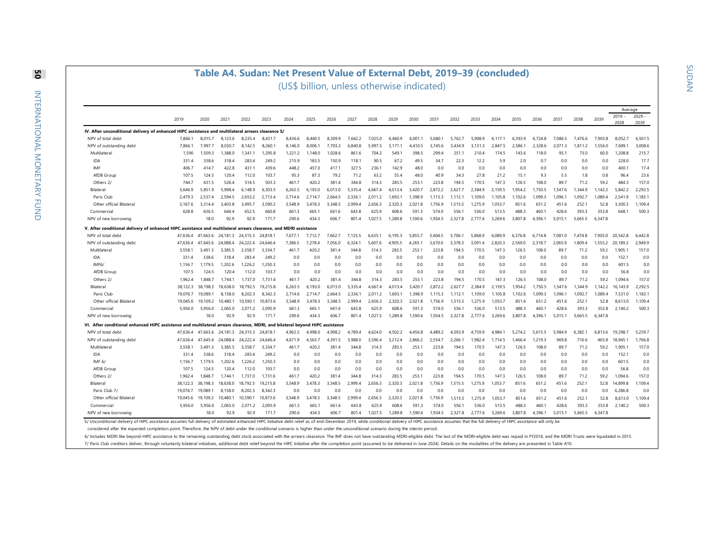#### **Table A4. Sudan: Net Present Value of External Debt, 2019–39 (concluded)** (US\$ billion, unless otherwise indicated)

|                                                                                                                                                                                                                               |          |          |          |          |              |                        |         |         |         |         |         |         |         |         |         |         |                |         |         |         |         | Average  |          |
|-------------------------------------------------------------------------------------------------------------------------------------------------------------------------------------------------------------------------------|----------|----------|----------|----------|--------------|------------------------|---------|---------|---------|---------|---------|---------|---------|---------|---------|---------|----------------|---------|---------|---------|---------|----------|----------|
|                                                                                                                                                                                                                               | 2019     | 2020     | 2021     | 2022     | 2023         | 2024                   | 2025    | 2026    | 2027    | 2028    | 2029    | 2030    | 2031    | 2032    | 2033    | 2034    | 2035           | 2036    | 2037    | 2038    | 2039    | 2019     | $2029 -$ |
|                                                                                                                                                                                                                               |          |          |          |          |              |                        |         |         |         |         |         |         |         |         |         |         |                |         |         |         |         | 2028     | 2039     |
| IV. After unconditional delivery of enhanced HIPC assistance and multilateral                                                                                                                                                 |          |          |          | arrears  | clearance 5/ |                        |         |         |         |         |         |         |         |         |         |         |                |         |         |         |         |          |          |
| NPV of total debt                                                                                                                                                                                                             | 7.866.1  | 8.015.7  | 8.123.6  |          | 8.431.       | 8,436.6                | 8.440.5 | 8.309.9 | 7.6422  | 7.025.0 | 6.460.9 | 6.001   | 5.680.  | 5.762.7 | 5.908.9 | 6.117.1 | 6.393.9        | 6.724.8 | 7.086.5 | 7.476.6 | 7.903.8 | 8.052.7  | 6,501.5  |
| NPV of outstanding debt                                                                                                                                                                                                       | 7,866.1  | 7,997.7  | 8,030.7  | 8,142.5  | 8,260.       | 8,146.0                | 8,006.1 | 7,703.2 | 6.840.8 | 5,997.5 | 5,171.  | 4.410.5 | 3,745.6 | 34349   | 3.131.3 | 2.847.5 | 2.586.1        | 2,328.6 | 2.071.3 | 1,811.2 | 1.556.0 | 7,699.   | 3,008.6  |
| Multilateral                                                                                                                                                                                                                  | 1,590    | 1.509.3  | 1.388.0  | 1.341.1  | 1,295.8      | 1,221.2                | 1,148.0 | 1.028.6 | 861.6   | 704.2   | 549.1   | 398.5   | 299.4   | 251.1   | 210.4   | 174.5   | 143.6          | 118.0   | 95.1    | 73.0    | 60.0    | 1,208.8  | 215.7    |
| IDA                                                                                                                                                                                                                           | 331.4    | 338.6    | 318.4    | 283.4    | 249.2        | 215.9                  | 183.5   | 150.9   | 118.1   | 90.5    | 67.2    | 49.5    | 34.7    | 22.3    | 12.2    | 5.9     | 2.0            | 0.7     | 0.0     | 0.0     | 0.0     | 228.0    | 17.7     |
| IMF                                                                                                                                                                                                                           | 406.7    | 414.7    | 422.8    | 431.1    | 439.6        | 448.2                  | 457.0   | 417.1   | 327.5   | 236.1   | 142.9   | 48.0    | 0.0     | 0.0     | 0.0     | 0.0     | 0.0            | 0.0     | 0.0     | 0.0     | 0.0     | 400.1    | 17.4     |
| AfDB Group                                                                                                                                                                                                                    | 107.5    | 124.5    | 120.4    | 112.0    | 103.7        | 95.3                   | 87.3    | 79.2    | 71.2    | 63.2    | 55.4    | 48.0    | 40.9    | 34.3    | 27.8    | 21.2    | 15.1           | 9.3     | 5.5     | 1.8     | 0.8     | 96.4     | 23.6     |
| Others 2/                                                                                                                                                                                                                     | 7447     | 631.5    | 526.4    | 514.5    | 503.3        | 461.7                  | 420.2   | 3814    | 3448    | 314.3   | 283.5   | 253.1   | 223.8   | 1945    | 170.5   | 147.3   | 126.5          | 108.0   | 89.7    | 71.2    | 59.2    | 4843     | 157.0    |
| Bilateral                                                                                                                                                                                                                     | 5.646.9  | 5.851.9  | 5.998.4  | 6.148.9  | 6.303.5      | 6.263.5                | 6.193.0 | 6.013.0 | 5.335.4 | 4.667.4 | 4.013.4 | 3.420.7 | 2.872.2 | 2.627.7 | 2.384.9 | 2.159.5 | 1.954.2        | 1.750.5 | .547.6  | .344.9  | 1.142.2 | 5.842.2  | 2.292.5  |
| Paris Club                                                                                                                                                                                                                    | 2.479.3  | 2.537.4  | 2.594.5  | 2.653.2  | 2.713.4      | 2.714.6                | 2.714.7 | 2.664.5 | 2.336.  | 2.011.2 | 1.693.  | 1.398.9 | 1.115.3 | 1.112.  | 1.109.0 | 1.105.8 | 1.102.6        | 1.099.3 | .096.   | 1.092.7 | 1,089.4 | 2.541.9  | 1.183.1  |
| Other official Bilateral                                                                                                                                                                                                      | 3.167.6  | 3.314.4  | 3.403.8  | 3.495.7  | 3.590.2      | 3.548.9                | 3.478.3 | 3.348.5 | 2.999.4 | 2.656.3 | 2.320.3 | 2.021.8 | 1.756.9 | 1.515.5 | 1.275.9 | 1.053.7 | 851.6          | 651.2   | 451.6   | 252.1   | 52.8    | 3.300.3  | 1.109.4  |
| Commercial                                                                                                                                                                                                                    | 628.8    | 636.5    | 644.4    | 652.5    | 660.8        | 661.3                  | 665.1   | 661.6   | 643.8   | 625.9   | 608.6   | 591.3   | 574.0   | 556.    | 536.0   | 513.5   | 488.3          | 460.    | 428.6   | 393.3   | 353.8   | 648.1    | 500.3    |
| NPV of new borrowing                                                                                                                                                                                                          |          | 18.0     | 92.9     | 92.9     | 171.7        | 290.6                  | 434.3   | 606.7   | 801.4   | 1,027.5 | 1.289.8 | 1,590.6 | 1.934.5 | 2,327.8 | 2,777.6 | 3,269.6 | 3.807.8        | 4.396.1 | 5,015.1 | 5,665.5 | 6,347.8 |          |          |
| V. After conditional delivery of enhanced HIPC assistance and multilateral arrears clearance, and                                                                                                                             |          |          |          |          |              | <b>MDRI</b> assistance |         |         |         |         |         |         |         |         |         |         |                |         |         |         |         |          |          |
| NPV of total debt                                                                                                                                                                                                             | 47.636.4 | 47.663.6 | 24.181.3 | 24.315.3 | 24.818.      | 7,677.                 | 7.712.7 | 7.662.7 | 7.125.5 | 6.635.  | 6.195.3 | 5.855.7 | 5.604.5 | 5.706.  | 5.868.9 | 6.089.9 | 6.376.8        | 6.714.8 | 7.081.0 | 7.4748  | 7.903.0 | 20.542.8 | 6.442.8  |
| NPV of outstanding debt                                                                                                                                                                                                       | 47,636.4 | 47,645.6 | 24,088.4 | 24,222.4 | 24,646.4     | 7,386.5                | 7,278.4 | 7,056.0 | 6,324.1 | 5,607.6 | 4,905.5 | 4,265.1 | 3,670.0 | 3,378.3 | 3,091.4 | 2,820.3 | 2,569.0        | 2,318.7 | 2,065.9 | ,809.4  | 1,555.2 | 20,189.2 | 2,949.9  |
| Multilateral                                                                                                                                                                                                                  | 3.558.1  | 3.491.3  | 3.385.5  | 3.358.7  | 3.334.7      | 461.7                  | 420.2   | 381.4   | 3448    | 314.3   | 283.5   | 253.1   | 223.8   | 194.5   | 170.5   | 147.3   | 126.5          | 108.0   | 89.7    | 71.2    | 59.2    | 1.905.1  | 157.0    |
| IDA                                                                                                                                                                                                                           | 331.4    | 338.6    | 318.4    | 283.4    | 249.2        | 0.0                    | 0.0     | 0.0     | 0.0     | 0.0     | 0.0     | 0.0     | 0.0     | 0.0     | 0.0     | 0.0     | 0.0            | 0.0     | 0.0     | 0.0     | 0.0     | 152.1    | 0.0      |
| IMF6/                                                                                                                                                                                                                         | 1.156.7  | 1.179.5  | 1.202.6  | 1.226.2  | 1.250.3      | 0.0                    | 0.0     | 0.0     | 0.0     | 0.0     | 0.0     | 0.0     | 0.0     | 0.0     | 0.0     | 0.0     | 0.0            | 0.0     | 0.0     | 0.0     | 0.0     | 601.5    | 0.0      |
| AfDB Group                                                                                                                                                                                                                    | 107.5    | 124.5    | 120.4    | 112.0    | 103.7        | 0.0                    | 0.0     | 0.0     | 0.0     | 0.0     | 0.0     | 0.0     | 0.0     | 0.0     | 0.0     | 0.0     | 0.0            | 0.0     | 0.0     | 0.0     | 0.0     | 56.8     | 0.0      |
| Others 2/                                                                                                                                                                                                                     | 1.962.4  | 1.848.7  | 1.744.1  | 1.737.0  | 1.731.6      | 461.7                  | 420.2   | 381.4   | 344.8   | 314.3   | 283.5   | 253.1   | 223.8   | 194.5   | 170.5   | 147.3   | 126.5          | 108.0   | 89.7    | 71.2    | 59.2    | 1.094.6  | 157.0    |
| Bilateral                                                                                                                                                                                                                     | 38.122.3 | 38.198.3 | 18,638.0 | 18.792.5 | 19,215.8     | 6.263.5                | 6.193.0 | 6.013.0 | 5.335.4 | 4.667.4 | 4.013.4 | 3.420.7 | 2.872.2 | 2.627.7 | 2.384.9 | 2.159.5 | 1.954.2        | 1.750.5 | .547.6  | 344.9   | .142.2  | 16.143.9 | 2.292.5  |
| Paris Club                                                                                                                                                                                                                    | 19.076.7 | 19.089.1 | 8.158.0  | 8.202.3  | 8.342.3      | 2.714.6                | 2.714.7 | 2.664.5 | 2.336.  | 2.011.2 | 1.693.1 | 1.398.9 | 1.115.3 | 1.112.1 | 1.109.0 | 1.105.8 | 1.102.6        | 1.099.3 | 1.096.1 | 1.092.7 | 1.089.4 | 7.531.0  | 1.183.1  |
| Other official Bilateral                                                                                                                                                                                                      | 19.045.6 | 19.109.2 | 10.480.  | 10.590.  | 10.873.6     | 3.548.9                | 3.478.3 | 3.348.5 | 2.999.4 | 2.656.3 | 2.320.3 | 2.021.8 | 1.756.9 | 1.515.5 | 1.275.9 | 1.053.7 | 851.6          | 651.2   | 451.6   | 252.1   | 52.8    | 8.613.0  | 1.109.4  |
| Commercial                                                                                                                                                                                                                    | 5.956.0  | 5.956.0  | 2.065.0  | 2,071.2  | 2.095.9      | 661.3                  | 665.    | 661.6   | 643.8   | 625.9   | 608.6   | 591.3   | 574.0   | 556.    | 536.0   | 513.5   | 488.3          | 460.    | 428.6   | 393.3   | 353.8   | 2.140.2  | 500.3    |
| NPV of new borrowing                                                                                                                                                                                                          |          | 18.0     | 92.9     | 92.9     | 171.7        | 290.6                  | 434.3   | 606.7   | 801.4   | 1.027.5 | 1.289.8 | 1.590.6 | 1.934.5 | 2.327.8 | 2.777.6 | 3.269.6 | 3.807.8        | 4.396.1 | 5.015.1 | 5.665.5 | 6.347.8 |          |          |
| VI. After conditional enhanced HIPC assistance and multilateral arrears clearance. MDRI. and bilateral bevond HIPC assistance                                                                                                 |          |          |          |          |              |                        |         |         |         |         |         |         |         |         |         |         |                |         |         |         |         |          |          |
| NPV of total debt                                                                                                                                                                                                             | 47.636.4 | 47.663.6 | 24.181.3 | 24.315.3 | 24.818.      | 4.962.5                | 4.998.0 | 4.998.2 | 4.789.4 | 4.624.0 | 4.502.2 | 4.456.8 | 4.489.2 | 4.593.9 | 4.7599  | 4.984   | 5.274.2        | 5.615.5 | 5.984.9 | 6.382.1 | 6.813.6 | 19.298   | 5.259.7  |
| NPV of outstanding debt                                                                                                                                                                                                       | 47.636.4 | 47.645.6 | 24.088.4 | 24.222.4 | 24.646.4     | 4.671.9                | 4.563.7 | 4.391.5 | 3.988.0 | 3.596.4 | 3.212.4 | 2.866.2 | 2.554.7 | 2.266.1 | .982.4  | 1.714.5 | .466.4         | 1.219.3 | 969.8   | 716.6   | 465.8   | 18.945.1 | 1,766.8  |
| Multilateral                                                                                                                                                                                                                  | 3.558.   | 3.491.3  | 3.385.5  | 3.358.7  | 3.334.7      | 461.7                  | 420.2   | 381.4   | 344.8   | 314.3   | 283.5   | 253.1   | 223.8   | 194.5   | 170.5   | 147.3   | 126.5          | 108.0   | 89.7    | 71.2    | 59.2    | 1.905.1  | 157.0    |
| IDA                                                                                                                                                                                                                           | 331.4    | 338.6    | 318.4    | 283.4    | 249.2        | 0.0                    | 0.0     | 0.0     | 0.0     | 0.0     | 0.0     | 0.0     | 0.0     | 0.0     | 0.0     | 0.0     | 0.0            | 0.0     | 0.0     | 0.0     | 0.0     | 152.1    | 0.0      |
| IMF $6/$                                                                                                                                                                                                                      | 1.156.7  | 1.179.5  | 1.202.6  | 1.226.2  | 1.250.3      | 0.0                    | 0.0     | 0.0     | 0.0     | 0.0     | 0.0     | 0.0     | 0.0     | 0.0     | 0.0     | 0.0     | 0.0            | 0.0     | 0.0     | 0.0     | 0.0     | 601.5    | 0.0      |
| AfDB Group                                                                                                                                                                                                                    | 107.5    | 124.5    | 120.4    | 1120     | 103.7        | 0.0                    | 0.0     | 0.0     | 0.0     | 0.0     | 0.0     | 0.0     | 0.0     | 0.0     | 0.0     | 0.0     | 0 <sub>0</sub> | 0.0     | 0.0     | 0.0     | 0.0     | 56.8     | 0.0      |
| Others 2/                                                                                                                                                                                                                     | 1.962.4  | 1.848.7  | 1.744.   | 1.737.0  | 1.731.6      | 461.7                  | 420.2   | 381.4   | 344.8   | 314.3   | 283.5   | 253.1   | 223.8   | 194.5   | 170.5   | 147.3   | 126.5          | 108.0   | 89.7    | 71.2    | 59.2    | 1.094.6  | 157.0    |
| Bilateral                                                                                                                                                                                                                     | 38.122.3 | 38.198.3 | 18.638.0 | 18.792.5 | 19.215.8     | 3.548.9                | 3.478.3 | 3.348.5 | 2.999.4 | 2.656.3 | 2.320.3 | 2.021.8 | 1.756.9 | 1.515.5 | 1.275.9 | 1.053.7 | 851.6          | 651.2   | 451.6   | 252.1   | 52.8    | 4.899.8  | 1.109.4  |
| Paris Club 7/                                                                                                                                                                                                                 | 19.076.7 | 19.089.1 | 8.158.0  | 8.202.3  | 8.342.3      | 0.0                    | 0.0     | 0.0     | 0.0     | 0.0     | 0.0     | 0.0     | 0.0     | 0.0     | 0.0     | 0.0     | 0.0            | 0.0     | 0.0     | 0.0     | 0.0     | 6.286.8  | 0.0      |
| Other official Bilateral                                                                                                                                                                                                      | 19.045.6 | 19.109.2 | 10.480.1 | 10.590.  | 10.873.6     | 3.548.9                | 3.478.3 | 3.348.5 | 2.999.4 | 2.656.3 | 2.320.3 | 2.021.8 | 1.756.9 | 1.515.5 | 1.275.9 | 1,053.7 | 851.6          | 651.2   | 451.6   | 252.1   | 52.8    | 8,613.0  | 1,109.4  |
| Commercia                                                                                                                                                                                                                     | 5,956.0  | 5,956.0  | 2.065.0  | 2.071.2  | 2,095.9      | 661.3                  | 665.1   | 661.6   | 643.8   | 625.9   | 608.6   | 591.3   | 574.0   | 556.    | 536.0   | 513.5   | 488.3          | 460.    | 428.6   | 393.3   | 353.8   | 2,140.2  | 500.3    |
| NPV of new borrowing                                                                                                                                                                                                          |          | 18.0     | 92.9     | 92.9     | 171.7        | 290.6                  | 434.3   | 606.7   | 801.4   | 1,027.5 | 1,289.8 | 1,590.6 | 1,934.5 | 2,327.8 | 2,777.6 | 3,269.6 | 3,807.8        | 4,396.1 | 5,015.1 | 5,665.5 | 6,347.8 |          |          |
| 5/ Unconditional delivery of HIPC assistance assumes full delivery of estimated enhanced HIPC Initiative debt relief as of end-December 2019, while conditional delivery of HIPC assistance assumes that the full delivery of |          |          |          |          |              |                        |         |         |         |         |         |         |         |         |         |         |                |         |         |         |         |          |          |

considered after the expected completion point. Therefore, the NPV of debt under the conditional scenario is higher than under the unconditional scenario during the interim period.

6/ Includes MDRI like beyond-HIPC assistance to the remaining outstanding debt stock associated with the arrears clearance. The IMF does not have outstanding MDRI-eligible debt. The last of the MDRI-eligible debt was repai

7/ Paris Club creditors deliver, through voluntarily bilateral initiatives, additional debt relief beyond the HIPC Initiative after the completion point (assumed to be delivered in June 2024). Details on the modalities of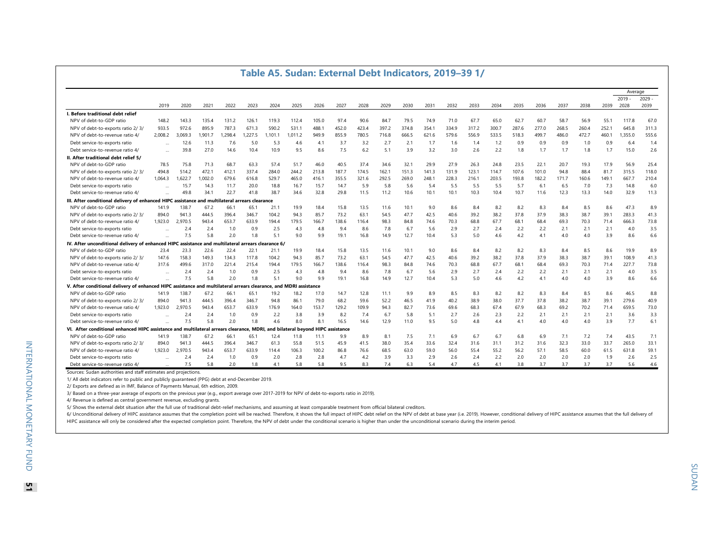|                                                                                                    |           |         |         |        |        |       | Table Ab. Sudan. External Debt multators, 2019–39 T/ |       |       |       |       |       |       |       |       |       |       |       |       |       |       |          |          |
|----------------------------------------------------------------------------------------------------|-----------|---------|---------|--------|--------|-------|------------------------------------------------------|-------|-------|-------|-------|-------|-------|-------|-------|-------|-------|-------|-------|-------|-------|----------|----------|
|                                                                                                    |           |         |         |        |        |       |                                                      |       |       |       |       |       |       |       |       |       |       |       |       |       |       | Average  |          |
|                                                                                                    |           |         |         |        |        |       |                                                      |       |       |       |       |       |       |       |       |       |       |       |       |       |       | $2019 -$ | $2029 -$ |
|                                                                                                    | 2019      | 2020    | 2021    | 2022   | 2023   | 2024  | 2025                                                 | 2026  | 2027  | 2028  | 2029  | 2030  | 2031  | 2032  | 2033  | 2034  | 2035  | 2036  | 2037  | 2038  | 2039  | 2028     | 2039     |
| I. Before traditional debt relief                                                                  |           |         |         |        |        |       |                                                      |       |       |       |       |       |       |       |       |       |       |       |       |       |       |          |          |
| NPV of debt-to-GDP ratio                                                                           | 148.2     | 143.3   | 135.4   | 131.2  | 126.1  | 119.3 | 112.4                                                | 105.0 | 97.4  | 90.6  | 84.7  | 79.5  | 74.9  | 71.0  | 67.7  | 65.0  | 62.7  | 60.7  | 58.7  | 56.9  | 55.1  | 117.8    | 67.0     |
| NPV of debt-to-exports ratio 2/3/                                                                  | 933.5     | 972.6   | 895.9   | 787.3  | 671.3  | 590.2 | 531.1                                                | 488.1 | 452.0 | 423.4 | 397.2 | 374.8 | 354.1 | 334.9 | 317.2 | 300.7 | 287.6 | 277.0 | 268.5 | 260.4 | 252.1 | 645.8    | 311.3    |
| NPV of debt-to-revenue ratio 4/                                                                    | 2.008.2   | 3.069.3 | 1.901.7 | .298.4 | .227.5 | 101.1 | 1.011.2                                              | 949.9 | 855.9 | 780.5 | 716.8 | 666.5 | 621.6 | 579.6 | 556.9 | 533.5 | 518.3 | 499.7 | 486.0 | 472.7 | 460.1 | .355.0   | 555.6    |
| Debt service-to-exports ratio                                                                      |           | 12.6    | 11.3    | 7.6    | 5.0    | 5.3   | 4.6                                                  | 4.1   | 3.7   | 3.2   | 2.7   | 2.1   | 1.7   | 1.6   | 1.4   | 1.2   | 0.9   | 0.9   | 0.9   | 1.0   | 0.9   | 6.4      | 1.4      |
| Debt service-to-revenue ratio 4/                                                                   | $\ddotsc$ | 39.8    | 27.0    | 14.6   | 10.4   | 10.9  | 9.5                                                  | 8.6   | 7.5   | 6.2   | 5.1   | 3.9   | 3.2   | 3.0   | 2.6   | 2.2   | 1.8   | 1.7   | 1.7   | 1.8   | 1.7   | 15.0     | 2.6      |
| II. After traditional debt relief 5/                                                               |           |         |         |        |        |       |                                                      |       |       |       |       |       |       |       |       |       |       |       |       |       |       |          |          |
| NPV of debt-to-GDP ratio                                                                           | 78.5      | 75.8    | 71.3    | 68.7   | 63.3   | 57.4  | 51.7                                                 | 46.0  | 40.5  | 37.4  | 34.6  | 32.1  | 29.9  | 27.9  | 26.3  | 24.8  | 23.5  | 22.1  | 20.7  | 19.3  | 17.9  | 56.9     | 25.4     |
| NPV of debt-to-exports ratio 2/3/                                                                  | 494.8     | 514.2   | 472.1   | 412.1  | 337.4  | 284.0 | 244.2                                                | 213.8 | 187.7 | 174.5 | 162.1 | 151.3 | 141.3 | 131.9 | 123.1 | 114.7 | 107.6 | 101.0 | 94.8  | 88.4  | 81.7  | 315.5    | 118.0    |
| NPV of debt-to-revenue ratio 4/                                                                    | 1,064.3   | 1,622.7 | 1.002.0 | 679.6  | 616.8  | 529.7 | 465.0                                                | 416.1 | 355.5 | 321.6 | 292.5 | 269.0 | 248.1 | 228.3 | 216.1 | 203.5 | 193.8 | 182.2 | 171.7 | 160.6 | 149.1 | 667.7    | 210.4    |
| Debt service-to-exports ratio                                                                      |           | 15.7    | 14.3    | 11.7   | 20.0   | 18.8  | 16.7                                                 | 15.7  | 14.7  | 5.9   | 5.8   | 5.6   | 5.4   | 5.5   | 5.5   | 5.5   | 5.7   | 6.1   | 6.5   | 7.0   | 7.3   | 14.8     | 6.0      |
| Debt service-to-revenue ratio 4/                                                                   |           | 49.8    | 34.7    | 22.7   | 41.8   | 38.7  | 34.6                                                 | 32.8  | 29.8  | 11.5  | 11.2  | 10.6  | 10.1  | 10.1  | 10.3  | 10.4  | 10.7  | 11.6  | 12.3  | 13.3  | 14.0  | 32.9     | 11.3     |
| III. After conditional delivery of enhanced HIPC assistance and multilateral arrears clearance     |           |         |         |        |        |       |                                                      |       |       |       |       |       |       |       |       |       |       |       |       |       |       |          |          |
| NPV of debt-to-GDP ratio                                                                           | 141.9     | 138.7   | 67.2    | 66.1   | 65.1   | 21.1  | 19.9                                                 | 18.4  | 15.8  | 13.5  | 11.6  | 10.1  | 9.0   | 8.6   | 8.4   | 8.2   | 8.2   | 8.3   | 8.4   | 8.5   | 8.6   | 47.3     | 8.9      |
| NPV of debt-to-exports ratio 2/3/                                                                  | 894.0     | 941.3   | 444.5   | 396.4  | 346.7  | 104.2 | 94.3                                                 | 85.7  | 73.2  | 63.1  | 54.5  | 47.7  | 42.5  | 40.6  | 39.2  | 38.2  | 37.8  | 37.9  | 38.3  | 38.7  | 39.1  | 283.3    | 41.3     |
| NPV of debt-to-revenue ratio 4/                                                                    | 1.923.0   | 2.970.5 | 943.4   | 653.7  | 633.9  | 194.4 | 179.5                                                | 166.7 | 138.6 | 116.4 | 98.3  | 84.8  | 74.6  | 70.3  | 68.8  | 67.7  | 68.1  | 68.4  | 69.3  | 70.3  | 71.4  | 666.3    | 73.8     |
| Debt service-to-exports ratio                                                                      | $\ddotsc$ | 2.4     | 2.4     | 1.0    | 0.9    | 2.5   | 4.3                                                  | 4.8   | 9.4   | 8.6   | 7.8   | 6.7   | 5.6   | 2.9   | 2.7   | 2.4   | 2.2   | 2.2   | 2.1   | 2.1   | 2.1   | 4.0      | 3.5      |
| Debt service-to-revenue ratio 4/                                                                   |           | 7.5     | 5.8     | 2.0    | 1.8    | 5.1   | 9.0                                                  | 9.9   | 19.1  | 16.8  | 14.9  | 12.7  | 10.4  | 5.3   | 5.0   | 4.6   | 4.2   | 4.1   | 4.0   | 4.0   | 3.9   | 8.6      | 6.6      |
| IV. After unconditional delivery of enhanced HIPC assistance and multilateral arrears clearance 6/ |           |         |         |        |        |       |                                                      |       |       |       |       |       |       |       |       |       |       |       |       |       |       |          |          |
| NPV of debt-to-GDP ratio                                                                           | 23.4      | 23.3    | 22.6    | 22.4   | 22.1   | 21.1  | 19.9                                                 | 18.4  | 15.8  | 13.5  | 11.6  | 10.1  | 9.0   | 8.6   | 8.4   | 8.2   | 8.2   | 8.3   | 8.4   | 8.5   | 8.6   | 19.9     | 8.9      |
| NPV of debt-to-exports ratio 2/3/                                                                  | 147.6     | 158.3   | 149.3   | 134.3  | 117.8  | 104.2 | 94.3                                                 | 85.7  | 73.2  | 63.1  | 54.5  | 47.7  | 42.5  | 40.6  | 39.2  | 38.2  | 37.8  | 37.9  | 38.3  | 38.7  | 39.1  | 108.9    | 41.3     |
| NPV of debt-to-revenue ratio 4/                                                                    | 317.6     | 499.6   | 317.0   | 221.4  | 215.4  | 194.4 | 179.5                                                | 166.7 | 138.6 | 116.4 | 98.3  | 84.8  | 74.6  | 70.3  | 68.8  | 67.7  | 68.1  | 68.4  | 69.3  | 70.3  | 71.4  | 227.7    | 73.8     |
| Debt service-to-exports ratio                                                                      |           | 2.4     | 2.4     | 1.0    | 0.9    | 2.5   | 4.3                                                  | 4.8   | 9.4   | 8.6   | 7.8   | 6.7   | 5.6   | 2.9   | 2.7   | 2.4   | 2.2   | 2.2   | 2.1   | 2.1   | 2.1   | 4.0      | 3.5      |
| Debt service-to-revenue ratio 4/                                                                   |           | 7.5     | 5.8     | 2.0    | 1.8    | 5.1   | 9.0                                                  | 9.9   | 19.1  | 16.8  | 14.9  | 12.7  | 10.4  | 5.3   | 5.0   | 4.6   | 4.2   | 4.1   | 4.0   | 4.0   | 3.9   | 8.6      | 6.6      |
| V. After conditional delivery of enhanced HIPC assistance and multilateral arre                    |           |         |         |        |        |       | ars clearance. and MDRI assistance                   |       |       |       |       |       |       |       |       |       |       |       |       |       |       |          |          |
| NPV of debt-to-GDP ratio                                                                           | 141.9     | 138.7   | 67.2    | 66.    | 65.1   | 19.2  | 18.2                                                 | 17.0  | 14.7  | 12.8  | 11.1  | 9.9   | 8.9   | 8.5   | 8.3   | 8.2   | 8.2   | 8.3   | 8.4   | 8.5   | 8.6   | 46.5     | 8.8      |
| NPV of debt-to-exports ratio 2/3/                                                                  | 894.0     | 941.3   | 444.5   | 396.4  | 346.7  | 94.8  | 86.1                                                 | 79.0  | 68.2  | 59.6  | 52.2  | 46.5  | 41.9  | 40.2  | 38.9  | 38.0  | 37.7  | 37.8  | 38.2  | 38.7  | 39.1  | 279.6    | 40.9     |
| NPV of debt-to-revenue ratio 4/                                                                    | 1,923.0   | 2,970.5 | 943.4   | 653.7  | 633.9  | 176.9 | 164.0                                                | 153.7 | 129.2 | 109.9 | 94.3  | 82.7  | 73.6  | 69.6  | 68.3  | 67.4  | 67.9  | 68.3  | 69.2  | 70.2  | 71.4  | 659.5    | 73.0     |
| Debt service-to-exports ratio                                                                      | $\ddotsc$ | 2.4     | 2.4     | 1.0    | 0.9    | 2.2   | 3.8                                                  | 3.9   | 8.2   | 7.4   | 6.7   | 5.8   | 5.1   | 2.7   | 2.6   | 2.3   | 2.2   | 2.1   | 2.1   | 2.1   | 2.1   | 3.6      | 3.3      |
| Debt service-to-revenue ratio 4/                                                                   |           | 7.5     | 5.8     | 2.0    | 1.8    | 4.6   | 8.0                                                  | 8.1   | 16.5  | 14.6  | 12.9  | 11.0  | 9.5   | 5.0   | 4.8   | 4.4   | 4.1   | 4.0   | 4.0   | 4.0   | 3.9   | 7.7      | 6.1      |
| VI. After conditional enhanced HIPC assistance and multilateral arrears clearance. MDRI.           |           |         |         |        |        |       | and bilateral beyond HIPC assistance                 |       |       |       |       |       |       |       |       |       |       |       |       |       |       |          |          |
| NPV of debt-to-GDP ratio                                                                           | 141.9     | 138.7   | 67.2    | 66.1   | 65.1   | 12.4  | 11.8                                                 | 11.1  | 9.9   | 8.9   | 8.1   | 7.5   | 7.1   | 6.9   | 6.7   | 6.7   | 6.8   | 6.9   | 7.1   | 7.2   | 7.4   | 43.5     | 7.1      |
| NPV of debt-to-exports ratio 2/3/                                                                  | 894.0     | 941.3   | 444.5   | 396.4  | 346.7  | 61.3  | 55.8                                                 | 51.5  | 45.9  | 41.5  | 38.0  | 35.4  | 33.6  | 32.4  | 31.6  | 31.1  | 31.2  | 31.6  | 32.3  | 33.0  | 33.7  | 265.0    | 33.1     |
| NPV of debt-to-revenue ratio 4/                                                                    | 1,923.0   | 2,970.5 | 943.4   | 653.7  | 633.9  | 114.4 | 106.3                                                | 100.2 | 86.8  | 76.6  | 68.5  | 63.0  | 59.0  | 56.0  | 55.4  | 55.2  | 56.2  | 57.1  | 58.5  | 60.0  | 61.5  | 631.8    | 59.1     |
| Debt service-to-exports ratio                                                                      |           | 2.4     | 2.4     | 1.0    | 0.9    | 2.0   | 2.8                                                  | 2.8   | 4.7   | 4.2   | 3.9   | 3.3   | 2.9   | 2.6   | 2.4   | 2.2   | 2.0   | 2.0   | 2.0   | 2.0   | 1.9   | 2.6      | 2.5      |
| Debt service-to-revenue ratio 4/                                                                   |           | 7.5     | 5.8     | 2.0    | 1.8    | 4.1   | 5.8                                                  | 5.8   | 9.5   | 8.3   | 7.4   | 6.3   | 5.4   | 4.7   | 4.5   | 4.1   | 3.8   | 3.7   | 3.7   | 3.7   | 3.7   | 5.6      | 4.6      |

#### Sources: Sudan authorities and staff estimates and projections.

1/ All debt indicators refer to public and publicly guaranteed (PPG) debt at end-December 2019.

2/ Exports are defined as in IMF, Balance of Payments Manual, 6th edition, 2009.

3/ Based on a three-year average of exports on the previous year (e.g., export average over 2017-2019 for NPV of debt-to-exports ratio in 2019).

4/ Revenue is defined as central government revenue, excluding grants.

5/ Shows the external debt situation after the full use of traditional debt-relief mechanisms, and assuming at least comparable treatment from official bilateral creditors.

6/ Unconditional delivery of HIPC assistance assumes that the completion point will be reached. Therefore, it shows the full impact of HIPC debt relief on the NPV of debt at base year (i.e. 2019). However, conditional deli HIPC assistance will only be considered after the expected completion point. Therefore, the NPV of debt under the conditional scenario is higher than under the unconditional scenario during the interim period.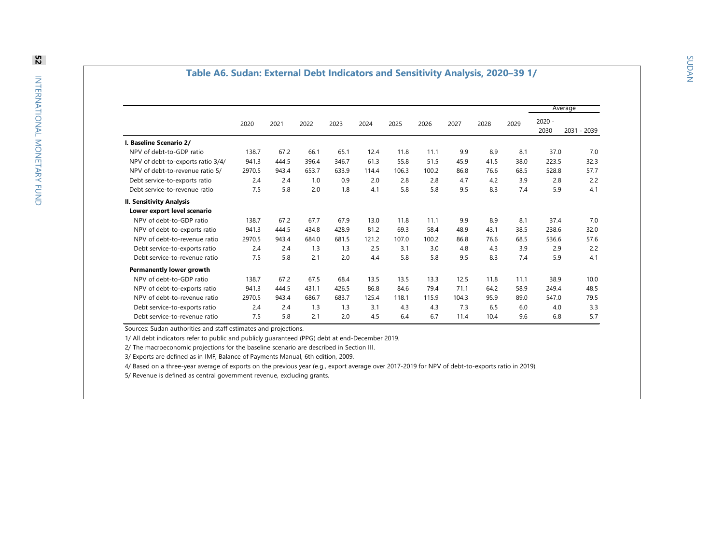#### **Table A 6 . Sudan: External Debt Indicators an d Sensitivity Analysis, 2020–3 9 1/**

|                                   |        |       |       |       |       |       |       |       |      |      |                  | Average     |
|-----------------------------------|--------|-------|-------|-------|-------|-------|-------|-------|------|------|------------------|-------------|
|                                   | 2020   | 2021  | 2022  | 2023  | 2024  | 2025  | 2026  | 2027  | 2028 | 2029 | $2020 -$<br>2030 | 2031 - 2039 |
| <b>Baseline Scenario 2/</b>       |        |       |       |       |       |       |       |       |      |      |                  |             |
| NPV of debt-to-GDP ratio          | 138.7  | 67.2  | 66.1  | 65.1  | 12.4  | 11.8  | 11.1  | 9.9   | 8.9  | 8.1  | 37.0             | 7.0         |
| NPV of debt-to-exports ratio 3/4/ | 941.3  | 444.5 | 396.4 | 346.7 | 61.3  | 55.8  | 51.5  | 45.9  | 41.5 | 38.0 | 223.5            | 32.3        |
| NPV of debt-to-revenue ratio 5/   | 2970.5 | 943.4 | 653.7 | 633.9 | 114.4 | 106.3 | 100.2 | 86.8  | 76.6 | 68.5 | 528.8            | 57.7        |
| Debt service-to-exports ratio     | 2.4    | 2.4   | 1.0   | 0.9   | 2.0   | 2.8   | 2.8   | 4.7   | 4.2  | 3.9  | 2.8              | 2.2         |
| Debt service-to-revenue ratio     | 7.5    | 5.8   | 2.0   | 1.8   | 4.1   | 5.8   | 5.8   | 9.5   | 8.3  | 7.4  | 5.9              | 4.1         |
| II. Sensitivity Analysis          |        |       |       |       |       |       |       |       |      |      |                  |             |
| Lower export level scenario       |        |       |       |       |       |       |       |       |      |      |                  |             |
| NPV of debt-to-GDP ratio          | 138.7  | 67.2  | 67.7  | 67.9  | 13.0  | 11.8  | 11.1  | 9.9   | 8.9  | 8.1  | 37.4             | 7.0         |
| NPV of debt-to-exports ratio      | 941.3  | 444.5 | 434.8 | 428.9 | 81.2  | 69.3  | 58.4  | 48.9  | 43.1 | 38.5 | 238.6            | 32.0        |
| NPV of debt-to-revenue ratio      | 2970.5 | 943.4 | 684.0 | 681.5 | 121.2 | 107.0 | 100.2 | 86.8  | 76.6 | 68.5 | 536.6            | 57.6        |
| Debt service-to-exports ratio     | 2.4    | 2.4   | 1.3   | 1.3   | 2.5   | 3.1   | 3.0   | 4.8   | 4.3  | 3.9  | 2.9              | 2.2         |
| Debt service-to-revenue ratio     | 7.5    | 5.8   | 2.1   | 2.0   | 4.4   | 5.8   | 5.8   | 9.5   | 8.3  | 7.4  | 5.9              | 4.1         |
| Permanently lower growth          |        |       |       |       |       |       |       |       |      |      |                  |             |
| NPV of debt-to-GDP ratio          | 138.7  | 67.2  | 67.5  | 68.4  | 13.5  | 13.5  | 13.3  | 12.5  | 11.8 | 11.1 | 38.9             | 10.0        |
| NPV of debt-to-exports ratio      | 941.3  | 444.5 | 431.1 | 426.5 | 86.8  | 84.6  | 79.4  | 71.1  | 64.2 | 58.9 | 249.4            | 48.5        |
| NPV of debt-to-revenue ratio      | 2970.5 | 943.4 | 686.7 | 683.7 | 125.4 | 118.1 | 115.9 | 104.3 | 95.9 | 89.0 | 547.0            | 79.5        |
| Debt service-to-exports ratio     | 2.4    | 2.4   | 1.3   | 1.3   | 3.1   | 4.3   | 4.3   | 7.3   | 6.5  | 6.0  | 4.0              | 3.3         |
| Debt service-to-revenue ratio     | 7.5    | 5.8   | 2.1   | 2.0   | 4.5   | 6.4   | 6.7   | 11.4  | 10.4 | 9.6  | 6.8              | 5.7         |

Sources: Sudan authorities and staff estimates and projections.

1/ All debt indicators refer to public and publicly guaranteed (PPG) debt at end-December 2019.

2/ The macroeconomic projections for the baseline scenario are described in Section III.

3/ Exports are defined as in IMF, Balance of Payments Manual, 6th edition, 2009.

4/ Based on a three-year average of exports on the previous year (e.g., export average over 2017-2019 for NPV of debt-to-exports ratio in 2019).

5/ Revenue is defined as central government revenue, excluding grants.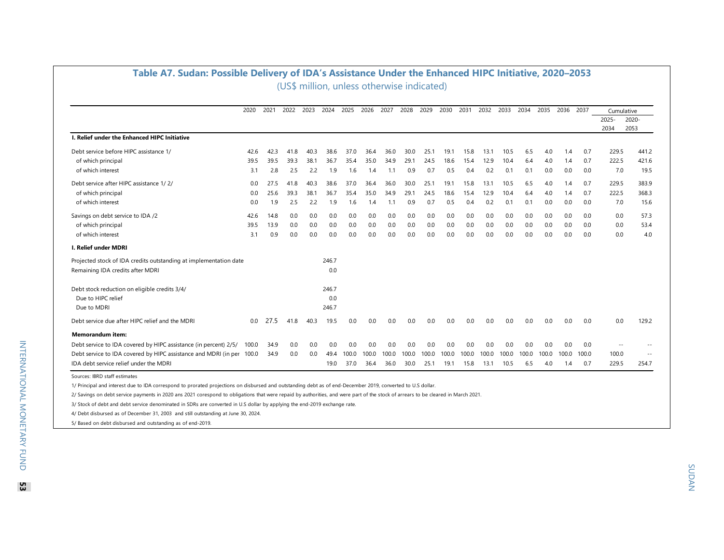| Table A7. Sudan: Possible Delivery of IDA's Assistance Under the Enhanced HIPC Initiative, 2020-2053 |       |      |      |      |       |       |       |       |                                            |       |       |       |       |       |       |       |       |       |               |               |
|------------------------------------------------------------------------------------------------------|-------|------|------|------|-------|-------|-------|-------|--------------------------------------------|-------|-------|-------|-------|-------|-------|-------|-------|-------|---------------|---------------|
|                                                                                                      |       |      |      |      |       |       |       |       | (US\$ million, unless otherwise indicated) |       |       |       |       |       |       |       |       |       |               |               |
|                                                                                                      | 2020  | 2021 | 2022 | 2023 | 2024  | 2025  | 2026  | 2027  | 2028                                       | 2029  | 2030  | 2031  | 2032  | 2033  | 2034  | 2035  | 2036  | 2037  | Cumulative    |               |
|                                                                                                      |       |      |      |      |       |       |       |       |                                            |       |       |       |       |       |       |       |       |       | 2025-<br>2034 | 2020-<br>2053 |
| I. Relief under the Enhanced HIPC Initiative                                                         |       |      |      |      |       |       |       |       |                                            |       |       |       |       |       |       |       |       |       |               |               |
| Debt service before HIPC assistance 1/                                                               | 42.6  | 42.3 | 41.8 | 40.3 | 38.6  | 37.0  | 36.4  | 36.0  | 30.0                                       | 25.1  | 19.1  | 15.8  | 13.1  | 10.5  | 6.5   | 4.0   | 1.4   | 0.7   | 229.5         | 441.2         |
| of which principal                                                                                   | 39.5  | 39.5 | 39.3 | 38.1 | 36.7  | 35.4  | 35.0  | 34.9  | 29.1                                       | 24.5  | 18.6  | 15.4  | 12.9  | 10.4  | 6.4   | 4.0   | 1.4   | 0.7   | 222.5         | 421.6         |
| of which interest                                                                                    | 3.1   | 2.8  | 2.5  | 2.2  | 1.9   | 1.6   | 1.4   | 1.1   | 0.9                                        | 0.7   | 0.5   | 0.4   | 0.2   | 0.1   | 0.1   | 0.0   | 0.0   | 0.0   | 7.0           | 19.5          |
| Debt service after HIPC assistance 1/2/                                                              | 0.0   | 27.5 | 41.8 | 40.3 | 38.6  | 37.0  | 36.4  | 36.0  | 30.0                                       | 25.1  | 19.1  | 15.8  | 13.1  | 10.5  | 6.5   | 4.0   | 1.4   | 0.7   | 229.5         | 383.9         |
| of which principal                                                                                   | 0.0   | 25.6 | 39.3 | 38.1 | 36.7  | 35.4  | 35.0  | 34.9  | 29.1                                       | 24.5  | 18.6  | 15.4  | 12.9  | 10.4  | 6.4   | 4.0   | 1.4   | 0.7   | 222.5         | 368.3         |
| of which interest                                                                                    | 0.0   | 1.9  | 2.5  | 2.2  | 1.9   | 1.6   | 1.4   | 1.1   | 0.9                                        | 0.7   | 0.5   | 0.4   | 0.2   | 0.1   | 0.1   | 0.0   | 0.0   | 0.0   | 7.0           | 15.6          |
| Savings on debt service to IDA /2                                                                    | 42.6  | 14.8 | 0.0  | 0.0  | 0.0   | 0.0   | 0.0   | 0.0   | 0.0                                        | 0.0   | 0.0   | 0.0   | 0.0   | 0.0   | 0.0   | 0.0   | 0.0   | 0.0   | 0.0           | 57.3          |
| of which principal                                                                                   | 39.5  | 13.9 | 0.0  | 0.0  | 0.0   | 0.0   | 0.0   | 0.0   | 0.0                                        | 0.0   | 0.0   | 0.0   | 0.0   | 0.0   | 0.0   | 0.0   | 0.0   | 0.0   | 0.0           | 53.4          |
| of which interest                                                                                    | 3.1   | 0.9  | 0.0  | 0.0  | 0.0   | 0.0   | 0.0   | 0.0   | 0.0                                        | 0.0   | 0.0   | 0.0   | 0.0   | 0.0   | 0.0   | 0.0   | 0.0   | 0.0   | 0.0           | 4.0           |
| <b>I. Relief under MDRI</b>                                                                          |       |      |      |      |       |       |       |       |                                            |       |       |       |       |       |       |       |       |       |               |               |
| Projected stock of IDA credits outstanding at implementation date                                    |       |      |      |      | 246.7 |       |       |       |                                            |       |       |       |       |       |       |       |       |       |               |               |
| Remaining IDA credits after MDRI                                                                     |       |      |      |      | 0.0   |       |       |       |                                            |       |       |       |       |       |       |       |       |       |               |               |
| Debt stock reduction on eligible credits 3/4/                                                        |       |      |      |      | 246.7 |       |       |       |                                            |       |       |       |       |       |       |       |       |       |               |               |
| Due to HIPC relief                                                                                   |       |      |      |      | 0.0   |       |       |       |                                            |       |       |       |       |       |       |       |       |       |               |               |
| Due to MDRI                                                                                          |       |      |      |      | 246.7 |       |       |       |                                            |       |       |       |       |       |       |       |       |       |               |               |
| Debt service due after HIPC relief and the MDRI                                                      | 0.0   | 27.5 | 41.8 | 40.3 | 19.5  | 0.0   | 0.0   | 0.0   | 0.0                                        | 0.0   | 0.0   | 0.0   | 0.0   | 0.0   | 0.0   | 0.0   | 0.0   | 0.0   | 0.0           | 129.2         |
| <b>Memorandum item:</b>                                                                              |       |      |      |      |       |       |       |       |                                            |       |       |       |       |       |       |       |       |       |               |               |
| Debt service to IDA covered by HIPC assistance (in percent) 2/5/                                     | 100.0 | 34.9 | 0.0  | 0.0  | 0.0   | 0.0   | 0.0   | 0.0   | 0.0                                        | 0.0   | 0.0   | 0.0   | 0.0   | 0.0   | 0.0   | 0.0   | 0.0   | 0.0   |               |               |
| Debt service to IDA covered by HIPC assistance and MDRI (in per 100.0                                |       | 34.9 | 0.0  | 0.0  | 49.4  | 100.0 | 100.0 | 100.0 | 100.0                                      | 100.0 | 100.0 | 100.0 | 100.0 | 100.0 | 100.0 | 100.0 | 100.0 | 100.0 | 100.0         | $- -$         |
| IDA debt service relief under the MDRI                                                               |       |      |      |      | 19.0  | 37.0  | 36.4  | 36.0  | 30.0                                       | 25.1  | 19.1  | 15.8  | 13.1  | 10.5  | 6.5   | 4.0   | 1.4   | 0.7   | 229.5         | 254.7         |

Sources: IBRD staff estimates

1/ Principal and interest due to IDA correspond to prorated projections on disbursed and outstanding debt as of end-December 2019, converted to U.S dollar.

2/ Savings on debt service payments in 2020 ans 2021 corespond to obligations that were repaid by authorities, and were part of the stock of arrears to be cleared in March 2021.

3/ Stock of debt and debt service denominated in SDRs are converted in U.S dollar by applying the end-2019 exchange rate.

4/ Debt disbursed as of December 31, 2003 and still outstanding at June 30, 2024.

5/ Based on debt disbursed and outstanding as of end-2019.

**53**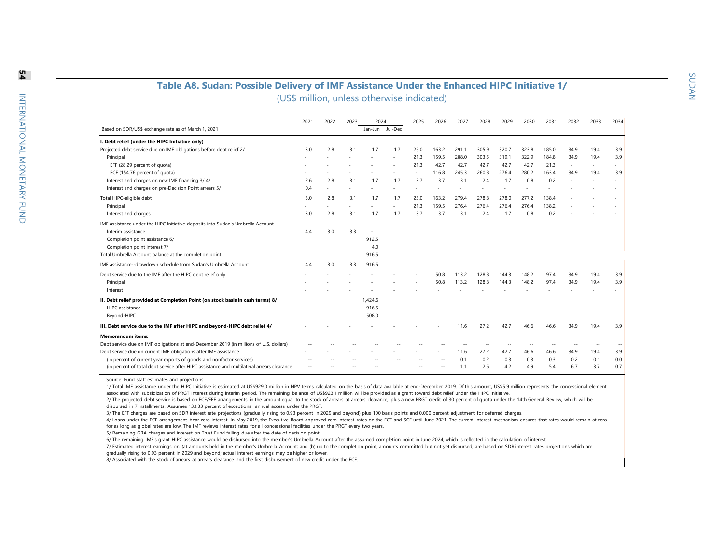#### **Table A8. Sudan: Possible Delivery of IMF Assistance Under the Enhanced HIPC Initiative 1/** (US\$ million, unless otherwise indicated)

|                                                                                            | 2021 | 2022 | 2023 | 2024            |     | 2025 | 2026   | 2027  | 2028  | 2029  | 2030  | 2031  | 2032   | 2033   | 2034 |
|--------------------------------------------------------------------------------------------|------|------|------|-----------------|-----|------|--------|-------|-------|-------|-------|-------|--------|--------|------|
| Based on SDR/US\$ exchange rate as of March 1, 2021                                        |      |      |      | Jan-Jun Jul-Dec |     |      |        |       |       |       |       |       |        |        |      |
| I. Debt relief (under the HIPC Initiative only)                                            |      |      |      |                 |     |      |        |       |       |       |       |       |        |        |      |
| Projected debt service due on IMF obligations before debt relief 2/                        | 3.0  | 2.8  | 3.1  | 1.7             | 1.7 | 25.0 | 163.2  | 291.1 | 305.9 | 320.7 | 323.8 | 185.0 | 34.9   | 19.4   | 3.9  |
| Principal                                                                                  |      |      |      |                 |     | 21.3 | 159.5  | 288.0 | 303.5 | 319.1 | 322.9 | 184.8 | 34.9   | 19.4   | 3.9  |
| EFF (28.29 percent of quota)                                                               |      |      |      |                 |     | 21.3 | 42.7   | 42.7  | 42.7  | 42.7  | 42.7  | 21.3  | $\sim$ | $\sim$ |      |
| ECF (154.76 percent of quota)                                                              |      |      |      |                 |     |      | 116.8  | 245.3 | 260.8 | 276.4 | 280.2 | 163.4 | 34.9   | 19.4   | 3.9  |
| Interest and charges on new IMF financing 3/4/                                             | 2.6  | 2.8  | 3.1  | 1.7             | 1.7 | 3.7  | 3.7    | 3.1   | 2.4   | 1.7   | 0.8   | 0.2   |        |        |      |
| Interest and charges on pre-Decision Point arrears 5/                                      | 0.4  |      |      |                 |     |      |        |       |       |       |       |       |        |        |      |
| Total HIPC-eligible debt                                                                   | 3.0  | 2.8  | 3.1  | 1.7             | 1.7 | 25.0 | 163.2  | 279.4 | 278.8 | 278.0 | 277.2 | 138.4 |        |        |      |
| Principal                                                                                  |      |      |      |                 |     | 21.3 | 159.5  | 276.4 | 276.4 | 276.4 | 276.4 | 138.2 |        |        |      |
| Interest and charges                                                                       | 3.0  | 2.8  | 3.1  | 1.7             | 1.7 | 3.7  | 3.7    | 3.1   | 2.4   | 1.7   | 0.8   | 0.2   |        |        |      |
| IMF assistance under the HIPC Initiative-deposits into Sudan's Umbrella Account            |      |      |      |                 |     |      |        |       |       |       |       |       |        |        |      |
| Interim assistance                                                                         | 4.4  | 3.0  | 3.3  |                 |     |      |        |       |       |       |       |       |        |        |      |
| Completion point assistance 6/                                                             |      |      |      | 912.5           |     |      |        |       |       |       |       |       |        |        |      |
| Completion point interest 7/                                                               |      |      |      | 4.0             |     |      |        |       |       |       |       |       |        |        |      |
| Total Umbrella Account balance at the completion point                                     |      |      |      | 916.5           |     |      |        |       |       |       |       |       |        |        |      |
| IMF assistance--drawdown schedule from Sudan's Umbrella Account                            | 4.4  | 3.0  | 3.3  | 916.5           |     |      |        |       |       |       |       |       |        |        |      |
| Debt service due to the IMF after the HIPC debt relief only                                |      |      |      |                 |     |      | 50.8   | 113.2 | 128.8 | 144.3 | 148.2 | 97.4  | 34.9   | 19.4   | 3.9  |
| Principal                                                                                  |      |      |      |                 |     |      | 50.8   | 113.2 | 128.8 | 144.3 | 148.2 | 97.4  | 34.9   | 19.4   | 3.9  |
| Interest                                                                                   |      |      |      |                 |     |      |        |       |       |       |       |       |        |        |      |
| II. Debt relief provided at Completion Point (on stock basis in cash terms) 8/             |      |      |      | 1,424.6         |     |      |        |       |       |       |       |       |        |        |      |
| HIPC assistance                                                                            |      |      |      | 916.5           |     |      |        |       |       |       |       |       |        |        |      |
| Beyond-HIPC                                                                                |      |      |      | 508.0           |     |      |        |       |       |       |       |       |        |        |      |
| III. Debt service due to the IMF after HIPC and beyond-HIPC debt relief 4/                 |      |      |      |                 |     |      |        | 11.6  | 27.2  | 42.7  | 46.6  | 46.6  | 34.9   | 19.4   | 3.9  |
| <b>Memorandum items:</b>                                                                   |      |      |      |                 |     |      |        |       |       |       |       |       |        |        |      |
| Debt service due on IMF obligations at end-December 2019 (in millions of U.S. dollars)     |      |      |      |                 |     |      |        |       |       |       |       |       |        | $\sim$ |      |
| Debt service due on current IMF obligations after IMF assistance                           |      |      |      |                 |     |      |        | 11.6  | 27.2  | 42.7  | 46.6  | 46.6  | 34.9   | 19.4   | 3.9  |
| (in percent of current year exports of goods and nonfactor services)                       |      |      |      |                 |     |      | --     | 0.1   | 0.2   | 0.3   | 0.3   | 0.3   | 0.2    | 0.1    | 0.0  |
| (in percent of total debt service after HIPC assistance and multilateral arrears clearance |      |      |      |                 |     |      | $\sim$ | 1.1   | 2.6   | 4.2   | 4.9   | 5.4   | 6.7    | 3.7    | 0.7  |

Source: Fund staff estimates and projections.

1/ Total IMF assistance under the HIPC Initiative is estimated at US\$929.0 million in NPV terms calculated on the basis of data available at end-December 2019. Of this amount, US\$5.9 million represents the concessional ele associated with subsidization of PRGT Interest during interim period. The remaining balance of US\$923.1 million will be provided as a grant toward debt relief under the HIPC Initiative.

2/ The projected debt service is based on ECF/EFF arrangements in the amount equal to the stock of arrears at arrears clearance, plus a new PRGT credit of 30 percent of quota under the 14th General Review, which will be disbursed in 7 installments. Assumes 133.33 percent of exceptional annual access under the PRGT.

3/ The EFF charges are based on SDR interest rate projections (gradually rising to 0.93 percent in 2029 and beyond) plus 100 basis points and 0.000 percent adjustment for deferred charges.

4/ Loans under the ECF-arrangement bear zero interest. In May 2019, the Executive Board approved zero interest rates on the ECF and SCF until June 2021. The current interest mechanism ensures that rates would remain at zer for as long as global rates are low. The IMF reviews interest rates for all concessional facilities under the PRGT every two years.

5/ Remaining GRA charges and interest on Trust Fund falling due after the date of decision point.

6/ The remaining IMF's grant HIPC assistance would be disbursed into the member's Umbrella Account after the assumed completion point in June 2024, which is reflected in the calculation of interest.

7/ Estimated interest earnings on: (a) amounts held in the member's Umbrella Account; and (b) up to the completion point, amounts committed but not yet disbursed, are based on SDR interest rates projections which are gradually rising to 0.93 percent in 2029 and beyond; actual interest earnings may be higher or lower.

8/ Associated with the stock of arrears at arrears clearance and the first disbursement of new credit under the ECF.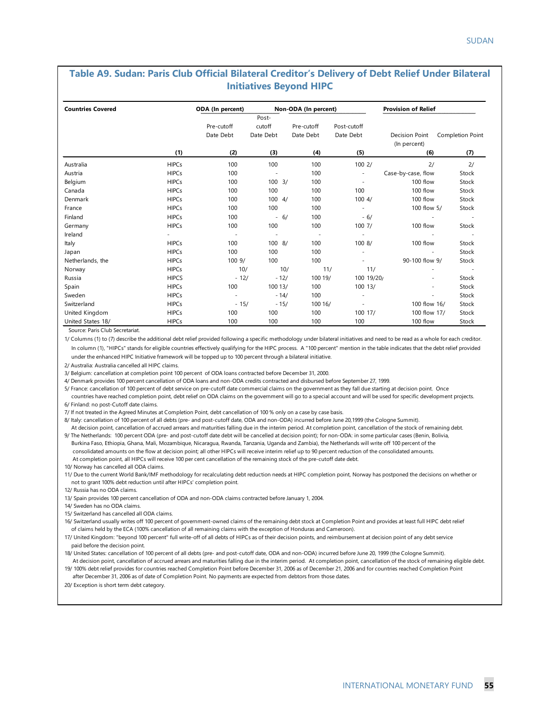#### **Table A9. Sudan: Paris Club Official Bilateral Creditor's Delivery of Debt Relief Under Bilateral Initiatives Beyond HIPC**

| <b>Countries Covered</b> |              | ODA (In percent)         |                          |        | Non-ODA (In percent)     |             | <b>Provision of Relief</b>     |                          |
|--------------------------|--------------|--------------------------|--------------------------|--------|--------------------------|-------------|--------------------------------|--------------------------|
|                          |              |                          | Post-                    |        |                          |             |                                |                          |
|                          |              | Pre-cutoff               | cutoff                   |        | Pre-cutoff               | Post-cutoff |                                |                          |
|                          |              | Date Debt                | Date Debt                |        | Date Debt                | Date Debt   | Decision Point<br>(In percent) | Completion Point         |
|                          | (1)          | (2)                      | (3)                      |        | (4)                      | (5)         | (6)                            | (7)                      |
| Australia                | <b>HIPCs</b> | 100                      | 100                      |        | 100                      | 1002/       | 2/                             | 2/                       |
| Austria                  | <b>HIPCs</b> | 100                      | $\overline{\phantom{a}}$ |        | 100                      |             | Case-by-case, flow             | Stock                    |
| Belgium                  | <b>HIPCs</b> | 100                      | $100 \frac{3}{2}$        |        | 100                      |             | 100 flow                       | Stock                    |
| Canada                   | <b>HIPCs</b> | 100                      | 100                      |        | 100                      | 100         | 100 flow                       | Stock                    |
| Denmark                  | <b>HIPCs</b> | 100                      | $100 \frac{4}{$          |        | 100                      | 1004/       | 100 flow                       | Stock                    |
| France                   | <b>HIPCs</b> | 100                      | 100                      |        | 100                      |             | 100 flow 5/                    | Stock                    |
| Finland                  | <b>HIPCs</b> | 100                      |                          | $-6/$  | 100                      | $-6/$       |                                |                          |
| Germany                  | <b>HIPCs</b> | 100                      | 100                      |        | 100                      | 100 7/      | 100 flow                       | Stock                    |
| Ireland                  |              | $\overline{\phantom{a}}$ | $\overline{\phantom{a}}$ |        | $\overline{\phantom{a}}$ |             |                                | $\overline{\phantom{a}}$ |
| Italy                    | <b>HIPCs</b> | 100                      | 1008/                    |        | 100                      | 1008/       | 100 flow                       | Stock                    |
| Japan                    | <b>HIPCs</b> | 100                      | 100                      |        | 100                      |             |                                | Stock                    |
| Netherlands, the         | <b>HIPCs</b> | 1009/                    | 100                      |        | 100                      |             | 90-100 flow 9/                 | Stock                    |
| Norway                   | <b>HIPCs</b> | 10/                      |                          | 10/    | 11/                      | 11/         |                                |                          |
| Russia                   | <b>HIPCS</b> | $-12/$                   |                          | $-12/$ | 100 19/                  | 100 19/20/  |                                | Stock                    |
| Spain                    | <b>HIPCs</b> | 100                      | 100 13/                  |        | 100                      | 100 13/     |                                | Stock                    |
| Sweden                   | <b>HIPCs</b> |                          |                          | $-14/$ | 100                      |             |                                | Stock                    |
| Switzerland              | <b>HIPCs</b> | $-15/$                   |                          | $-15/$ | 100 16/                  |             | 100 flow 16/                   | Stock                    |
| United Kingdom           | <b>HIPCs</b> | 100                      | 100                      |        | 100                      | 100 17/     | 100 flow 17/                   | Stock                    |
| United States 18/        | <b>HIPCs</b> | 100                      | 100                      |        | 100                      | 100         | 100 flow                       | Stock                    |

Source: Paris Club Secretariat.

1/ Columns (1) to (7) describe the additional debt relief provided following a specific methodology under bilateral initiatives and need to be read as a whole for each creditor. In column (1), "HIPCs" stands for eligible countries effectively qualifying for the HIPC process. A "100 percent" mention in the table indicates that the debt relief provided under the enhanced HIPC Initiative framework will be topped up to 100 percent through a bilateral initiative.

2/ Australia: Australia cancelled all HIPC claims.

3/ Belgium: cancellation at completion point 100 percent of ODA loans contracted before December 31, 2000.

4/ Denmark provides 100 percent cancellation of ODA loans and non-ODA credits contracted and disbursed before September 27, 1999.

5/ France: cancellation of 100 percent of debt service on pre-cutoff date commercial claims on the government as they fall due starting at decision point. Once

 countries have reached completion point, debt relief on ODA claims on the government will go to a special account and will be used for specific development projects. 6/ Finland: no post-Cutoff date claims.

7/ If not treated in the Agreed Minutes at Completion Point, debt cancellation of 100 % only on a case by case basis.

8/ Italy: cancellation of 100 percent of all debts (pre- and post-cutoff date, ODA and non-ODA) incurred before June 20,1999 (the Cologne Summit). At decision point, cancellation of accrued arrears and maturities falling due in the interim period. At completion point, cancellation of the stock of remaining debt.

9/ The Netherlands: 100 percent ODA (pre- and post-cutoff date debt will be cancelled at decision point); for non-ODA: in some particular cases (Benin, Bolivia, Burkina Faso, Ethiopia, Ghana, Mali, Mozambique, Nicaragua, Rwanda, Tanzania, Uganda and Zambia), the Netherlands will write off 100 percent of the consolidated amounts on the flow at decision point; all other HIPCs will receive interim relief up to 90 percent reduction of the consolidated amounts. At completion point, all HIPCs will receive 100 per cent cancellation of the remaining stock of the pre-cutoff date debt.

10/ Norway has cancelled all ODA claims.

11/ Due to the current World Bank/IMF methodology for recalculating debt reduction needs at HIPC completion point, Norway has postponed the decisions on whether or not to grant 100% debt reduction until after HIPCs' completion point.

12/ Russia has no ODA claims.

13/ Spain provides 100 percent cancellation of ODA and non-ODA claims contracted before January 1, 2004.

14/ Sweden has no ODA claims.

15/ Switzerland has cancelled all ODA claims.

 of claims held by the ECA (100% cancellation of all remaining claims with the exception of Honduras and Cameroon). 16/ Switzerland usually writes off 100 percent of government-owned claims of the remaining debt stock at Completion Point and provides at least full HIPC debt relief

17/ United Kingdom: "beyond 100 percent" full write-off of all debts of HIPCs as of their decision points, and reimbursement at decision point of any debt service paid before the decision point.

18/ United States: cancellation of 100 percent of all debts (pre- and post-cutoff date, ODA and non-ODA) incurred before June 20, 1999 (the Cologne Summit). At decision point, cancellation of accrued arrears and maturities falling due in the interim period. At completion point, cancellation of the stock of remaining eligible debt.

19/ 100% debt relief provides for countries reached Completion Point before December 31, 2006 as of December 21, 2006 and for countries reached Completion Point after December 31, 2006 as of date of Completion Point. No payments are expected from debtors from those dates.

20/ Exception is short term debt category.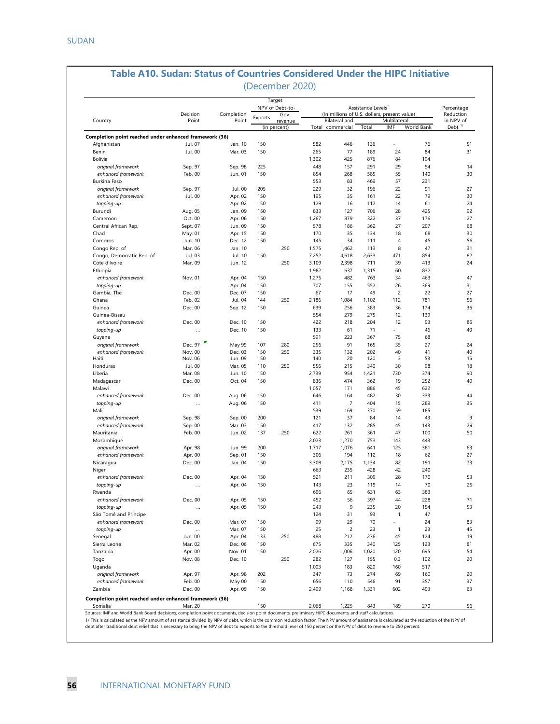| Decision<br>(In millions of U.S. dollars, present value)<br>Reduction<br>Completion<br>Gov.<br>Exports<br>Country<br>Point<br>Point<br>Bilateral and<br>Multilateral<br>revenue<br>Debt <sup>1/</sup><br>(in percent)<br>Total commercial<br>Total<br>IMF<br>World Bank<br>Completion point reached under enhanced framework (36)<br>Jul. 07<br>Jan. 10<br>150<br>582<br>446<br>136<br>76<br>Afghanistan<br>77<br>Benin<br>Jul. 00<br>Mar. 03<br>265<br>84<br>150<br>189<br>24<br>Bolivia<br>1,302<br>425<br>876<br>84<br>194<br>29<br>Sep. 98<br>225<br>448<br>157<br>291<br>54<br>original framework<br>Sep. 97<br>enhanced framework<br>Feb. 00<br>Jun. 01<br>150<br>854<br>268<br>585<br>55<br>140<br>83<br>469<br>57<br>231<br>Burkina Faso<br>553<br>Jul. 00<br>32<br>original framework<br>Sep. 97<br>205<br>229<br>196<br>22<br>91<br>Jul. 00<br>Apr. 02<br>150<br>195<br>35<br>22<br>79<br>enhanced framework<br>161<br>Apr. 02<br>16<br>61<br>topping-up<br>150<br>129<br>112<br>14<br>$\ddotsc$<br>Jan. 09<br>150<br>833<br>127<br>706<br>28<br>425<br>Burundi<br>Aug. 05<br>Apr. 06<br>150<br>1,267<br>879<br>322<br>37<br>Cameroon<br>Oct. 00<br>176<br>Sept. 07<br>Jun. 09<br>150<br>578<br>186<br>362<br>27<br>207<br>Central African Rep.<br>150<br>170<br>35<br>134<br>18<br>68<br>Chad<br>May. 01<br>Apr. 15<br>Dec. 12<br>34<br>$\overline{4}$<br>45<br>Comoros<br>Jun. 10<br>150<br>145<br>111<br>Mar. 06<br>Jan. 10<br>250<br>1,575<br>1,462<br>113<br>8<br>47<br>Congo Rep. of<br>Jul. 10<br>150<br>7,252<br>4,618<br>2,633<br>471<br>854<br>Congo, Democratic Rep. of<br>Jul. 03<br>250<br>3,109<br>2,398<br>711<br>39<br>413<br>Cote d'Ivoire<br>Mar. 09<br>Jun. 12<br>1,982<br>637<br>832<br>Ethiopia<br>1,315<br>60<br>482<br>enhanced framework<br>Nov. 01<br>Apr. 04<br>150<br>1,275<br>763<br>34<br>463<br>Apr. 04<br>150<br>707<br>155<br>552<br>26<br>369<br>topping-up<br>$\ddotsc$<br>Gambia, The<br>Dec. 00<br>Dec. 07<br>67<br>17<br>49<br>$\overline{c}$<br>22<br>150<br>Feb. 02<br>Jul. 04<br>144<br>250<br>2,186<br>1,084<br>1,102<br>112<br>781<br>Ghana<br>Dec. 00<br>639<br>256<br>383<br>36<br>Guinea<br>Sep. 12<br>150<br>174<br>279<br>Guinea-Bissau<br>554<br>275<br>12<br>139<br>enhanced framework<br>Dec. 00<br>Dec. 10<br>150<br>422<br>218<br>204<br>12<br>93<br>Dec. 10<br>61<br>71<br>topping-up<br>150<br>133<br>46<br>$\ddotsc$<br>591<br>223<br>75<br>68<br>Guyana<br>367<br>Dec. 97<br>91<br>107<br>280<br>256<br>165<br>35<br>27<br>original framework<br>May 99<br>enhanced framework<br>Nov. 00<br>Dec. 03<br>150<br>250<br>335<br>132<br>202<br>40<br>41<br>Haiti<br>Nov. 06<br>Jun. 09<br>150<br>140<br>20<br>120<br>3<br>53<br>Mar. 05<br>250<br>556<br>215<br>340<br>30<br>98<br>Honduras<br>Jul. 00<br>110<br>150<br>2,739<br>954<br>730<br>374<br>Liberia<br>Mar. 08<br>Jun. 10<br>1,421<br>Dec. 00<br>Oct. 04<br>150<br>836<br>474<br>19<br>252<br>Madagascar<br>362<br>Malawi<br>1,057<br>171<br>886<br>45<br>622<br>enhanced framework<br>Dec. 00<br>Aug. 06<br>150<br>646<br>164<br>482<br>30<br>333<br>150<br>411<br>$\overline{\phantom{a}}$<br>404<br>15<br>289<br>topping-up<br>Aug. 06<br>$\ddots$<br>Mali<br>169<br>59<br>539<br>370<br>185<br>200<br>37<br>84<br>14<br>43<br>original framework<br>Sep. 98<br>Sep. 00<br>121<br>285<br>enhanced framework<br>Mar. 03<br>150<br>417<br>132<br>45<br>143<br>Sep. 00<br>47<br>Mauritania<br>Feb. 00<br>Jun. 02<br>137<br>250<br>622<br>261<br>361<br>100<br>2,023<br>1,270<br>753<br>143<br>443<br>Mozambique<br>Jun. 99<br>200<br>1,076<br>641<br>125<br>381<br>original framework<br>Apr. 98<br>1,717<br>Sep. 01<br>150<br>306<br>194<br>18<br>enhanced framework<br>Apr. 00<br>112<br>62<br>Dec. 00<br>Jan. 04<br>150<br>3,308<br>82<br>191<br>Nicaragua<br>2,175<br>1,134<br>42<br>Niger<br>663<br>235<br>428<br>240<br>Dec. 00<br>150<br>521<br>211<br>309<br>28<br>170<br>enhanced framework<br>Apr. 04<br>Apr. 04<br>150<br>23<br>70<br>topping-up<br>143<br>119<br>14<br>$\ddotsc$<br>696<br>631<br>383<br>Rwanda<br>65<br>63<br>Apr. 05<br>452<br>397<br>228<br>enhanced framework<br>Dec. 00<br>150<br>56<br>44<br>9<br>20<br>topping-up<br>Apr. 05<br>150<br>243<br>235<br>154<br><br>93<br>47<br>São Tomé and Príncipe<br>124<br>31<br>$\mathbf{1}$<br>99<br>70<br>enhanced framework<br>Mar. 07<br>29<br>24<br>Dec. 00<br>150<br>25<br>$\overline{c}$<br>23<br>topping-up<br>Mar. 07<br>150<br>$\mathbf{1}$<br>23<br>$\ddotsc$<br>250<br>488<br>276<br>45<br>Senegal<br>Jun. 00<br>Apr. 04<br>212<br>124<br>133<br>Sierra Leone<br>Mar. 02<br>Dec. 06<br>150<br>675<br>335<br>340<br>125<br>123<br>Tanzania<br>Apr. 00<br>Nov. 01<br>150<br>2,026<br>1,006<br>1,020<br>120<br>695<br>Togo<br>Nov. 08<br>Dec. 10<br>250<br>282<br>127<br>155<br>0.3<br>102<br>820<br>Uganda<br>1,003<br>183<br>160<br>517<br>202<br>original framework<br>Apr. 97<br>Apr. 98<br>347<br>73<br>274<br>69<br>160<br>enhanced framework<br>Feb. 00<br>May 00<br>150<br>656<br>110<br>546<br>91<br>357<br>Zambia<br>Dec. 00<br>Apr. 05<br>150<br>2,499<br>1,168<br>1,331<br>602<br>493 |  |  | Target<br>NPV of Debt-to- |  | Assistance Levels <sup>1</sup> |  | Percentage |
|--------------------------------------------------------------------------------------------------------------------------------------------------------------------------------------------------------------------------------------------------------------------------------------------------------------------------------------------------------------------------------------------------------------------------------------------------------------------------------------------------------------------------------------------------------------------------------------------------------------------------------------------------------------------------------------------------------------------------------------------------------------------------------------------------------------------------------------------------------------------------------------------------------------------------------------------------------------------------------------------------------------------------------------------------------------------------------------------------------------------------------------------------------------------------------------------------------------------------------------------------------------------------------------------------------------------------------------------------------------------------------------------------------------------------------------------------------------------------------------------------------------------------------------------------------------------------------------------------------------------------------------------------------------------------------------------------------------------------------------------------------------------------------------------------------------------------------------------------------------------------------------------------------------------------------------------------------------------------------------------------------------------------------------------------------------------------------------------------------------------------------------------------------------------------------------------------------------------------------------------------------------------------------------------------------------------------------------------------------------------------------------------------------------------------------------------------------------------------------------------------------------------------------------------------------------------------------------------------------------------------------------------------------------------------------------------------------------------------------------------------------------------------------------------------------------------------------------------------------------------------------------------------------------------------------------------------------------------------------------------------------------------------------------------------------------------------------------------------------------------------------------------------------------------------------------------------------------------------------------------------------------------------------------------------------------------------------------------------------------------------------------------------------------------------------------------------------------------------------------------------------------------------------------------------------------------------------------------------------------------------------------------------------------------------------------------------------------------------------------------------------------------------------------------------------------------------------------------------------------------------------------------------------------------------------------------------------------------------------------------------------------------------------------------------------------------------------------------------------------------------------------------------------------------------------------------------------------------------------------------------------------------------------------------------------------------------------------------------------------------------------------------------------------------------------------------------------------------------------------------------------------------------------------------------------------------------------------------------------------------------------------------------------------------------------------------------------------------------------------------------------------------------------------------------------------------------------------------------------------------------------------------------------------------------------------------------------------------------------------------------------------------------------------------------------------------------------------------------------|--|--|---------------------------|--|--------------------------------|--|------------|
|                                                                                                                                                                                                                                                                                                                                                                                                                                                                                                                                                                                                                                                                                                                                                                                                                                                                                                                                                                                                                                                                                                                                                                                                                                                                                                                                                                                                                                                                                                                                                                                                                                                                                                                                                                                                                                                                                                                                                                                                                                                                                                                                                                                                                                                                                                                                                                                                                                                                                                                                                                                                                                                                                                                                                                                                                                                                                                                                                                                                                                                                                                                                                                                                                                                                                                                                                                                                                                                                                                                                                                                                                                                                                                                                                                                                                                                                                                                                                                                                                                                                                                                                                                                                                                                                                                                                                                                                                                                                                                                                                                                                                                                                                                                                                                                                                                                                                                                                                                                                                                                                                                        |  |  |                           |  |                                |  |            |
|                                                                                                                                                                                                                                                                                                                                                                                                                                                                                                                                                                                                                                                                                                                                                                                                                                                                                                                                                                                                                                                                                                                                                                                                                                                                                                                                                                                                                                                                                                                                                                                                                                                                                                                                                                                                                                                                                                                                                                                                                                                                                                                                                                                                                                                                                                                                                                                                                                                                                                                                                                                                                                                                                                                                                                                                                                                                                                                                                                                                                                                                                                                                                                                                                                                                                                                                                                                                                                                                                                                                                                                                                                                                                                                                                                                                                                                                                                                                                                                                                                                                                                                                                                                                                                                                                                                                                                                                                                                                                                                                                                                                                                                                                                                                                                                                                                                                                                                                                                                                                                                                                                        |  |  |                           |  |                                |  | in NPV of  |
|                                                                                                                                                                                                                                                                                                                                                                                                                                                                                                                                                                                                                                                                                                                                                                                                                                                                                                                                                                                                                                                                                                                                                                                                                                                                                                                                                                                                                                                                                                                                                                                                                                                                                                                                                                                                                                                                                                                                                                                                                                                                                                                                                                                                                                                                                                                                                                                                                                                                                                                                                                                                                                                                                                                                                                                                                                                                                                                                                                                                                                                                                                                                                                                                                                                                                                                                                                                                                                                                                                                                                                                                                                                                                                                                                                                                                                                                                                                                                                                                                                                                                                                                                                                                                                                                                                                                                                                                                                                                                                                                                                                                                                                                                                                                                                                                                                                                                                                                                                                                                                                                                                        |  |  |                           |  |                                |  |            |
|                                                                                                                                                                                                                                                                                                                                                                                                                                                                                                                                                                                                                                                                                                                                                                                                                                                                                                                                                                                                                                                                                                                                                                                                                                                                                                                                                                                                                                                                                                                                                                                                                                                                                                                                                                                                                                                                                                                                                                                                                                                                                                                                                                                                                                                                                                                                                                                                                                                                                                                                                                                                                                                                                                                                                                                                                                                                                                                                                                                                                                                                                                                                                                                                                                                                                                                                                                                                                                                                                                                                                                                                                                                                                                                                                                                                                                                                                                                                                                                                                                                                                                                                                                                                                                                                                                                                                                                                                                                                                                                                                                                                                                                                                                                                                                                                                                                                                                                                                                                                                                                                                                        |  |  |                           |  |                                |  |            |
|                                                                                                                                                                                                                                                                                                                                                                                                                                                                                                                                                                                                                                                                                                                                                                                                                                                                                                                                                                                                                                                                                                                                                                                                                                                                                                                                                                                                                                                                                                                                                                                                                                                                                                                                                                                                                                                                                                                                                                                                                                                                                                                                                                                                                                                                                                                                                                                                                                                                                                                                                                                                                                                                                                                                                                                                                                                                                                                                                                                                                                                                                                                                                                                                                                                                                                                                                                                                                                                                                                                                                                                                                                                                                                                                                                                                                                                                                                                                                                                                                                                                                                                                                                                                                                                                                                                                                                                                                                                                                                                                                                                                                                                                                                                                                                                                                                                                                                                                                                                                                                                                                                        |  |  |                           |  |                                |  | 51         |
|                                                                                                                                                                                                                                                                                                                                                                                                                                                                                                                                                                                                                                                                                                                                                                                                                                                                                                                                                                                                                                                                                                                                                                                                                                                                                                                                                                                                                                                                                                                                                                                                                                                                                                                                                                                                                                                                                                                                                                                                                                                                                                                                                                                                                                                                                                                                                                                                                                                                                                                                                                                                                                                                                                                                                                                                                                                                                                                                                                                                                                                                                                                                                                                                                                                                                                                                                                                                                                                                                                                                                                                                                                                                                                                                                                                                                                                                                                                                                                                                                                                                                                                                                                                                                                                                                                                                                                                                                                                                                                                                                                                                                                                                                                                                                                                                                                                                                                                                                                                                                                                                                                        |  |  |                           |  |                                |  |            |
|                                                                                                                                                                                                                                                                                                                                                                                                                                                                                                                                                                                                                                                                                                                                                                                                                                                                                                                                                                                                                                                                                                                                                                                                                                                                                                                                                                                                                                                                                                                                                                                                                                                                                                                                                                                                                                                                                                                                                                                                                                                                                                                                                                                                                                                                                                                                                                                                                                                                                                                                                                                                                                                                                                                                                                                                                                                                                                                                                                                                                                                                                                                                                                                                                                                                                                                                                                                                                                                                                                                                                                                                                                                                                                                                                                                                                                                                                                                                                                                                                                                                                                                                                                                                                                                                                                                                                                                                                                                                                                                                                                                                                                                                                                                                                                                                                                                                                                                                                                                                                                                                                                        |  |  |                           |  |                                |  |            |
|                                                                                                                                                                                                                                                                                                                                                                                                                                                                                                                                                                                                                                                                                                                                                                                                                                                                                                                                                                                                                                                                                                                                                                                                                                                                                                                                                                                                                                                                                                                                                                                                                                                                                                                                                                                                                                                                                                                                                                                                                                                                                                                                                                                                                                                                                                                                                                                                                                                                                                                                                                                                                                                                                                                                                                                                                                                                                                                                                                                                                                                                                                                                                                                                                                                                                                                                                                                                                                                                                                                                                                                                                                                                                                                                                                                                                                                                                                                                                                                                                                                                                                                                                                                                                                                                                                                                                                                                                                                                                                                                                                                                                                                                                                                                                                                                                                                                                                                                                                                                                                                                                                        |  |  |                           |  |                                |  |            |
|                                                                                                                                                                                                                                                                                                                                                                                                                                                                                                                                                                                                                                                                                                                                                                                                                                                                                                                                                                                                                                                                                                                                                                                                                                                                                                                                                                                                                                                                                                                                                                                                                                                                                                                                                                                                                                                                                                                                                                                                                                                                                                                                                                                                                                                                                                                                                                                                                                                                                                                                                                                                                                                                                                                                                                                                                                                                                                                                                                                                                                                                                                                                                                                                                                                                                                                                                                                                                                                                                                                                                                                                                                                                                                                                                                                                                                                                                                                                                                                                                                                                                                                                                                                                                                                                                                                                                                                                                                                                                                                                                                                                                                                                                                                                                                                                                                                                                                                                                                                                                                                                                                        |  |  |                           |  |                                |  |            |
|                                                                                                                                                                                                                                                                                                                                                                                                                                                                                                                                                                                                                                                                                                                                                                                                                                                                                                                                                                                                                                                                                                                                                                                                                                                                                                                                                                                                                                                                                                                                                                                                                                                                                                                                                                                                                                                                                                                                                                                                                                                                                                                                                                                                                                                                                                                                                                                                                                                                                                                                                                                                                                                                                                                                                                                                                                                                                                                                                                                                                                                                                                                                                                                                                                                                                                                                                                                                                                                                                                                                                                                                                                                                                                                                                                                                                                                                                                                                                                                                                                                                                                                                                                                                                                                                                                                                                                                                                                                                                                                                                                                                                                                                                                                                                                                                                                                                                                                                                                                                                                                                                                        |  |  |                           |  |                                |  |            |
|                                                                                                                                                                                                                                                                                                                                                                                                                                                                                                                                                                                                                                                                                                                                                                                                                                                                                                                                                                                                                                                                                                                                                                                                                                                                                                                                                                                                                                                                                                                                                                                                                                                                                                                                                                                                                                                                                                                                                                                                                                                                                                                                                                                                                                                                                                                                                                                                                                                                                                                                                                                                                                                                                                                                                                                                                                                                                                                                                                                                                                                                                                                                                                                                                                                                                                                                                                                                                                                                                                                                                                                                                                                                                                                                                                                                                                                                                                                                                                                                                                                                                                                                                                                                                                                                                                                                                                                                                                                                                                                                                                                                                                                                                                                                                                                                                                                                                                                                                                                                                                                                                                        |  |  |                           |  |                                |  |            |
|                                                                                                                                                                                                                                                                                                                                                                                                                                                                                                                                                                                                                                                                                                                                                                                                                                                                                                                                                                                                                                                                                                                                                                                                                                                                                                                                                                                                                                                                                                                                                                                                                                                                                                                                                                                                                                                                                                                                                                                                                                                                                                                                                                                                                                                                                                                                                                                                                                                                                                                                                                                                                                                                                                                                                                                                                                                                                                                                                                                                                                                                                                                                                                                                                                                                                                                                                                                                                                                                                                                                                                                                                                                                                                                                                                                                                                                                                                                                                                                                                                                                                                                                                                                                                                                                                                                                                                                                                                                                                                                                                                                                                                                                                                                                                                                                                                                                                                                                                                                                                                                                                                        |  |  |                           |  |                                |  |            |
|                                                                                                                                                                                                                                                                                                                                                                                                                                                                                                                                                                                                                                                                                                                                                                                                                                                                                                                                                                                                                                                                                                                                                                                                                                                                                                                                                                                                                                                                                                                                                                                                                                                                                                                                                                                                                                                                                                                                                                                                                                                                                                                                                                                                                                                                                                                                                                                                                                                                                                                                                                                                                                                                                                                                                                                                                                                                                                                                                                                                                                                                                                                                                                                                                                                                                                                                                                                                                                                                                                                                                                                                                                                                                                                                                                                                                                                                                                                                                                                                                                                                                                                                                                                                                                                                                                                                                                                                                                                                                                                                                                                                                                                                                                                                                                                                                                                                                                                                                                                                                                                                                                        |  |  |                           |  |                                |  |            |
|                                                                                                                                                                                                                                                                                                                                                                                                                                                                                                                                                                                                                                                                                                                                                                                                                                                                                                                                                                                                                                                                                                                                                                                                                                                                                                                                                                                                                                                                                                                                                                                                                                                                                                                                                                                                                                                                                                                                                                                                                                                                                                                                                                                                                                                                                                                                                                                                                                                                                                                                                                                                                                                                                                                                                                                                                                                                                                                                                                                                                                                                                                                                                                                                                                                                                                                                                                                                                                                                                                                                                                                                                                                                                                                                                                                                                                                                                                                                                                                                                                                                                                                                                                                                                                                                                                                                                                                                                                                                                                                                                                                                                                                                                                                                                                                                                                                                                                                                                                                                                                                                                                        |  |  |                           |  |                                |  |            |
|                                                                                                                                                                                                                                                                                                                                                                                                                                                                                                                                                                                                                                                                                                                                                                                                                                                                                                                                                                                                                                                                                                                                                                                                                                                                                                                                                                                                                                                                                                                                                                                                                                                                                                                                                                                                                                                                                                                                                                                                                                                                                                                                                                                                                                                                                                                                                                                                                                                                                                                                                                                                                                                                                                                                                                                                                                                                                                                                                                                                                                                                                                                                                                                                                                                                                                                                                                                                                                                                                                                                                                                                                                                                                                                                                                                                                                                                                                                                                                                                                                                                                                                                                                                                                                                                                                                                                                                                                                                                                                                                                                                                                                                                                                                                                                                                                                                                                                                                                                                                                                                                                                        |  |  |                           |  |                                |  |            |
|                                                                                                                                                                                                                                                                                                                                                                                                                                                                                                                                                                                                                                                                                                                                                                                                                                                                                                                                                                                                                                                                                                                                                                                                                                                                                                                                                                                                                                                                                                                                                                                                                                                                                                                                                                                                                                                                                                                                                                                                                                                                                                                                                                                                                                                                                                                                                                                                                                                                                                                                                                                                                                                                                                                                                                                                                                                                                                                                                                                                                                                                                                                                                                                                                                                                                                                                                                                                                                                                                                                                                                                                                                                                                                                                                                                                                                                                                                                                                                                                                                                                                                                                                                                                                                                                                                                                                                                                                                                                                                                                                                                                                                                                                                                                                                                                                                                                                                                                                                                                                                                                                                        |  |  |                           |  |                                |  | 68         |
|                                                                                                                                                                                                                                                                                                                                                                                                                                                                                                                                                                                                                                                                                                                                                                                                                                                                                                                                                                                                                                                                                                                                                                                                                                                                                                                                                                                                                                                                                                                                                                                                                                                                                                                                                                                                                                                                                                                                                                                                                                                                                                                                                                                                                                                                                                                                                                                                                                                                                                                                                                                                                                                                                                                                                                                                                                                                                                                                                                                                                                                                                                                                                                                                                                                                                                                                                                                                                                                                                                                                                                                                                                                                                                                                                                                                                                                                                                                                                                                                                                                                                                                                                                                                                                                                                                                                                                                                                                                                                                                                                                                                                                                                                                                                                                                                                                                                                                                                                                                                                                                                                                        |  |  |                           |  |                                |  |            |
|                                                                                                                                                                                                                                                                                                                                                                                                                                                                                                                                                                                                                                                                                                                                                                                                                                                                                                                                                                                                                                                                                                                                                                                                                                                                                                                                                                                                                                                                                                                                                                                                                                                                                                                                                                                                                                                                                                                                                                                                                                                                                                                                                                                                                                                                                                                                                                                                                                                                                                                                                                                                                                                                                                                                                                                                                                                                                                                                                                                                                                                                                                                                                                                                                                                                                                                                                                                                                                                                                                                                                                                                                                                                                                                                                                                                                                                                                                                                                                                                                                                                                                                                                                                                                                                                                                                                                                                                                                                                                                                                                                                                                                                                                                                                                                                                                                                                                                                                                                                                                                                                                                        |  |  |                           |  |                                |  |            |
|                                                                                                                                                                                                                                                                                                                                                                                                                                                                                                                                                                                                                                                                                                                                                                                                                                                                                                                                                                                                                                                                                                                                                                                                                                                                                                                                                                                                                                                                                                                                                                                                                                                                                                                                                                                                                                                                                                                                                                                                                                                                                                                                                                                                                                                                                                                                                                                                                                                                                                                                                                                                                                                                                                                                                                                                                                                                                                                                                                                                                                                                                                                                                                                                                                                                                                                                                                                                                                                                                                                                                                                                                                                                                                                                                                                                                                                                                                                                                                                                                                                                                                                                                                                                                                                                                                                                                                                                                                                                                                                                                                                                                                                                                                                                                                                                                                                                                                                                                                                                                                                                                                        |  |  |                           |  |                                |  |            |
|                                                                                                                                                                                                                                                                                                                                                                                                                                                                                                                                                                                                                                                                                                                                                                                                                                                                                                                                                                                                                                                                                                                                                                                                                                                                                                                                                                                                                                                                                                                                                                                                                                                                                                                                                                                                                                                                                                                                                                                                                                                                                                                                                                                                                                                                                                                                                                                                                                                                                                                                                                                                                                                                                                                                                                                                                                                                                                                                                                                                                                                                                                                                                                                                                                                                                                                                                                                                                                                                                                                                                                                                                                                                                                                                                                                                                                                                                                                                                                                                                                                                                                                                                                                                                                                                                                                                                                                                                                                                                                                                                                                                                                                                                                                                                                                                                                                                                                                                                                                                                                                                                                        |  |  |                           |  |                                |  |            |
|                                                                                                                                                                                                                                                                                                                                                                                                                                                                                                                                                                                                                                                                                                                                                                                                                                                                                                                                                                                                                                                                                                                                                                                                                                                                                                                                                                                                                                                                                                                                                                                                                                                                                                                                                                                                                                                                                                                                                                                                                                                                                                                                                                                                                                                                                                                                                                                                                                                                                                                                                                                                                                                                                                                                                                                                                                                                                                                                                                                                                                                                                                                                                                                                                                                                                                                                                                                                                                                                                                                                                                                                                                                                                                                                                                                                                                                                                                                                                                                                                                                                                                                                                                                                                                                                                                                                                                                                                                                                                                                                                                                                                                                                                                                                                                                                                                                                                                                                                                                                                                                                                                        |  |  |                           |  |                                |  |            |
|                                                                                                                                                                                                                                                                                                                                                                                                                                                                                                                                                                                                                                                                                                                                                                                                                                                                                                                                                                                                                                                                                                                                                                                                                                                                                                                                                                                                                                                                                                                                                                                                                                                                                                                                                                                                                                                                                                                                                                                                                                                                                                                                                                                                                                                                                                                                                                                                                                                                                                                                                                                                                                                                                                                                                                                                                                                                                                                                                                                                                                                                                                                                                                                                                                                                                                                                                                                                                                                                                                                                                                                                                                                                                                                                                                                                                                                                                                                                                                                                                                                                                                                                                                                                                                                                                                                                                                                                                                                                                                                                                                                                                                                                                                                                                                                                                                                                                                                                                                                                                                                                                                        |  |  |                           |  |                                |  |            |
|                                                                                                                                                                                                                                                                                                                                                                                                                                                                                                                                                                                                                                                                                                                                                                                                                                                                                                                                                                                                                                                                                                                                                                                                                                                                                                                                                                                                                                                                                                                                                                                                                                                                                                                                                                                                                                                                                                                                                                                                                                                                                                                                                                                                                                                                                                                                                                                                                                                                                                                                                                                                                                                                                                                                                                                                                                                                                                                                                                                                                                                                                                                                                                                                                                                                                                                                                                                                                                                                                                                                                                                                                                                                                                                                                                                                                                                                                                                                                                                                                                                                                                                                                                                                                                                                                                                                                                                                                                                                                                                                                                                                                                                                                                                                                                                                                                                                                                                                                                                                                                                                                                        |  |  |                           |  |                                |  |            |
|                                                                                                                                                                                                                                                                                                                                                                                                                                                                                                                                                                                                                                                                                                                                                                                                                                                                                                                                                                                                                                                                                                                                                                                                                                                                                                                                                                                                                                                                                                                                                                                                                                                                                                                                                                                                                                                                                                                                                                                                                                                                                                                                                                                                                                                                                                                                                                                                                                                                                                                                                                                                                                                                                                                                                                                                                                                                                                                                                                                                                                                                                                                                                                                                                                                                                                                                                                                                                                                                                                                                                                                                                                                                                                                                                                                                                                                                                                                                                                                                                                                                                                                                                                                                                                                                                                                                                                                                                                                                                                                                                                                                                                                                                                                                                                                                                                                                                                                                                                                                                                                                                                        |  |  |                           |  |                                |  |            |
|                                                                                                                                                                                                                                                                                                                                                                                                                                                                                                                                                                                                                                                                                                                                                                                                                                                                                                                                                                                                                                                                                                                                                                                                                                                                                                                                                                                                                                                                                                                                                                                                                                                                                                                                                                                                                                                                                                                                                                                                                                                                                                                                                                                                                                                                                                                                                                                                                                                                                                                                                                                                                                                                                                                                                                                                                                                                                                                                                                                                                                                                                                                                                                                                                                                                                                                                                                                                                                                                                                                                                                                                                                                                                                                                                                                                                                                                                                                                                                                                                                                                                                                                                                                                                                                                                                                                                                                                                                                                                                                                                                                                                                                                                                                                                                                                                                                                                                                                                                                                                                                                                                        |  |  |                           |  |                                |  |            |
|                                                                                                                                                                                                                                                                                                                                                                                                                                                                                                                                                                                                                                                                                                                                                                                                                                                                                                                                                                                                                                                                                                                                                                                                                                                                                                                                                                                                                                                                                                                                                                                                                                                                                                                                                                                                                                                                                                                                                                                                                                                                                                                                                                                                                                                                                                                                                                                                                                                                                                                                                                                                                                                                                                                                                                                                                                                                                                                                                                                                                                                                                                                                                                                                                                                                                                                                                                                                                                                                                                                                                                                                                                                                                                                                                                                                                                                                                                                                                                                                                                                                                                                                                                                                                                                                                                                                                                                                                                                                                                                                                                                                                                                                                                                                                                                                                                                                                                                                                                                                                                                                                                        |  |  |                           |  |                                |  |            |
|                                                                                                                                                                                                                                                                                                                                                                                                                                                                                                                                                                                                                                                                                                                                                                                                                                                                                                                                                                                                                                                                                                                                                                                                                                                                                                                                                                                                                                                                                                                                                                                                                                                                                                                                                                                                                                                                                                                                                                                                                                                                                                                                                                                                                                                                                                                                                                                                                                                                                                                                                                                                                                                                                                                                                                                                                                                                                                                                                                                                                                                                                                                                                                                                                                                                                                                                                                                                                                                                                                                                                                                                                                                                                                                                                                                                                                                                                                                                                                                                                                                                                                                                                                                                                                                                                                                                                                                                                                                                                                                                                                                                                                                                                                                                                                                                                                                                                                                                                                                                                                                                                                        |  |  |                           |  |                                |  |            |
|                                                                                                                                                                                                                                                                                                                                                                                                                                                                                                                                                                                                                                                                                                                                                                                                                                                                                                                                                                                                                                                                                                                                                                                                                                                                                                                                                                                                                                                                                                                                                                                                                                                                                                                                                                                                                                                                                                                                                                                                                                                                                                                                                                                                                                                                                                                                                                                                                                                                                                                                                                                                                                                                                                                                                                                                                                                                                                                                                                                                                                                                                                                                                                                                                                                                                                                                                                                                                                                                                                                                                                                                                                                                                                                                                                                                                                                                                                                                                                                                                                                                                                                                                                                                                                                                                                                                                                                                                                                                                                                                                                                                                                                                                                                                                                                                                                                                                                                                                                                                                                                                                                        |  |  |                           |  |                                |  |            |
|                                                                                                                                                                                                                                                                                                                                                                                                                                                                                                                                                                                                                                                                                                                                                                                                                                                                                                                                                                                                                                                                                                                                                                                                                                                                                                                                                                                                                                                                                                                                                                                                                                                                                                                                                                                                                                                                                                                                                                                                                                                                                                                                                                                                                                                                                                                                                                                                                                                                                                                                                                                                                                                                                                                                                                                                                                                                                                                                                                                                                                                                                                                                                                                                                                                                                                                                                                                                                                                                                                                                                                                                                                                                                                                                                                                                                                                                                                                                                                                                                                                                                                                                                                                                                                                                                                                                                                                                                                                                                                                                                                                                                                                                                                                                                                                                                                                                                                                                                                                                                                                                                                        |  |  |                           |  |                                |  |            |
|                                                                                                                                                                                                                                                                                                                                                                                                                                                                                                                                                                                                                                                                                                                                                                                                                                                                                                                                                                                                                                                                                                                                                                                                                                                                                                                                                                                                                                                                                                                                                                                                                                                                                                                                                                                                                                                                                                                                                                                                                                                                                                                                                                                                                                                                                                                                                                                                                                                                                                                                                                                                                                                                                                                                                                                                                                                                                                                                                                                                                                                                                                                                                                                                                                                                                                                                                                                                                                                                                                                                                                                                                                                                                                                                                                                                                                                                                                                                                                                                                                                                                                                                                                                                                                                                                                                                                                                                                                                                                                                                                                                                                                                                                                                                                                                                                                                                                                                                                                                                                                                                                                        |  |  |                           |  |                                |  |            |
|                                                                                                                                                                                                                                                                                                                                                                                                                                                                                                                                                                                                                                                                                                                                                                                                                                                                                                                                                                                                                                                                                                                                                                                                                                                                                                                                                                                                                                                                                                                                                                                                                                                                                                                                                                                                                                                                                                                                                                                                                                                                                                                                                                                                                                                                                                                                                                                                                                                                                                                                                                                                                                                                                                                                                                                                                                                                                                                                                                                                                                                                                                                                                                                                                                                                                                                                                                                                                                                                                                                                                                                                                                                                                                                                                                                                                                                                                                                                                                                                                                                                                                                                                                                                                                                                                                                                                                                                                                                                                                                                                                                                                                                                                                                                                                                                                                                                                                                                                                                                                                                                                                        |  |  |                           |  |                                |  |            |
|                                                                                                                                                                                                                                                                                                                                                                                                                                                                                                                                                                                                                                                                                                                                                                                                                                                                                                                                                                                                                                                                                                                                                                                                                                                                                                                                                                                                                                                                                                                                                                                                                                                                                                                                                                                                                                                                                                                                                                                                                                                                                                                                                                                                                                                                                                                                                                                                                                                                                                                                                                                                                                                                                                                                                                                                                                                                                                                                                                                                                                                                                                                                                                                                                                                                                                                                                                                                                                                                                                                                                                                                                                                                                                                                                                                                                                                                                                                                                                                                                                                                                                                                                                                                                                                                                                                                                                                                                                                                                                                                                                                                                                                                                                                                                                                                                                                                                                                                                                                                                                                                                                        |  |  |                           |  |                                |  |            |
|                                                                                                                                                                                                                                                                                                                                                                                                                                                                                                                                                                                                                                                                                                                                                                                                                                                                                                                                                                                                                                                                                                                                                                                                                                                                                                                                                                                                                                                                                                                                                                                                                                                                                                                                                                                                                                                                                                                                                                                                                                                                                                                                                                                                                                                                                                                                                                                                                                                                                                                                                                                                                                                                                                                                                                                                                                                                                                                                                                                                                                                                                                                                                                                                                                                                                                                                                                                                                                                                                                                                                                                                                                                                                                                                                                                                                                                                                                                                                                                                                                                                                                                                                                                                                                                                                                                                                                                                                                                                                                                                                                                                                                                                                                                                                                                                                                                                                                                                                                                                                                                                                                        |  |  |                           |  |                                |  |            |
|                                                                                                                                                                                                                                                                                                                                                                                                                                                                                                                                                                                                                                                                                                                                                                                                                                                                                                                                                                                                                                                                                                                                                                                                                                                                                                                                                                                                                                                                                                                                                                                                                                                                                                                                                                                                                                                                                                                                                                                                                                                                                                                                                                                                                                                                                                                                                                                                                                                                                                                                                                                                                                                                                                                                                                                                                                                                                                                                                                                                                                                                                                                                                                                                                                                                                                                                                                                                                                                                                                                                                                                                                                                                                                                                                                                                                                                                                                                                                                                                                                                                                                                                                                                                                                                                                                                                                                                                                                                                                                                                                                                                                                                                                                                                                                                                                                                                                                                                                                                                                                                                                                        |  |  |                           |  |                                |  |            |
|                                                                                                                                                                                                                                                                                                                                                                                                                                                                                                                                                                                                                                                                                                                                                                                                                                                                                                                                                                                                                                                                                                                                                                                                                                                                                                                                                                                                                                                                                                                                                                                                                                                                                                                                                                                                                                                                                                                                                                                                                                                                                                                                                                                                                                                                                                                                                                                                                                                                                                                                                                                                                                                                                                                                                                                                                                                                                                                                                                                                                                                                                                                                                                                                                                                                                                                                                                                                                                                                                                                                                                                                                                                                                                                                                                                                                                                                                                                                                                                                                                                                                                                                                                                                                                                                                                                                                                                                                                                                                                                                                                                                                                                                                                                                                                                                                                                                                                                                                                                                                                                                                                        |  |  |                           |  |                                |  |            |
|                                                                                                                                                                                                                                                                                                                                                                                                                                                                                                                                                                                                                                                                                                                                                                                                                                                                                                                                                                                                                                                                                                                                                                                                                                                                                                                                                                                                                                                                                                                                                                                                                                                                                                                                                                                                                                                                                                                                                                                                                                                                                                                                                                                                                                                                                                                                                                                                                                                                                                                                                                                                                                                                                                                                                                                                                                                                                                                                                                                                                                                                                                                                                                                                                                                                                                                                                                                                                                                                                                                                                                                                                                                                                                                                                                                                                                                                                                                                                                                                                                                                                                                                                                                                                                                                                                                                                                                                                                                                                                                                                                                                                                                                                                                                                                                                                                                                                                                                                                                                                                                                                                        |  |  |                           |  |                                |  |            |
|                                                                                                                                                                                                                                                                                                                                                                                                                                                                                                                                                                                                                                                                                                                                                                                                                                                                                                                                                                                                                                                                                                                                                                                                                                                                                                                                                                                                                                                                                                                                                                                                                                                                                                                                                                                                                                                                                                                                                                                                                                                                                                                                                                                                                                                                                                                                                                                                                                                                                                                                                                                                                                                                                                                                                                                                                                                                                                                                                                                                                                                                                                                                                                                                                                                                                                                                                                                                                                                                                                                                                                                                                                                                                                                                                                                                                                                                                                                                                                                                                                                                                                                                                                                                                                                                                                                                                                                                                                                                                                                                                                                                                                                                                                                                                                                                                                                                                                                                                                                                                                                                                                        |  |  |                           |  |                                |  |            |
|                                                                                                                                                                                                                                                                                                                                                                                                                                                                                                                                                                                                                                                                                                                                                                                                                                                                                                                                                                                                                                                                                                                                                                                                                                                                                                                                                                                                                                                                                                                                                                                                                                                                                                                                                                                                                                                                                                                                                                                                                                                                                                                                                                                                                                                                                                                                                                                                                                                                                                                                                                                                                                                                                                                                                                                                                                                                                                                                                                                                                                                                                                                                                                                                                                                                                                                                                                                                                                                                                                                                                                                                                                                                                                                                                                                                                                                                                                                                                                                                                                                                                                                                                                                                                                                                                                                                                                                                                                                                                                                                                                                                                                                                                                                                                                                                                                                                                                                                                                                                                                                                                                        |  |  |                           |  |                                |  |            |
|                                                                                                                                                                                                                                                                                                                                                                                                                                                                                                                                                                                                                                                                                                                                                                                                                                                                                                                                                                                                                                                                                                                                                                                                                                                                                                                                                                                                                                                                                                                                                                                                                                                                                                                                                                                                                                                                                                                                                                                                                                                                                                                                                                                                                                                                                                                                                                                                                                                                                                                                                                                                                                                                                                                                                                                                                                                                                                                                                                                                                                                                                                                                                                                                                                                                                                                                                                                                                                                                                                                                                                                                                                                                                                                                                                                                                                                                                                                                                                                                                                                                                                                                                                                                                                                                                                                                                                                                                                                                                                                                                                                                                                                                                                                                                                                                                                                                                                                                                                                                                                                                                                        |  |  |                           |  |                                |  |            |
|                                                                                                                                                                                                                                                                                                                                                                                                                                                                                                                                                                                                                                                                                                                                                                                                                                                                                                                                                                                                                                                                                                                                                                                                                                                                                                                                                                                                                                                                                                                                                                                                                                                                                                                                                                                                                                                                                                                                                                                                                                                                                                                                                                                                                                                                                                                                                                                                                                                                                                                                                                                                                                                                                                                                                                                                                                                                                                                                                                                                                                                                                                                                                                                                                                                                                                                                                                                                                                                                                                                                                                                                                                                                                                                                                                                                                                                                                                                                                                                                                                                                                                                                                                                                                                                                                                                                                                                                                                                                                                                                                                                                                                                                                                                                                                                                                                                                                                                                                                                                                                                                                                        |  |  |                           |  |                                |  |            |
|                                                                                                                                                                                                                                                                                                                                                                                                                                                                                                                                                                                                                                                                                                                                                                                                                                                                                                                                                                                                                                                                                                                                                                                                                                                                                                                                                                                                                                                                                                                                                                                                                                                                                                                                                                                                                                                                                                                                                                                                                                                                                                                                                                                                                                                                                                                                                                                                                                                                                                                                                                                                                                                                                                                                                                                                                                                                                                                                                                                                                                                                                                                                                                                                                                                                                                                                                                                                                                                                                                                                                                                                                                                                                                                                                                                                                                                                                                                                                                                                                                                                                                                                                                                                                                                                                                                                                                                                                                                                                                                                                                                                                                                                                                                                                                                                                                                                                                                                                                                                                                                                                                        |  |  |                           |  |                                |  |            |
|                                                                                                                                                                                                                                                                                                                                                                                                                                                                                                                                                                                                                                                                                                                                                                                                                                                                                                                                                                                                                                                                                                                                                                                                                                                                                                                                                                                                                                                                                                                                                                                                                                                                                                                                                                                                                                                                                                                                                                                                                                                                                                                                                                                                                                                                                                                                                                                                                                                                                                                                                                                                                                                                                                                                                                                                                                                                                                                                                                                                                                                                                                                                                                                                                                                                                                                                                                                                                                                                                                                                                                                                                                                                                                                                                                                                                                                                                                                                                                                                                                                                                                                                                                                                                                                                                                                                                                                                                                                                                                                                                                                                                                                                                                                                                                                                                                                                                                                                                                                                                                                                                                        |  |  |                           |  |                                |  |            |
|                                                                                                                                                                                                                                                                                                                                                                                                                                                                                                                                                                                                                                                                                                                                                                                                                                                                                                                                                                                                                                                                                                                                                                                                                                                                                                                                                                                                                                                                                                                                                                                                                                                                                                                                                                                                                                                                                                                                                                                                                                                                                                                                                                                                                                                                                                                                                                                                                                                                                                                                                                                                                                                                                                                                                                                                                                                                                                                                                                                                                                                                                                                                                                                                                                                                                                                                                                                                                                                                                                                                                                                                                                                                                                                                                                                                                                                                                                                                                                                                                                                                                                                                                                                                                                                                                                                                                                                                                                                                                                                                                                                                                                                                                                                                                                                                                                                                                                                                                                                                                                                                                                        |  |  |                           |  |                                |  |            |
|                                                                                                                                                                                                                                                                                                                                                                                                                                                                                                                                                                                                                                                                                                                                                                                                                                                                                                                                                                                                                                                                                                                                                                                                                                                                                                                                                                                                                                                                                                                                                                                                                                                                                                                                                                                                                                                                                                                                                                                                                                                                                                                                                                                                                                                                                                                                                                                                                                                                                                                                                                                                                                                                                                                                                                                                                                                                                                                                                                                                                                                                                                                                                                                                                                                                                                                                                                                                                                                                                                                                                                                                                                                                                                                                                                                                                                                                                                                                                                                                                                                                                                                                                                                                                                                                                                                                                                                                                                                                                                                                                                                                                                                                                                                                                                                                                                                                                                                                                                                                                                                                                                        |  |  |                           |  |                                |  |            |
|                                                                                                                                                                                                                                                                                                                                                                                                                                                                                                                                                                                                                                                                                                                                                                                                                                                                                                                                                                                                                                                                                                                                                                                                                                                                                                                                                                                                                                                                                                                                                                                                                                                                                                                                                                                                                                                                                                                                                                                                                                                                                                                                                                                                                                                                                                                                                                                                                                                                                                                                                                                                                                                                                                                                                                                                                                                                                                                                                                                                                                                                                                                                                                                                                                                                                                                                                                                                                                                                                                                                                                                                                                                                                                                                                                                                                                                                                                                                                                                                                                                                                                                                                                                                                                                                                                                                                                                                                                                                                                                                                                                                                                                                                                                                                                                                                                                                                                                                                                                                                                                                                                        |  |  |                           |  |                                |  |            |
|                                                                                                                                                                                                                                                                                                                                                                                                                                                                                                                                                                                                                                                                                                                                                                                                                                                                                                                                                                                                                                                                                                                                                                                                                                                                                                                                                                                                                                                                                                                                                                                                                                                                                                                                                                                                                                                                                                                                                                                                                                                                                                                                                                                                                                                                                                                                                                                                                                                                                                                                                                                                                                                                                                                                                                                                                                                                                                                                                                                                                                                                                                                                                                                                                                                                                                                                                                                                                                                                                                                                                                                                                                                                                                                                                                                                                                                                                                                                                                                                                                                                                                                                                                                                                                                                                                                                                                                                                                                                                                                                                                                                                                                                                                                                                                                                                                                                                                                                                                                                                                                                                                        |  |  |                           |  |                                |  |            |
|                                                                                                                                                                                                                                                                                                                                                                                                                                                                                                                                                                                                                                                                                                                                                                                                                                                                                                                                                                                                                                                                                                                                                                                                                                                                                                                                                                                                                                                                                                                                                                                                                                                                                                                                                                                                                                                                                                                                                                                                                                                                                                                                                                                                                                                                                                                                                                                                                                                                                                                                                                                                                                                                                                                                                                                                                                                                                                                                                                                                                                                                                                                                                                                                                                                                                                                                                                                                                                                                                                                                                                                                                                                                                                                                                                                                                                                                                                                                                                                                                                                                                                                                                                                                                                                                                                                                                                                                                                                                                                                                                                                                                                                                                                                                                                                                                                                                                                                                                                                                                                                                                                        |  |  |                           |  |                                |  |            |
|                                                                                                                                                                                                                                                                                                                                                                                                                                                                                                                                                                                                                                                                                                                                                                                                                                                                                                                                                                                                                                                                                                                                                                                                                                                                                                                                                                                                                                                                                                                                                                                                                                                                                                                                                                                                                                                                                                                                                                                                                                                                                                                                                                                                                                                                                                                                                                                                                                                                                                                                                                                                                                                                                                                                                                                                                                                                                                                                                                                                                                                                                                                                                                                                                                                                                                                                                                                                                                                                                                                                                                                                                                                                                                                                                                                                                                                                                                                                                                                                                                                                                                                                                                                                                                                                                                                                                                                                                                                                                                                                                                                                                                                                                                                                                                                                                                                                                                                                                                                                                                                                                                        |  |  |                           |  |                                |  |            |
|                                                                                                                                                                                                                                                                                                                                                                                                                                                                                                                                                                                                                                                                                                                                                                                                                                                                                                                                                                                                                                                                                                                                                                                                                                                                                                                                                                                                                                                                                                                                                                                                                                                                                                                                                                                                                                                                                                                                                                                                                                                                                                                                                                                                                                                                                                                                                                                                                                                                                                                                                                                                                                                                                                                                                                                                                                                                                                                                                                                                                                                                                                                                                                                                                                                                                                                                                                                                                                                                                                                                                                                                                                                                                                                                                                                                                                                                                                                                                                                                                                                                                                                                                                                                                                                                                                                                                                                                                                                                                                                                                                                                                                                                                                                                                                                                                                                                                                                                                                                                                                                                                                        |  |  |                           |  |                                |  |            |
|                                                                                                                                                                                                                                                                                                                                                                                                                                                                                                                                                                                                                                                                                                                                                                                                                                                                                                                                                                                                                                                                                                                                                                                                                                                                                                                                                                                                                                                                                                                                                                                                                                                                                                                                                                                                                                                                                                                                                                                                                                                                                                                                                                                                                                                                                                                                                                                                                                                                                                                                                                                                                                                                                                                                                                                                                                                                                                                                                                                                                                                                                                                                                                                                                                                                                                                                                                                                                                                                                                                                                                                                                                                                                                                                                                                                                                                                                                                                                                                                                                                                                                                                                                                                                                                                                                                                                                                                                                                                                                                                                                                                                                                                                                                                                                                                                                                                                                                                                                                                                                                                                                        |  |  |                           |  |                                |  |            |
|                                                                                                                                                                                                                                                                                                                                                                                                                                                                                                                                                                                                                                                                                                                                                                                                                                                                                                                                                                                                                                                                                                                                                                                                                                                                                                                                                                                                                                                                                                                                                                                                                                                                                                                                                                                                                                                                                                                                                                                                                                                                                                                                                                                                                                                                                                                                                                                                                                                                                                                                                                                                                                                                                                                                                                                                                                                                                                                                                                                                                                                                                                                                                                                                                                                                                                                                                                                                                                                                                                                                                                                                                                                                                                                                                                                                                                                                                                                                                                                                                                                                                                                                                                                                                                                                                                                                                                                                                                                                                                                                                                                                                                                                                                                                                                                                                                                                                                                                                                                                                                                                                                        |  |  |                           |  |                                |  |            |
|                                                                                                                                                                                                                                                                                                                                                                                                                                                                                                                                                                                                                                                                                                                                                                                                                                                                                                                                                                                                                                                                                                                                                                                                                                                                                                                                                                                                                                                                                                                                                                                                                                                                                                                                                                                                                                                                                                                                                                                                                                                                                                                                                                                                                                                                                                                                                                                                                                                                                                                                                                                                                                                                                                                                                                                                                                                                                                                                                                                                                                                                                                                                                                                                                                                                                                                                                                                                                                                                                                                                                                                                                                                                                                                                                                                                                                                                                                                                                                                                                                                                                                                                                                                                                                                                                                                                                                                                                                                                                                                                                                                                                                                                                                                                                                                                                                                                                                                                                                                                                                                                                                        |  |  |                           |  |                                |  |            |
|                                                                                                                                                                                                                                                                                                                                                                                                                                                                                                                                                                                                                                                                                                                                                                                                                                                                                                                                                                                                                                                                                                                                                                                                                                                                                                                                                                                                                                                                                                                                                                                                                                                                                                                                                                                                                                                                                                                                                                                                                                                                                                                                                                                                                                                                                                                                                                                                                                                                                                                                                                                                                                                                                                                                                                                                                                                                                                                                                                                                                                                                                                                                                                                                                                                                                                                                                                                                                                                                                                                                                                                                                                                                                                                                                                                                                                                                                                                                                                                                                                                                                                                                                                                                                                                                                                                                                                                                                                                                                                                                                                                                                                                                                                                                                                                                                                                                                                                                                                                                                                                                                                        |  |  |                           |  |                                |  |            |
|                                                                                                                                                                                                                                                                                                                                                                                                                                                                                                                                                                                                                                                                                                                                                                                                                                                                                                                                                                                                                                                                                                                                                                                                                                                                                                                                                                                                                                                                                                                                                                                                                                                                                                                                                                                                                                                                                                                                                                                                                                                                                                                                                                                                                                                                                                                                                                                                                                                                                                                                                                                                                                                                                                                                                                                                                                                                                                                                                                                                                                                                                                                                                                                                                                                                                                                                                                                                                                                                                                                                                                                                                                                                                                                                                                                                                                                                                                                                                                                                                                                                                                                                                                                                                                                                                                                                                                                                                                                                                                                                                                                                                                                                                                                                                                                                                                                                                                                                                                                                                                                                                                        |  |  |                           |  |                                |  |            |
|                                                                                                                                                                                                                                                                                                                                                                                                                                                                                                                                                                                                                                                                                                                                                                                                                                                                                                                                                                                                                                                                                                                                                                                                                                                                                                                                                                                                                                                                                                                                                                                                                                                                                                                                                                                                                                                                                                                                                                                                                                                                                                                                                                                                                                                                                                                                                                                                                                                                                                                                                                                                                                                                                                                                                                                                                                                                                                                                                                                                                                                                                                                                                                                                                                                                                                                                                                                                                                                                                                                                                                                                                                                                                                                                                                                                                                                                                                                                                                                                                                                                                                                                                                                                                                                                                                                                                                                                                                                                                                                                                                                                                                                                                                                                                                                                                                                                                                                                                                                                                                                                                                        |  |  |                           |  |                                |  |            |
|                                                                                                                                                                                                                                                                                                                                                                                                                                                                                                                                                                                                                                                                                                                                                                                                                                                                                                                                                                                                                                                                                                                                                                                                                                                                                                                                                                                                                                                                                                                                                                                                                                                                                                                                                                                                                                                                                                                                                                                                                                                                                                                                                                                                                                                                                                                                                                                                                                                                                                                                                                                                                                                                                                                                                                                                                                                                                                                                                                                                                                                                                                                                                                                                                                                                                                                                                                                                                                                                                                                                                                                                                                                                                                                                                                                                                                                                                                                                                                                                                                                                                                                                                                                                                                                                                                                                                                                                                                                                                                                                                                                                                                                                                                                                                                                                                                                                                                                                                                                                                                                                                                        |  |  |                           |  |                                |  |            |
|                                                                                                                                                                                                                                                                                                                                                                                                                                                                                                                                                                                                                                                                                                                                                                                                                                                                                                                                                                                                                                                                                                                                                                                                                                                                                                                                                                                                                                                                                                                                                                                                                                                                                                                                                                                                                                                                                                                                                                                                                                                                                                                                                                                                                                                                                                                                                                                                                                                                                                                                                                                                                                                                                                                                                                                                                                                                                                                                                                                                                                                                                                                                                                                                                                                                                                                                                                                                                                                                                                                                                                                                                                                                                                                                                                                                                                                                                                                                                                                                                                                                                                                                                                                                                                                                                                                                                                                                                                                                                                                                                                                                                                                                                                                                                                                                                                                                                                                                                                                                                                                                                                        |  |  |                           |  |                                |  |            |
|                                                                                                                                                                                                                                                                                                                                                                                                                                                                                                                                                                                                                                                                                                                                                                                                                                                                                                                                                                                                                                                                                                                                                                                                                                                                                                                                                                                                                                                                                                                                                                                                                                                                                                                                                                                                                                                                                                                                                                                                                                                                                                                                                                                                                                                                                                                                                                                                                                                                                                                                                                                                                                                                                                                                                                                                                                                                                                                                                                                                                                                                                                                                                                                                                                                                                                                                                                                                                                                                                                                                                                                                                                                                                                                                                                                                                                                                                                                                                                                                                                                                                                                                                                                                                                                                                                                                                                                                                                                                                                                                                                                                                                                                                                                                                                                                                                                                                                                                                                                                                                                                                                        |  |  |                           |  |                                |  |            |
|                                                                                                                                                                                                                                                                                                                                                                                                                                                                                                                                                                                                                                                                                                                                                                                                                                                                                                                                                                                                                                                                                                                                                                                                                                                                                                                                                                                                                                                                                                                                                                                                                                                                                                                                                                                                                                                                                                                                                                                                                                                                                                                                                                                                                                                                                                                                                                                                                                                                                                                                                                                                                                                                                                                                                                                                                                                                                                                                                                                                                                                                                                                                                                                                                                                                                                                                                                                                                                                                                                                                                                                                                                                                                                                                                                                                                                                                                                                                                                                                                                                                                                                                                                                                                                                                                                                                                                                                                                                                                                                                                                                                                                                                                                                                                                                                                                                                                                                                                                                                                                                                                                        |  |  |                           |  |                                |  |            |
|                                                                                                                                                                                                                                                                                                                                                                                                                                                                                                                                                                                                                                                                                                                                                                                                                                                                                                                                                                                                                                                                                                                                                                                                                                                                                                                                                                                                                                                                                                                                                                                                                                                                                                                                                                                                                                                                                                                                                                                                                                                                                                                                                                                                                                                                                                                                                                                                                                                                                                                                                                                                                                                                                                                                                                                                                                                                                                                                                                                                                                                                                                                                                                                                                                                                                                                                                                                                                                                                                                                                                                                                                                                                                                                                                                                                                                                                                                                                                                                                                                                                                                                                                                                                                                                                                                                                                                                                                                                                                                                                                                                                                                                                                                                                                                                                                                                                                                                                                                                                                                                                                                        |  |  |                           |  |                                |  |            |
|                                                                                                                                                                                                                                                                                                                                                                                                                                                                                                                                                                                                                                                                                                                                                                                                                                                                                                                                                                                                                                                                                                                                                                                                                                                                                                                                                                                                                                                                                                                                                                                                                                                                                                                                                                                                                                                                                                                                                                                                                                                                                                                                                                                                                                                                                                                                                                                                                                                                                                                                                                                                                                                                                                                                                                                                                                                                                                                                                                                                                                                                                                                                                                                                                                                                                                                                                                                                                                                                                                                                                                                                                                                                                                                                                                                                                                                                                                                                                                                                                                                                                                                                                                                                                                                                                                                                                                                                                                                                                                                                                                                                                                                                                                                                                                                                                                                                                                                                                                                                                                                                                                        |  |  |                           |  |                                |  |            |
|                                                                                                                                                                                                                                                                                                                                                                                                                                                                                                                                                                                                                                                                                                                                                                                                                                                                                                                                                                                                                                                                                                                                                                                                                                                                                                                                                                                                                                                                                                                                                                                                                                                                                                                                                                                                                                                                                                                                                                                                                                                                                                                                                                                                                                                                                                                                                                                                                                                                                                                                                                                                                                                                                                                                                                                                                                                                                                                                                                                                                                                                                                                                                                                                                                                                                                                                                                                                                                                                                                                                                                                                                                                                                                                                                                                                                                                                                                                                                                                                                                                                                                                                                                                                                                                                                                                                                                                                                                                                                                                                                                                                                                                                                                                                                                                                                                                                                                                                                                                                                                                                                                        |  |  |                           |  |                                |  |            |
|                                                                                                                                                                                                                                                                                                                                                                                                                                                                                                                                                                                                                                                                                                                                                                                                                                                                                                                                                                                                                                                                                                                                                                                                                                                                                                                                                                                                                                                                                                                                                                                                                                                                                                                                                                                                                                                                                                                                                                                                                                                                                                                                                                                                                                                                                                                                                                                                                                                                                                                                                                                                                                                                                                                                                                                                                                                                                                                                                                                                                                                                                                                                                                                                                                                                                                                                                                                                                                                                                                                                                                                                                                                                                                                                                                                                                                                                                                                                                                                                                                                                                                                                                                                                                                                                                                                                                                                                                                                                                                                                                                                                                                                                                                                                                                                                                                                                                                                                                                                                                                                                                                        |  |  |                           |  |                                |  |            |
|                                                                                                                                                                                                                                                                                                                                                                                                                                                                                                                                                                                                                                                                                                                                                                                                                                                                                                                                                                                                                                                                                                                                                                                                                                                                                                                                                                                                                                                                                                                                                                                                                                                                                                                                                                                                                                                                                                                                                                                                                                                                                                                                                                                                                                                                                                                                                                                                                                                                                                                                                                                                                                                                                                                                                                                                                                                                                                                                                                                                                                                                                                                                                                                                                                                                                                                                                                                                                                                                                                                                                                                                                                                                                                                                                                                                                                                                                                                                                                                                                                                                                                                                                                                                                                                                                                                                                                                                                                                                                                                                                                                                                                                                                                                                                                                                                                                                                                                                                                                                                                                                                                        |  |  |                           |  |                                |  |            |
|                                                                                                                                                                                                                                                                                                                                                                                                                                                                                                                                                                                                                                                                                                                                                                                                                                                                                                                                                                                                                                                                                                                                                                                                                                                                                                                                                                                                                                                                                                                                                                                                                                                                                                                                                                                                                                                                                                                                                                                                                                                                                                                                                                                                                                                                                                                                                                                                                                                                                                                                                                                                                                                                                                                                                                                                                                                                                                                                                                                                                                                                                                                                                                                                                                                                                                                                                                                                                                                                                                                                                                                                                                                                                                                                                                                                                                                                                                                                                                                                                                                                                                                                                                                                                                                                                                                                                                                                                                                                                                                                                                                                                                                                                                                                                                                                                                                                                                                                                                                                                                                                                                        |  |  |                           |  |                                |  |            |
|                                                                                                                                                                                                                                                                                                                                                                                                                                                                                                                                                                                                                                                                                                                                                                                                                                                                                                                                                                                                                                                                                                                                                                                                                                                                                                                                                                                                                                                                                                                                                                                                                                                                                                                                                                                                                                                                                                                                                                                                                                                                                                                                                                                                                                                                                                                                                                                                                                                                                                                                                                                                                                                                                                                                                                                                                                                                                                                                                                                                                                                                                                                                                                                                                                                                                                                                                                                                                                                                                                                                                                                                                                                                                                                                                                                                                                                                                                                                                                                                                                                                                                                                                                                                                                                                                                                                                                                                                                                                                                                                                                                                                                                                                                                                                                                                                                                                                                                                                                                                                                                                                                        |  |  |                           |  |                                |  |            |

## **Table A10. Sudan: Status of Countries Considered Under the HIPC Initiative**

Mar. 20<br>Sources: IMF and World Bank Board decisions, completion point documents, decision point documents, preliminary HIPC documents, and staff calculations.<br>1/ This is calculated as the NPV amount of assistance divided b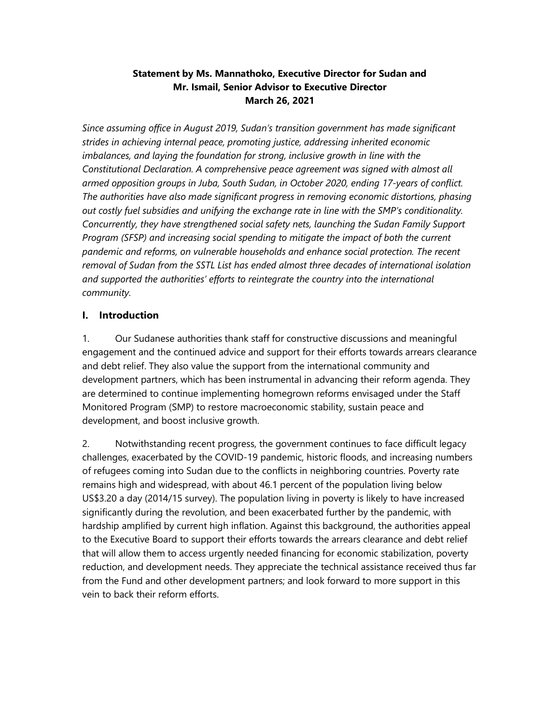### **Statement by Ms. Mannathoko, Executive Director for Sudan and Mr. Ismail, Senior Advisor to Executive Director March 26, 2021**

*Since assuming office in August 2019, Sudan's transition government has made significant strides in achieving internal peace, promoting justice, addressing inherited economic imbalances, and laying the foundation for strong, inclusive growth in line with the Constitutional Declaration. A comprehensive peace agreement was signed with almost all armed opposition groups in Juba, South Sudan, in October 2020, ending 17-years of conflict. The authorities have also made significant progress in removing economic distortions, phasing out costly fuel subsidies and unifying the exchange rate in line with the SMP's conditionality. Concurrently, they have strengthened social safety nets, launching the Sudan Family Support Program (SFSP) and increasing social spending to mitigate the impact of both the current pandemic and reforms, on vulnerable households and enhance social protection. The recent removal of Sudan from the SSTL List has ended almost three decades of international isolation and supported the authorities' efforts to reintegrate the country into the international community.* 

### **I. Introduction**

1. Our Sudanese authorities thank staff for constructive discussions and meaningful engagement and the continued advice and support for their efforts towards arrears clearance and debt relief. They also value the support from the international community and development partners, which has been instrumental in advancing their reform agenda. They are determined to continue implementing homegrown reforms envisaged under the Staff Monitored Program (SMP) to restore macroeconomic stability, sustain peace and development, and boost inclusive growth.

2. Notwithstanding recent progress, the government continues to face difficult legacy challenges, exacerbated by the COVID-19 pandemic, historic floods, and increasing numbers of refugees coming into Sudan due to the conflicts in neighboring countries. Poverty rate remains high and widespread, with about 46.1 percent of the population living below US\$3.20 a day (2014/15 survey). The population living in poverty is likely to have increased significantly during the revolution, and been exacerbated further by the pandemic, with hardship amplified by current high inflation. Against this background, the authorities appeal to the Executive Board to support their efforts towards the arrears clearance and debt relief that will allow them to access urgently needed financing for economic stabilization, poverty reduction, and development needs. They appreciate the technical assistance received thus far from the Fund and other development partners; and look forward to more support in this vein to back their reform efforts.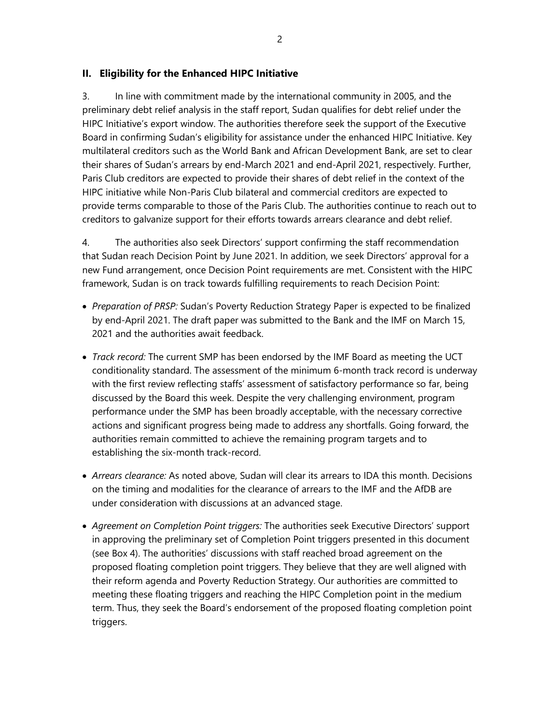#### **II. Eligibility for the Enhanced HIPC Initiative**

3. In line with commitment made by the international community in 2005, and the preliminary debt relief analysis in the staff report, Sudan qualifies for debt relief under the HIPC Initiative's export window. The authorities therefore seek the support of the Executive Board in confirming Sudan's eligibility for assistance under the enhanced HIPC Initiative. Key multilateral creditors such as the World Bank and African Development Bank, are set to clear their shares of Sudan's arrears by end-March 2021 and end-April 2021, respectively. Further, Paris Club creditors are expected to provide their shares of debt relief in the context of the HIPC initiative while Non-Paris Club bilateral and commercial creditors are expected to provide terms comparable to those of the Paris Club. The authorities continue to reach out to creditors to galvanize support for their efforts towards arrears clearance and debt relief.

4. The authorities also seek Directors' support confirming the staff recommendation that Sudan reach Decision Point by June 2021. In addition, we seek Directors' approval for a new Fund arrangement, once Decision Point requirements are met. Consistent with the HIPC framework, Sudan is on track towards fulfilling requirements to reach Decision Point:

- *Preparation of PRSP:* Sudan's Poverty Reduction Strategy Paper is expected to be finalized by end-April 2021. The draft paper was submitted to the Bank and the IMF on March 15, 2021 and the authorities await feedback.
- *Track record:* The current SMP has been endorsed by the IMF Board as meeting the UCT conditionality standard. The assessment of the minimum 6-month track record is underway with the first review reflecting staffs' assessment of satisfactory performance so far, being discussed by the Board this week. Despite the very challenging environment, program performance under the SMP has been broadly acceptable, with the necessary corrective actions and significant progress being made to address any shortfalls. Going forward, the authorities remain committed to achieve the remaining program targets and to establishing the six-month track-record.
- *Arrears clearance:* As noted above, Sudan will clear its arrears to IDA this month. Decisions on the timing and modalities for the clearance of arrears to the IMF and the AfDB are under consideration with discussions at an advanced stage.
- *Agreement on Completion Point triggers:* The authorities seek Executive Directors' support in approving the preliminary set of Completion Point triggers presented in this document (see Box 4). The authorities' discussions with staff reached broad agreement on the proposed floating completion point triggers. They believe that they are well aligned with their reform agenda and Poverty Reduction Strategy. Our authorities are committed to meeting these floating triggers and reaching the HIPC Completion point in the medium term. Thus, they seek the Board's endorsement of the proposed floating completion point triggers.